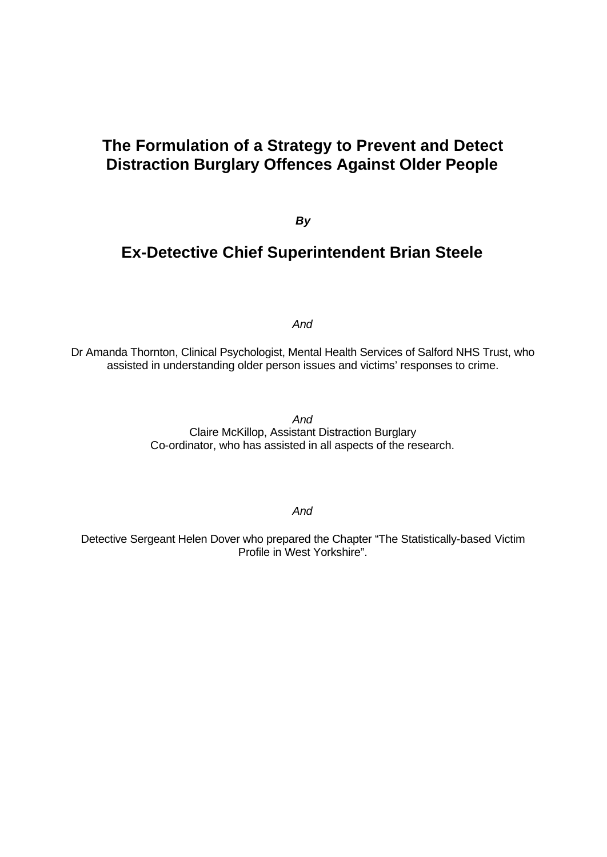# **The Formulation of a Strategy to Prevent and Detect Distraction Burglary Offences Against Older People**

*By*

# **Ex-Detective Chief Superintendent Brian Steele**

*And*

Dr Amanda Thornton, Clinical Psychologist, Mental Health Services of Salford NHS Trust, who assisted in understanding older person issues and victims' responses to crime.

> *And* Claire McKillop, Assistant Distraction Burglary Co-ordinator, who has assisted in all aspects of the research.

> > *And*

Detective Sergeant Helen Dover who prepared the Chapter "The Statistically-based Victim Profile in West Yorkshire".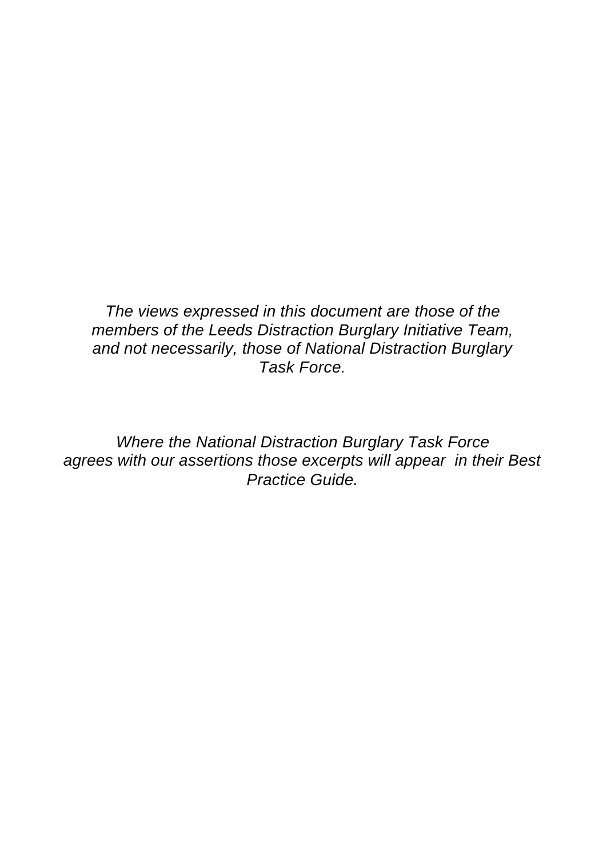*The views expressed in this document are those of the members of the Leeds Distraction Burglary Initiative Team, and not necessarily, those of National Distraction Burglary Task Force.*

*Where the National Distraction Burglary Task Force agrees with our assertions those excerpts will appear in their Best Practice Guide.*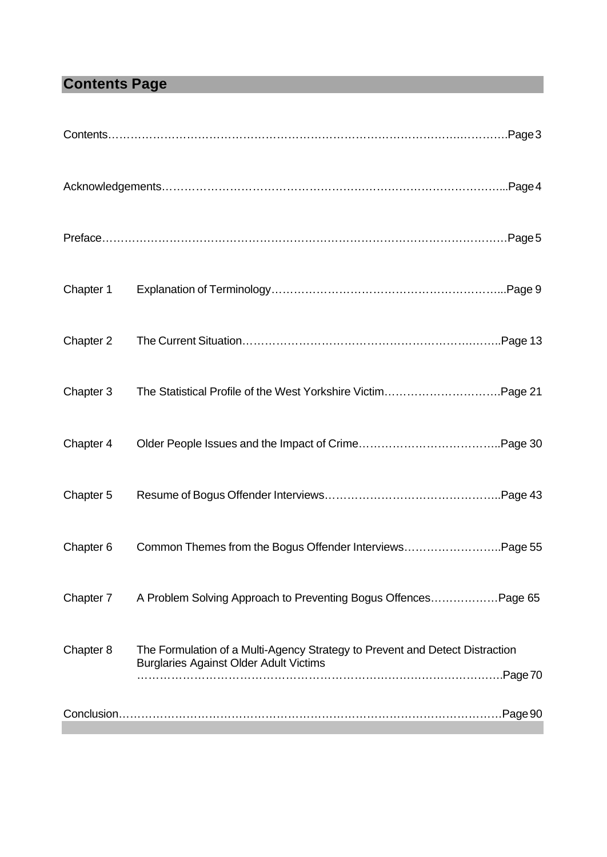# **Contents Page**

| Chapter 1 |                                                                                                                               |
|-----------|-------------------------------------------------------------------------------------------------------------------------------|
| Chapter 2 |                                                                                                                               |
| Chapter 3 |                                                                                                                               |
| Chapter 4 |                                                                                                                               |
| Chapter 5 |                                                                                                                               |
| Chapter 6 | Common Themes from the Bogus Offender InterviewsPage 55                                                                       |
| Chapter 7 | A Problem Solving Approach to Preventing Bogus OffencesPage 65                                                                |
| Chapter 8 | The Formulation of a Multi-Agency Strategy to Prevent and Detect Distraction<br><b>Burglaries Against Older Adult Victims</b> |
|           |                                                                                                                               |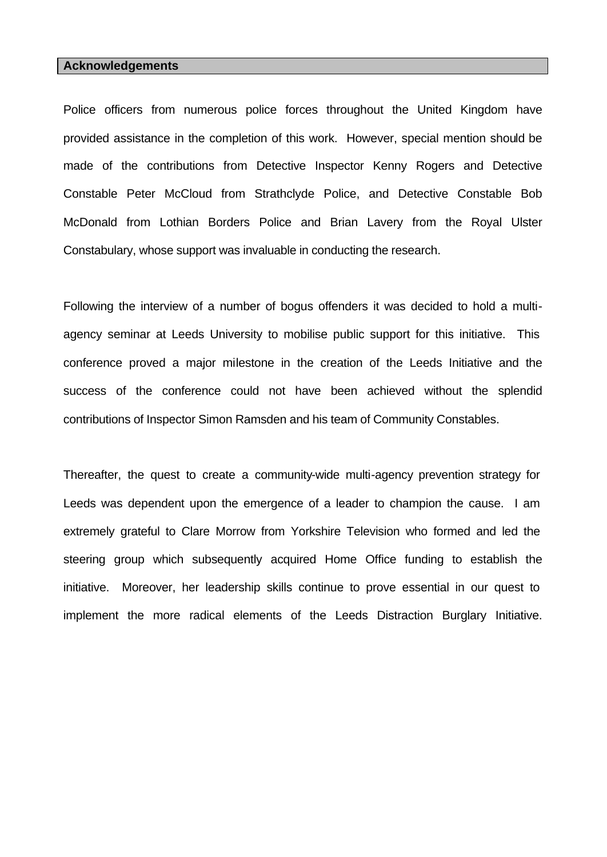#### **Acknowledgements**

Police officers from numerous police forces throughout the United Kingdom have provided assistance in the completion of this work. However, special mention should be made of the contributions from Detective Inspector Kenny Rogers and Detective Constable Peter McCloud from Strathclyde Police, and Detective Constable Bob McDonald from Lothian Borders Police and Brian Lavery from the Royal Ulster Constabulary, whose support was invaluable in conducting the research.

Following the interview of a number of bogus offenders it was decided to hold a multiagency seminar at Leeds University to mobilise public support for this initiative. This conference proved a major milestone in the creation of the Leeds Initiative and the success of the conference could not have been achieved without the splendid contributions of Inspector Simon Ramsden and his team of Community Constables.

Thereafter, the quest to create a community-wide multi-agency prevention strategy for Leeds was dependent upon the emergence of a leader to champion the cause. I am extremely grateful to Clare Morrow from Yorkshire Television who formed and led the steering group which subsequently acquired Home Office funding to establish the initiative. Moreover, her leadership skills continue to prove essential in our quest to implement the more radical elements of the Leeds Distraction Burglary Initiative.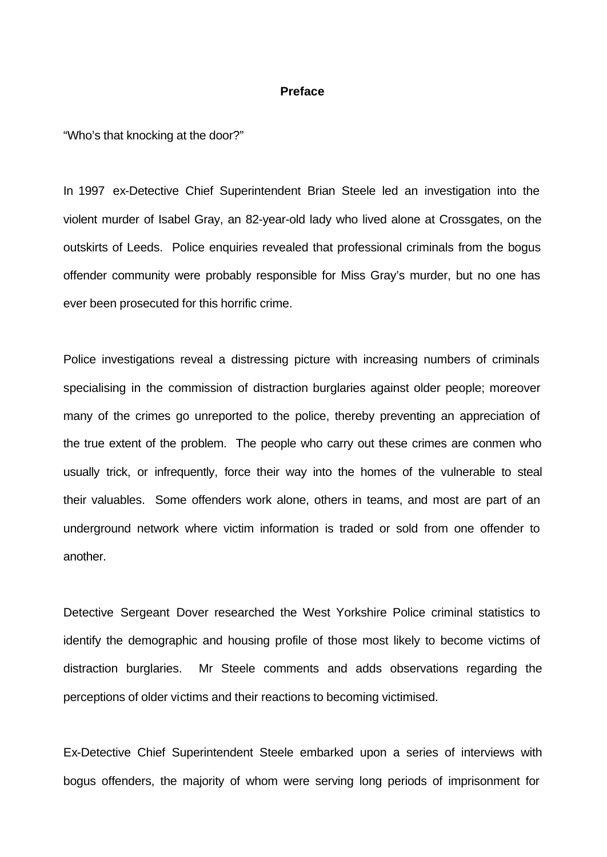#### **Preface**

"Who's that knocking at the door?"

In 1997 ex-Detective Chief Superintendent Brian Steele led an investigation into the violent murder of Isabel Gray, an 82-year-old lady who lived alone at Crossgates, on the outskirts of Leeds. Police enquiries revealed that professional criminals from the bogus offender community were probably responsible for Miss Gray's murder, but no one has ever been prosecuted for this horrific crime.

Police investigations reveal a distressing picture with increasing numbers of criminals specialising in the commission of distraction burglaries against older people; moreover many of the crimes go unreported to the police, thereby preventing an appreciation of the true extent of the problem. The people who carry out these crimes are conmen who usually trick, or infrequently, force their way into the homes of the vulnerable to steal their valuables. Some offenders work alone, others in teams, and most are part of an underground network where victim information is traded or sold from one offender to another.

Detective Sergeant Dover researched the West Yorkshire Police criminal statistics to identify the demographic and housing profile of those most likely to become victims of distraction burglaries. Mr Steele comments and adds observations regarding the perceptions of older victims and their reactions to becoming victimised.

Ex-Detective Chief Superintendent Steele embarked upon a series of interviews with bogus offenders, the majority of whom were serving long periods of imprisonment for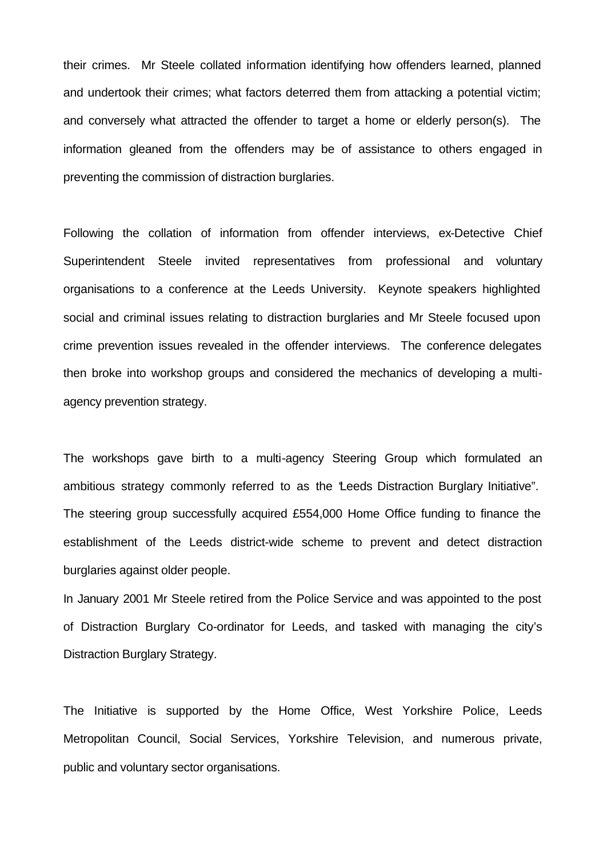their crimes. Mr Steele collated information identifying how offenders learned, planned and undertook their crimes; what factors deterred them from attacking a potential victim; and conversely what attracted the offender to target a home or elderly person(s). The information gleaned from the offenders may be of assistance to others engaged in preventing the commission of distraction burglaries.

Following the collation of information from offender interviews, ex-Detective Chief Superintendent Steele invited representatives from professional and voluntary organisations to a conference at the Leeds University. Keynote speakers highlighted social and criminal issues relating to distraction burglaries and Mr Steele focused upon crime prevention issues revealed in the offender interviews. The conference delegates then broke into workshop groups and considered the mechanics of developing a multiagency prevention strategy.

The workshops gave birth to a multi-agency Steering Group which formulated an ambitious strategy commonly referred to as the "Leeds Distraction Burglary Initiative". The steering group successfully acquired £554,000 Home Office funding to finance the establishment of the Leeds district-wide scheme to prevent and detect distraction burglaries against older people.

In January 2001 Mr Steele retired from the Police Service and was appointed to the post of Distraction Burglary Co-ordinator for Leeds, and tasked with managing the city's Distraction Burglary Strategy.

The Initiative is supported by the Home Office, West Yorkshire Police, Leeds Metropolitan Council, Social Services, Yorkshire Television, and numerous private, public and voluntary sector organisations.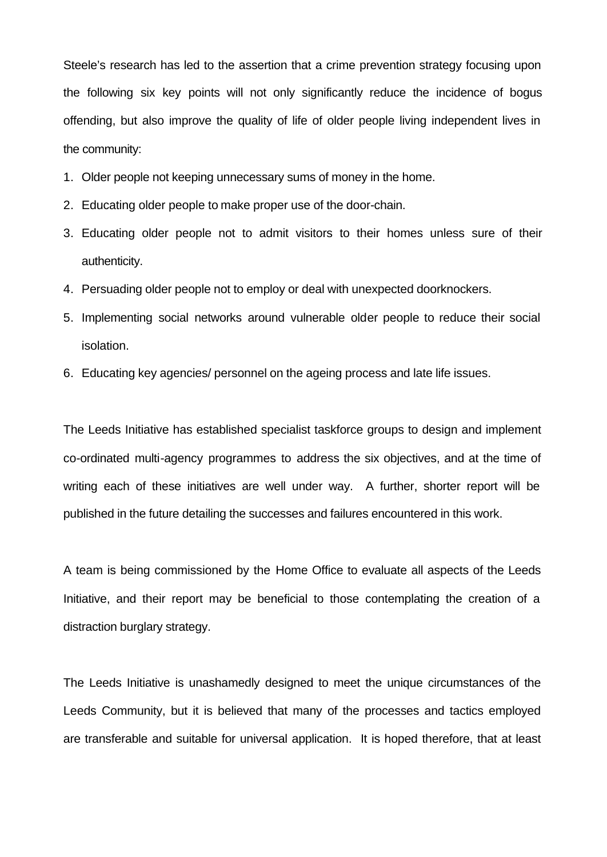Steele's research has led to the assertion that a crime prevention strategy focusing upon the following six key points will not only significantly reduce the incidence of bogus offending, but also improve the quality of life of older people living independent lives in the community:

- 1. Older people not keeping unnecessary sums of money in the home.
- 2. Educating older people to make proper use of the door-chain.
- 3. Educating older people not to admit visitors to their homes unless sure of their authenticity.
- 4. Persuading older people not to employ or deal with unexpected doorknockers.
- 5. Implementing social networks around vulnerable older people to reduce their social isolation.
- 6. Educating key agencies/ personnel on the ageing process and late life issues.

The Leeds Initiative has established specialist taskforce groups to design and implement co-ordinated multi-agency programmes to address the six objectives, and at the time of writing each of these initiatives are well under way. A further, shorter report will be published in the future detailing the successes and failures encountered in this work.

A team is being commissioned by the Home Office to evaluate all aspects of the Leeds Initiative, and their report may be beneficial to those contemplating the creation of a distraction burglary strategy.

The Leeds Initiative is unashamedly designed to meet the unique circumstances of the Leeds Community, but it is believed that many of the processes and tactics employed are transferable and suitable for universal application. It is hoped therefore, that at least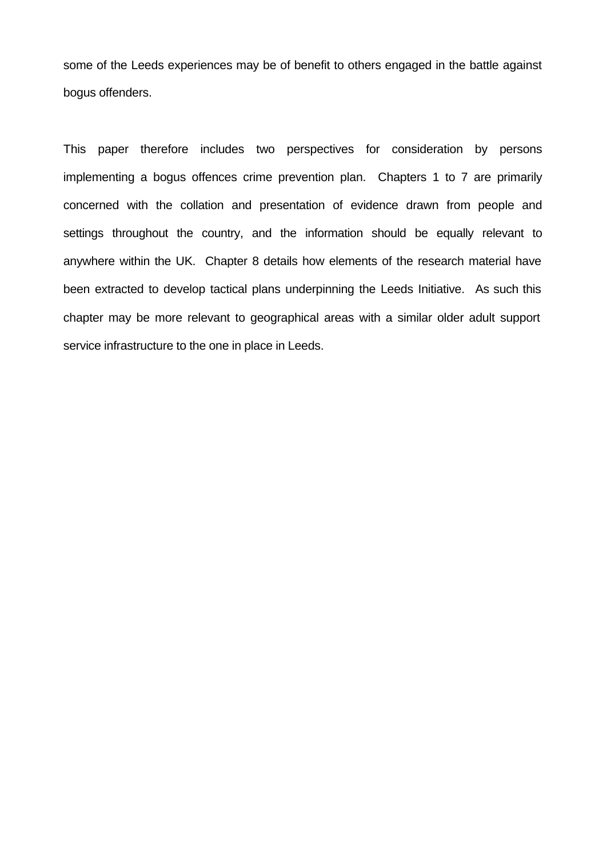some of the Leeds experiences may be of benefit to others engaged in the battle against bogus offenders.

This paper therefore includes two perspectives for consideration by persons implementing a bogus offences crime prevention plan. Chapters 1 to 7 are primarily concerned with the collation and presentation of evidence drawn from people and settings throughout the country, and the information should be equally relevant to anywhere within the UK. Chapter 8 details how elements of the research material have been extracted to develop tactical plans underpinning the Leeds Initiative. As such this chapter may be more relevant to geographical areas with a similar older adult support service infrastructure to the one in place in Leeds.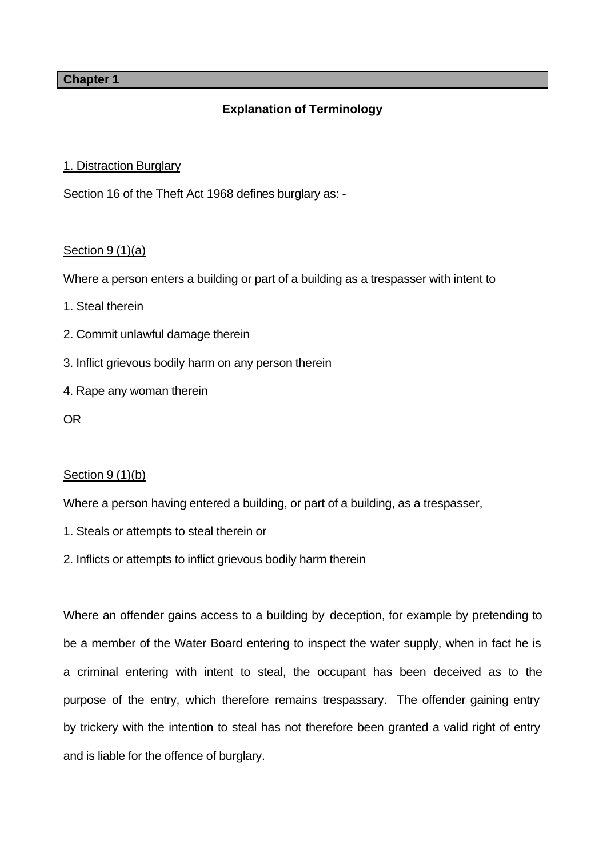# **Chapter 1**

# **Explanation of Terminology**

# 1. Distraction Burglary

Section 16 of the Theft Act 1968 defines burglary as: -

# Section 9 (1)(a)

Where a person enters a building or part of a building as a trespasser with intent to

- 1. Steal therein
- 2. Commit unlawful damage therein
- 3. Inflict grievous bodily harm on any person therein
- 4. Rape any woman therein
- OR

# Section 9 (1)(b)

Where a person having entered a building, or part of a building, as a trespasser,

- 1. Steals or attempts to steal therein or
- 2. Inflicts or attempts to inflict grievous bodily harm therein

Where an offender gains access to a building by deception, for example by pretending to be a member of the Water Board entering to inspect the water supply, when in fact he is a criminal entering with intent to steal, the occupant has been deceived as to the purpose of the entry, which therefore remains trespassary. The offender gaining entry by trickery with the intention to steal has not therefore been granted a valid right of entry and is liable for the offence of burglary.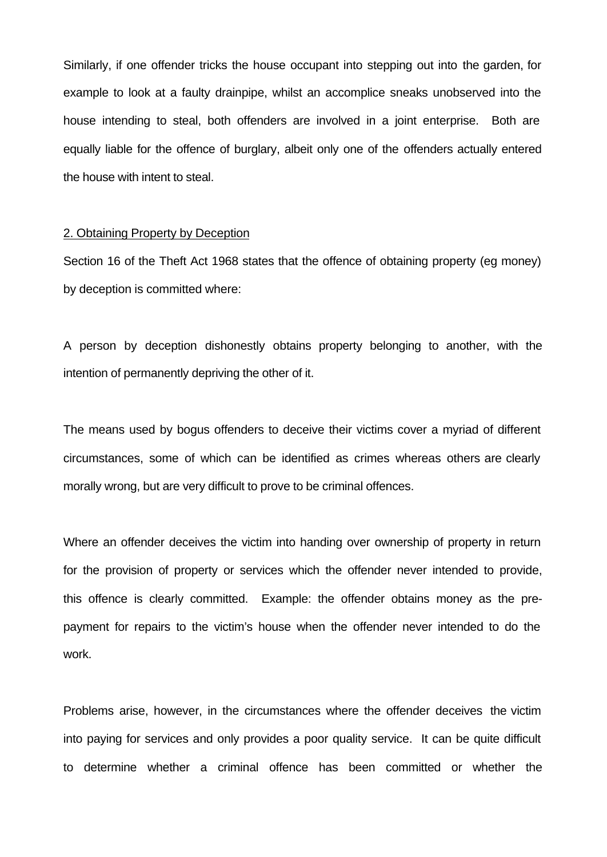Similarly, if one offender tricks the house occupant into stepping out into the garden, for example to look at a faulty drainpipe, whilst an accomplice sneaks unobserved into the house intending to steal, both offenders are involved in a joint enterprise. Both are equally liable for the offence of burglary, albeit only one of the offenders actually entered the house with intent to steal.

#### 2. Obtaining Property by Deception

Section 16 of the Theft Act 1968 states that the offence of obtaining property (eg money) by deception is committed where:

A person by deception dishonestly obtains property belonging to another, with the intention of permanently depriving the other of it.

The means used by bogus offenders to deceive their victims cover a myriad of different circumstances, some of which can be identified as crimes whereas others are clearly morally wrong, but are very difficult to prove to be criminal offences.

Where an offender deceives the victim into handing over ownership of property in return for the provision of property or services which the offender never intended to provide, this offence is clearly committed. Example: the offender obtains money as the prepayment for repairs to the victim's house when the offender never intended to do the work.

Problems arise, however, in the circumstances where the offender deceives the victim into paying for services and only provides a poor quality service. It can be quite difficult to determine whether a criminal offence has been committed or whether the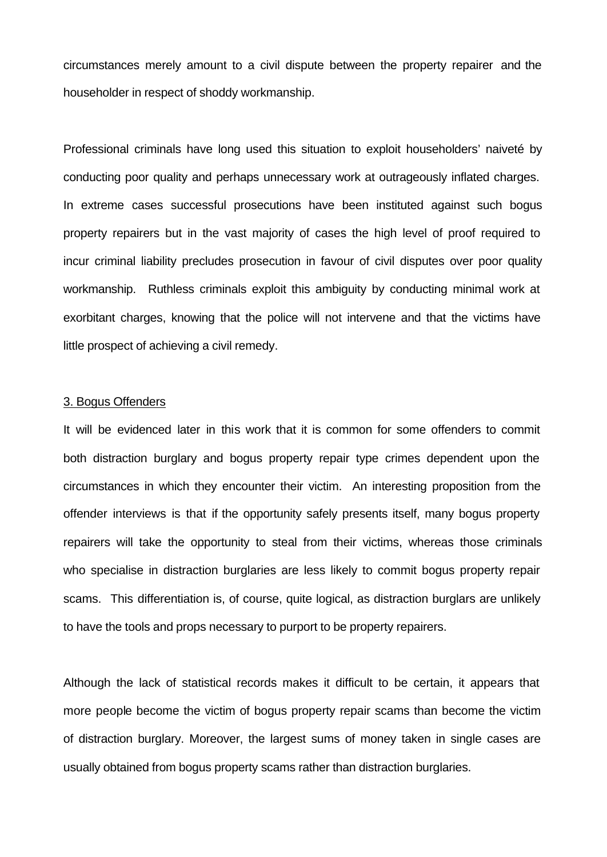circumstances merely amount to a civil dispute between the property repairer and the householder in respect of shoddy workmanship.

Professional criminals have long used this situation to exploit householders' naiveté by conducting poor quality and perhaps unnecessary work at outrageously inflated charges. In extreme cases successful prosecutions have been instituted against such bogus property repairers but in the vast majority of cases the high level of proof required to incur criminal liability precludes prosecution in favour of civil disputes over poor quality workmanship. Ruthless criminals exploit this ambiguity by conducting minimal work at exorbitant charges, knowing that the police will not intervene and that the victims have little prospect of achieving a civil remedy.

#### 3. Bogus Offenders

It will be evidenced later in this work that it is common for some offenders to commit both distraction burglary and bogus property repair type crimes dependent upon the circumstances in which they encounter their victim. An interesting proposition from the offender interviews is that if the opportunity safely presents itself, many bogus property repairers will take the opportunity to steal from their victims, whereas those criminals who specialise in distraction burglaries are less likely to commit bogus property repair scams. This differentiation is, of course, quite logical, as distraction burglars are unlikely to have the tools and props necessary to purport to be property repairers.

Although the lack of statistical records makes it difficult to be certain, it appears that more people become the victim of bogus property repair scams than become the victim of distraction burglary. Moreover, the largest sums of money taken in single cases are usually obtained from bogus property scams rather than distraction burglaries.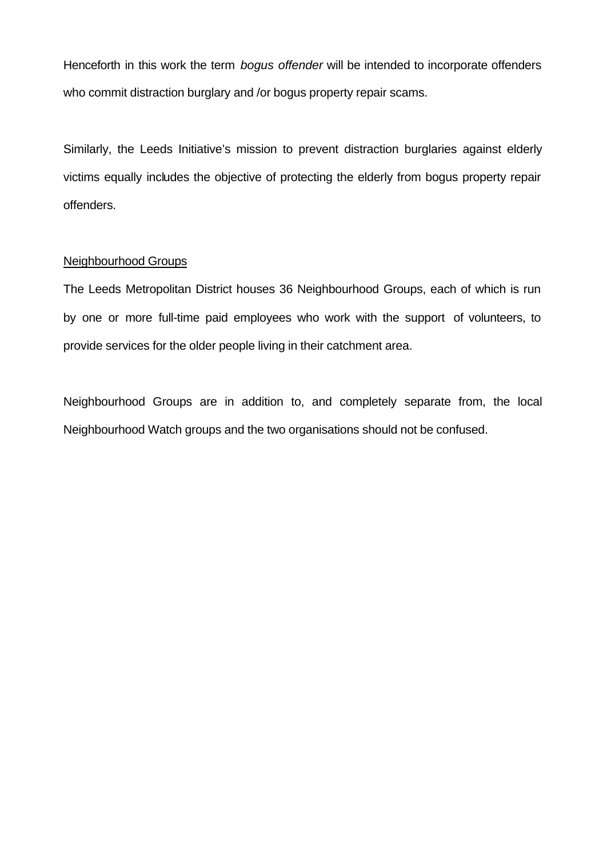Henceforth in this work the term *bogus offender* will be intended to incorporate offenders who commit distraction burglary and /or bogus property repair scams.

Similarly, the Leeds Initiative's mission to prevent distraction burglaries against elderly victims equally includes the objective of protecting the elderly from bogus property repair offenders.

## Neighbourhood Groups

The Leeds Metropolitan District houses 36 Neighbourhood Groups, each of which is run by one or more full-time paid employees who work with the support of volunteers, to provide services for the older people living in their catchment area.

Neighbourhood Groups are in addition to, and completely separate from, the local Neighbourhood Watch groups and the two organisations should not be confused.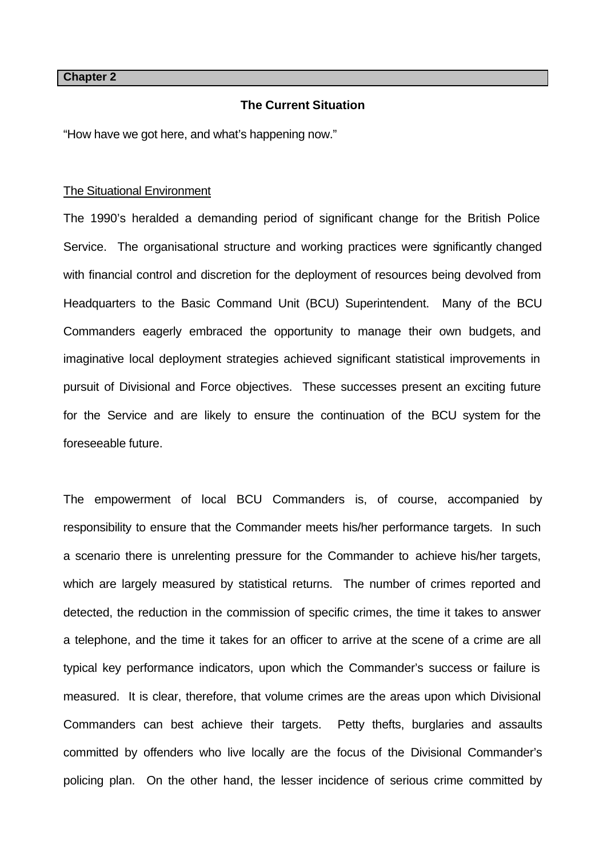**Chapter 2**

## **The Current Situation**

"How have we got here, and what's happening now."

#### The Situational Environment

The 1990's heralded a demanding period of significant change for the British Police Service. The organisational structure and working practices were significantly changed with financial control and discretion for the deployment of resources being devolved from Headquarters to the Basic Command Unit (BCU) Superintendent. Many of the BCU Commanders eagerly embraced the opportunity to manage their own budgets, and imaginative local deployment strategies achieved significant statistical improvements in pursuit of Divisional and Force objectives. These successes present an exciting future for the Service and are likely to ensure the continuation of the BCU system for the foreseeable future.

The empowerment of local BCU Commanders is, of course, accompanied by responsibility to ensure that the Commander meets his/her performance targets. In such a scenario there is unrelenting pressure for the Commander to achieve his/her targets, which are largely measured by statistical returns. The number of crimes reported and detected, the reduction in the commission of specific crimes, the time it takes to answer a telephone, and the time it takes for an officer to arrive at the scene of a crime are all typical key performance indicators, upon which the Commander's success or failure is measured. It is clear, therefore, that volume crimes are the areas upon which Divisional Commanders can best achieve their targets. Petty thefts, burglaries and assaults committed by offenders who live locally are the focus of the Divisional Commander's policing plan. On the other hand, the lesser incidence of serious crime committed by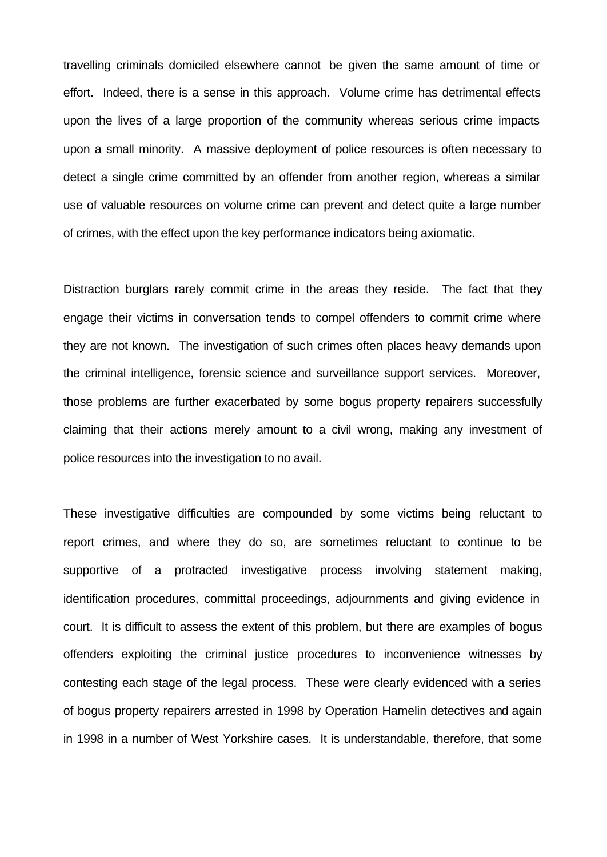travelling criminals domiciled elsewhere cannot be given the same amount of time or effort. Indeed, there is a sense in this approach. Volume crime has detrimental effects upon the lives of a large proportion of the community whereas serious crime impacts upon a small minority. A massive deployment of police resources is often necessary to detect a single crime committed by an offender from another region, whereas a similar use of valuable resources on volume crime can prevent and detect quite a large number of crimes, with the effect upon the key performance indicators being axiomatic.

Distraction burglars rarely commit crime in the areas they reside. The fact that they engage their victims in conversation tends to compel offenders to commit crime where they are not known. The investigation of such crimes often places heavy demands upon the criminal intelligence, forensic science and surveillance support services. Moreover, those problems are further exacerbated by some bogus property repairers successfully claiming that their actions merely amount to a civil wrong, making any investment of police resources into the investigation to no avail.

These investigative difficulties are compounded by some victims being reluctant to report crimes, and where they do so, are sometimes reluctant to continue to be supportive of a protracted investigative process involving statement making, identification procedures, committal proceedings, adjournments and giving evidence in court. It is difficult to assess the extent of this problem, but there are examples of bogus offenders exploiting the criminal justice procedures to inconvenience witnesses by contesting each stage of the legal process. These were clearly evidenced with a series of bogus property repairers arrested in 1998 by Operation Hamelin detectives and again in 1998 in a number of West Yorkshire cases. It is understandable, therefore, that some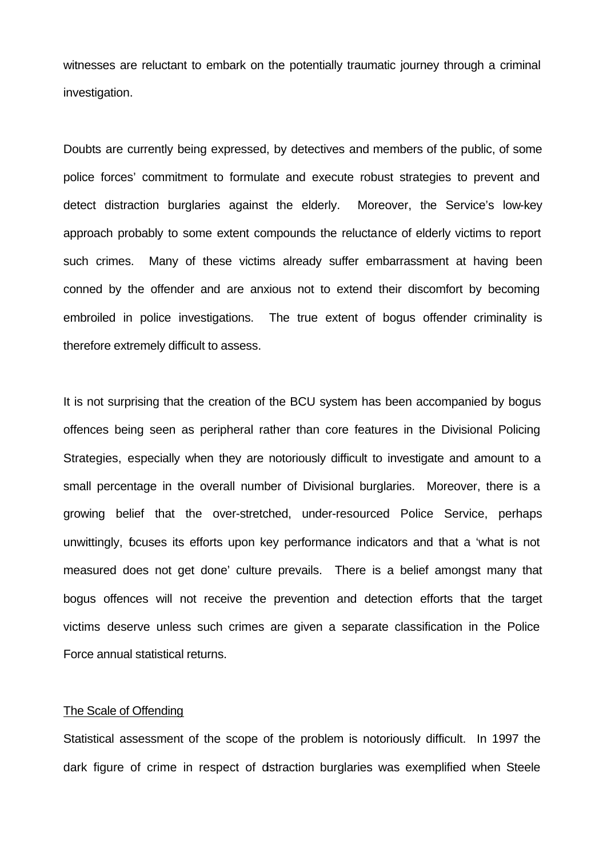witnesses are reluctant to embark on the potentially traumatic journey through a criminal investigation.

Doubts are currently being expressed, by detectives and members of the public, of some police forces' commitment to formulate and execute robust strategies to prevent and detect distraction burglaries against the elderly. Moreover, the Service's low-key approach probably to some extent compounds the reluctance of elderly victims to report such crimes. Many of these victims already suffer embarrassment at having been conned by the offender and are anxious not to extend their discomfort by becoming embroiled in police investigations. The true extent of bogus offender criminality is therefore extremely difficult to assess.

It is not surprising that the creation of the BCU system has been accompanied by bogus offences being seen as peripheral rather than core features in the Divisional Policing Strategies, especially when they are notoriously difficult to investigate and amount to a small percentage in the overall number of Divisional burglaries. Moreover, there is a growing belief that the over-stretched, under-resourced Police Service, perhaps unwittingly, focuses its efforts upon key performance indicators and that a 'what is not measured does not get done' culture prevails. There is a belief amongst many that bogus offences will not receive the prevention and detection efforts that the target victims deserve unless such crimes are given a separate classification in the Police Force annual statistical returns.

#### The Scale of Offending

Statistical assessment of the scope of the problem is notoriously difficult. In 1997 the dark figure of crime in respect of distraction burglaries was exemplified when Steele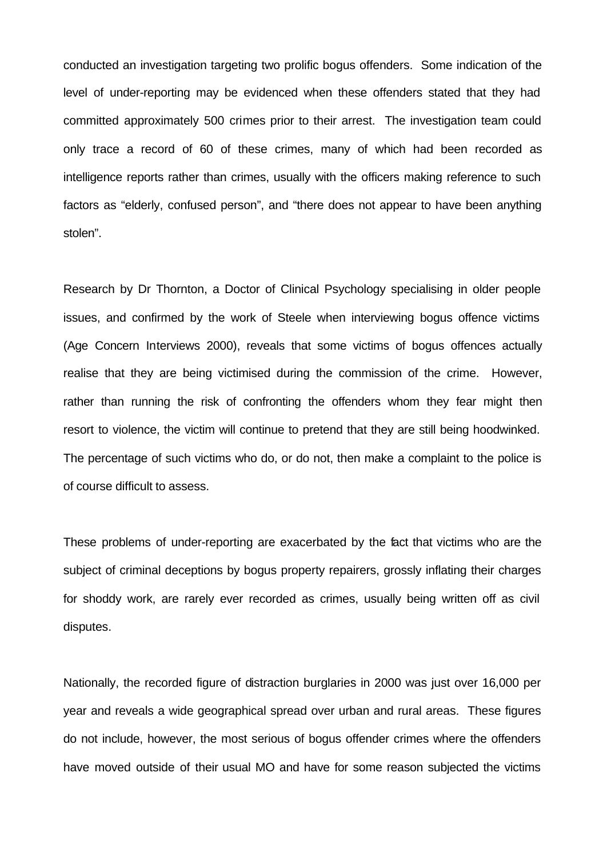conducted an investigation targeting two prolific bogus offenders. Some indication of the level of under-reporting may be evidenced when these offenders stated that they had committed approximately 500 crimes prior to their arrest. The investigation team could only trace a record of 60 of these crimes, many of which had been recorded as intelligence reports rather than crimes, usually with the officers making reference to such factors as "elderly, confused person", and "there does not appear to have been anything stolen".

Research by Dr Thornton, a Doctor of Clinical Psychology specialising in older people issues, and confirmed by the work of Steele when interviewing bogus offence victims (Age Concern Interviews 2000), reveals that some victims of bogus offences actually realise that they are being victimised during the commission of the crime. However, rather than running the risk of confronting the offenders whom they fear might then resort to violence, the victim will continue to pretend that they are still being hoodwinked. The percentage of such victims who do, or do not, then make a complaint to the police is of course difficult to assess.

These problems of under-reporting are exacerbated by the fact that victims who are the subject of criminal deceptions by bogus property repairers, grossly inflating their charges for shoddy work, are rarely ever recorded as crimes, usually being written off as civil disputes.

Nationally, the recorded figure of distraction burglaries in 2000 was just over 16,000 per year and reveals a wide geographical spread over urban and rural areas. These figures do not include, however, the most serious of bogus offender crimes where the offenders have moved outside of their usual MO and have for some reason subjected the victims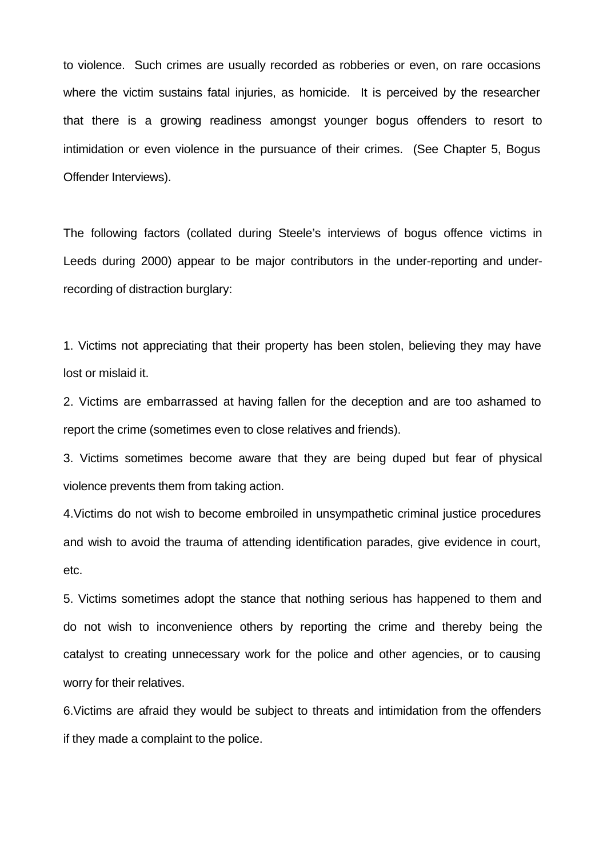to violence. Such crimes are usually recorded as robberies or even, on rare occasions where the victim sustains fatal injuries, as homicide. It is perceived by the researcher that there is a growing readiness amongst younger bogus offenders to resort to intimidation or even violence in the pursuance of their crimes. (See Chapter 5, Bogus Offender Interviews).

The following factors (collated during Steele's interviews of bogus offence victims in Leeds during 2000) appear to be major contributors in the under-reporting and underrecording of distraction burglary:

1. Victims not appreciating that their property has been stolen, believing they may have lost or mislaid it.

2. Victims are embarrassed at having fallen for the deception and are too ashamed to report the crime (sometimes even to close relatives and friends).

3. Victims sometimes become aware that they are being duped but fear of physical violence prevents them from taking action.

4.Victims do not wish to become embroiled in unsympathetic criminal justice procedures and wish to avoid the trauma of attending identification parades, give evidence in court, etc.

5. Victims sometimes adopt the stance that nothing serious has happened to them and do not wish to inconvenience others by reporting the crime and thereby being the catalyst to creating unnecessary work for the police and other agencies, or to causing worry for their relatives.

6.Victims are afraid they would be subject to threats and intimidation from the offenders if they made a complaint to the police.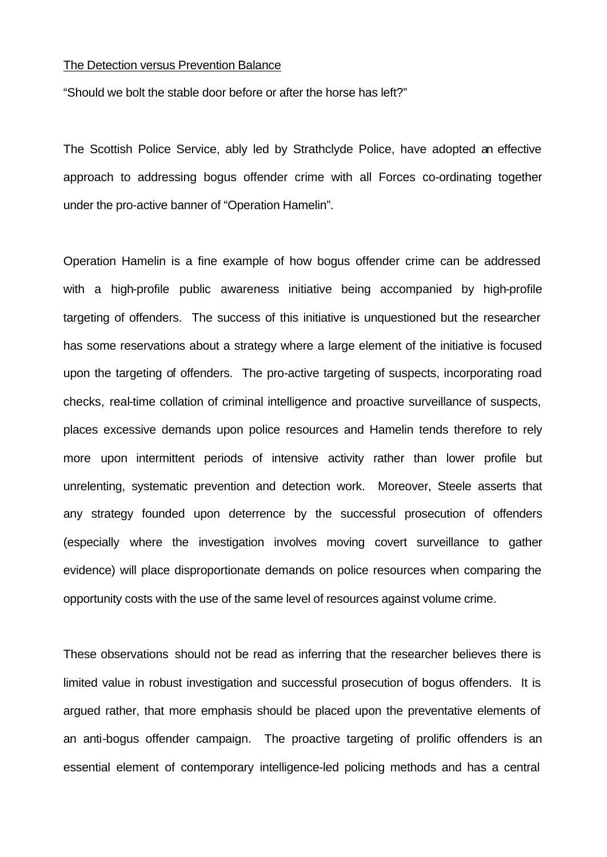#### The Detection versus Prevention Balance

"Should we bolt the stable door before or after the horse has left?"

The Scottish Police Service, ably led by Strathclyde Police, have adopted an effective approach to addressing bogus offender crime with all Forces co-ordinating together under the pro-active banner of "Operation Hamelin".

Operation Hamelin is a fine example of how bogus offender crime can be addressed with a high-profile public awareness initiative being accompanied by high-profile targeting of offenders. The success of this initiative is unquestioned but the researcher has some reservations about a strategy where a large element of the initiative is focused upon the targeting of offenders. The pro-active targeting of suspects, incorporating road checks, real-time collation of criminal intelligence and proactive surveillance of suspects, places excessive demands upon police resources and Hamelin tends therefore to rely more upon intermittent periods of intensive activity rather than lower profile but unrelenting, systematic prevention and detection work. Moreover, Steele asserts that any strategy founded upon deterrence by the successful prosecution of offenders (especially where the investigation involves moving covert surveillance to gather evidence) will place disproportionate demands on police resources when comparing the opportunity costs with the use of the same level of resources against volume crime.

These observations should not be read as inferring that the researcher believes there is limited value in robust investigation and successful prosecution of bogus offenders. It is argued rather, that more emphasis should be placed upon the preventative elements of an anti-bogus offender campaign. The proactive targeting of prolific offenders is an essential element of contemporary intelligence-led policing methods and has a central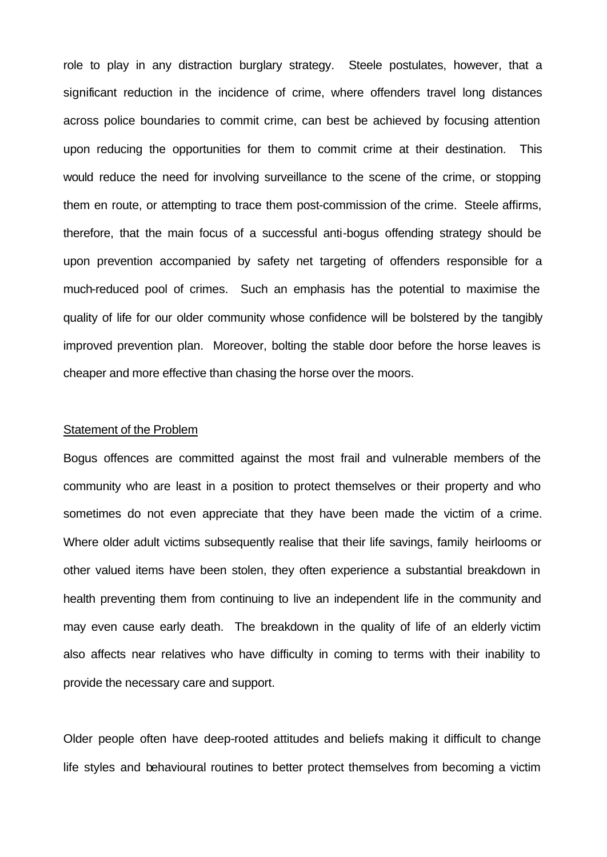role to play in any distraction burglary strategy. Steele postulates, however, that a significant reduction in the incidence of crime, where offenders travel long distances across police boundaries to commit crime, can best be achieved by focusing attention upon reducing the opportunities for them to commit crime at their destination. This would reduce the need for involving surveillance to the scene of the crime, or stopping them en route, or attempting to trace them post-commission of the crime. Steele affirms, therefore, that the main focus of a successful anti-bogus offending strategy should be upon prevention accompanied by safety net targeting of offenders responsible for a much-reduced pool of crimes. Such an emphasis has the potential to maximise the quality of life for our older community whose confidence will be bolstered by the tangibly improved prevention plan. Moreover, bolting the stable door before the horse leaves is cheaper and more effective than chasing the horse over the moors.

#### Statement of the Problem

Bogus offences are committed against the most frail and vulnerable members of the community who are least in a position to protect themselves or their property and who sometimes do not even appreciate that they have been made the victim of a crime. Where older adult victims subsequently realise that their life savings, family heirlooms or other valued items have been stolen, they often experience a substantial breakdown in health preventing them from continuing to live an independent life in the community and may even cause early death. The breakdown in the quality of life of an elderly victim also affects near relatives who have difficulty in coming to terms with their inability to provide the necessary care and support.

Older people often have deep-rooted attitudes and beliefs making it difficult to change life styles and behavioural routines to better protect themselves from becoming a victim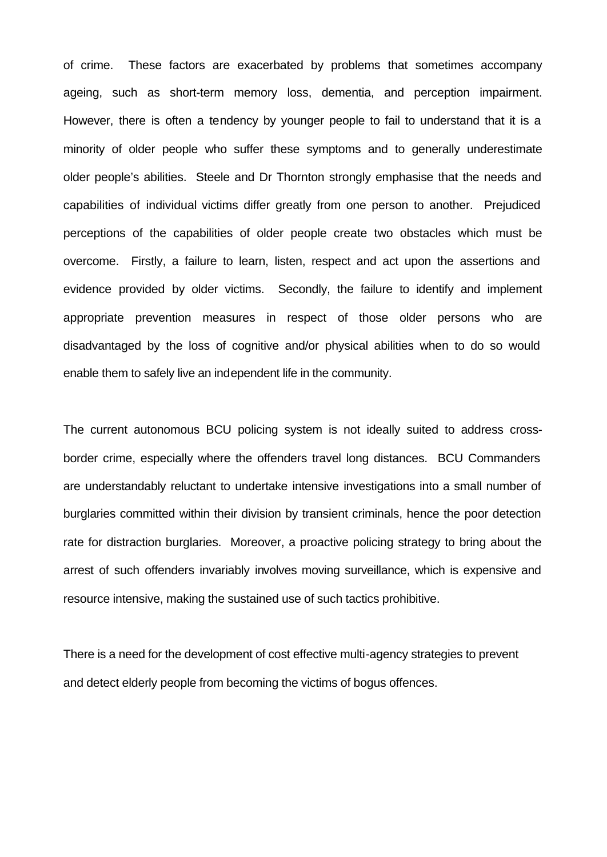of crime. These factors are exacerbated by problems that sometimes accompany ageing, such as short-term memory loss, dementia, and perception impairment. However, there is often a tendency by younger people to fail to understand that it is a minority of older people who suffer these symptoms and to generally underestimate older people's abilities. Steele and Dr Thornton strongly emphasise that the needs and capabilities of individual victims differ greatly from one person to another. Prejudiced perceptions of the capabilities of older people create two obstacles which must be overcome. Firstly, a failure to learn, listen, respect and act upon the assertions and evidence provided by older victims. Secondly, the failure to identify and implement appropriate prevention measures in respect of those older persons who are disadvantaged by the loss of cognitive and/or physical abilities when to do so would enable them to safely live an independent life in the community.

The current autonomous BCU policing system is not ideally suited to address crossborder crime, especially where the offenders travel long distances. BCU Commanders are understandably reluctant to undertake intensive investigations into a small number of burglaries committed within their division by transient criminals, hence the poor detection rate for distraction burglaries. Moreover, a proactive policing strategy to bring about the arrest of such offenders invariably involves moving surveillance, which is expensive and resource intensive, making the sustained use of such tactics prohibitive.

There is a need for the development of cost effective multi-agency strategies to prevent and detect elderly people from becoming the victims of bogus offences.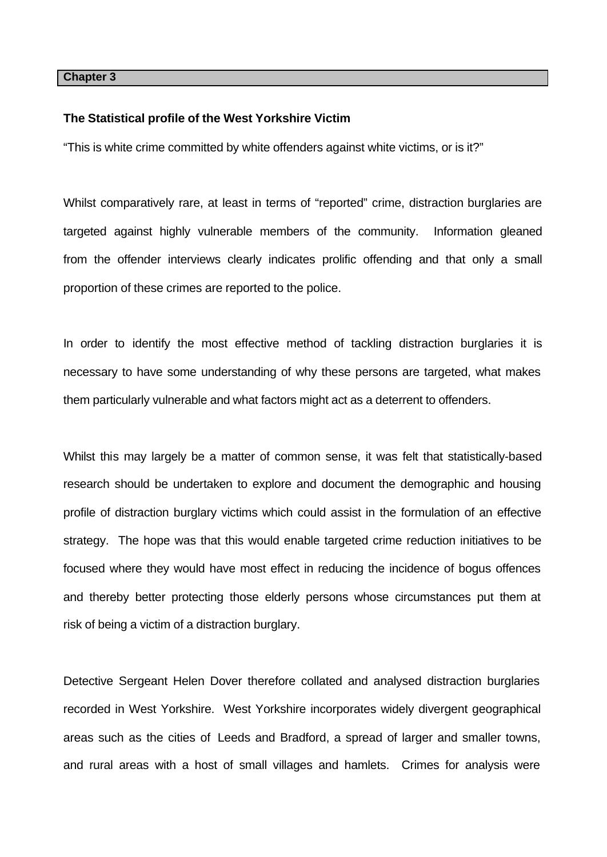#### **Chapter 3**

#### **The Statistical profile of the West Yorkshire Victim**

"This is white crime committed by white offenders against white victims, or is it?"

Whilst comparatively rare, at least in terms of "reported" crime, distraction burglaries are targeted against highly vulnerable members of the community. Information gleaned from the offender interviews clearly indicates prolific offending and that only a small proportion of these crimes are reported to the police.

In order to identify the most effective method of tackling distraction burglaries it is necessary to have some understanding of why these persons are targeted, what makes them particularly vulnerable and what factors might act as a deterrent to offenders.

Whilst this may largely be a matter of common sense, it was felt that statistically-based research should be undertaken to explore and document the demographic and housing profile of distraction burglary victims which could assist in the formulation of an effective strategy. The hope was that this would enable targeted crime reduction initiatives to be focused where they would have most effect in reducing the incidence of bogus offences and thereby better protecting those elderly persons whose circumstances put them at risk of being a victim of a distraction burglary.

Detective Sergeant Helen Dover therefore collated and analysed distraction burglaries recorded in West Yorkshire. West Yorkshire incorporates widely divergent geographical areas such as the cities of Leeds and Bradford, a spread of larger and smaller towns, and rural areas with a host of small villages and hamlets. Crimes for analysis were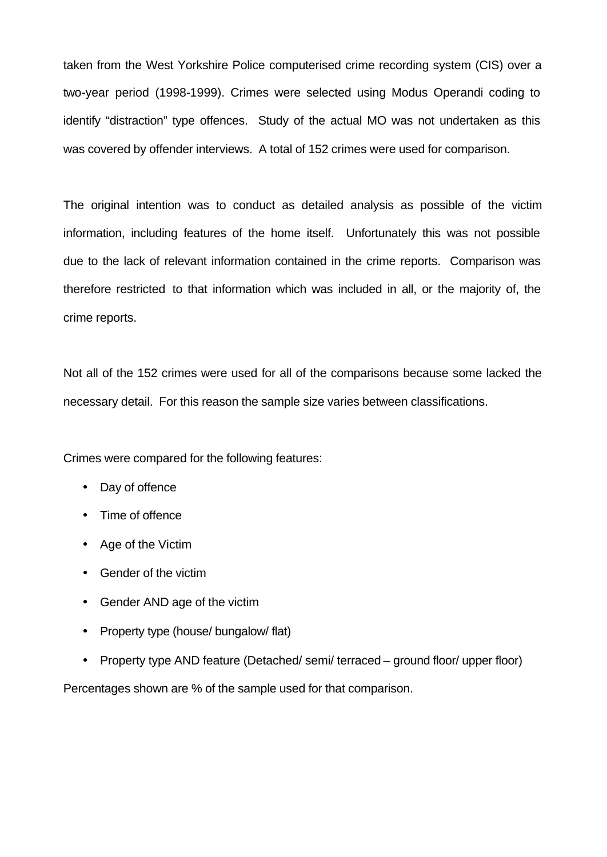taken from the West Yorkshire Police computerised crime recording system (CIS) over a two-year period (1998-1999). Crimes were selected using Modus Operandi coding to identify "distraction" type offences. Study of the actual MO was not undertaken as this was covered by offender interviews. A total of 152 crimes were used for comparison.

The original intention was to conduct as detailed analysis as possible of the victim information, including features of the home itself. Unfortunately this was not possible due to the lack of relevant information contained in the crime reports. Comparison was therefore restricted to that information which was included in all, or the majority of, the crime reports.

Not all of the 152 crimes were used for all of the comparisons because some lacked the necessary detail. For this reason the sample size varies between classifications.

Crimes were compared for the following features:

- Day of offence
- Time of offence
- Age of the Victim
- Gender of the victim
- Gender AND age of the victim
- Property type (house/ bungalow/ flat)
- Property type AND feature (Detached/ semi/ terraced ground floor/ upper floor)

Percentages shown are % of the sample used for that comparison.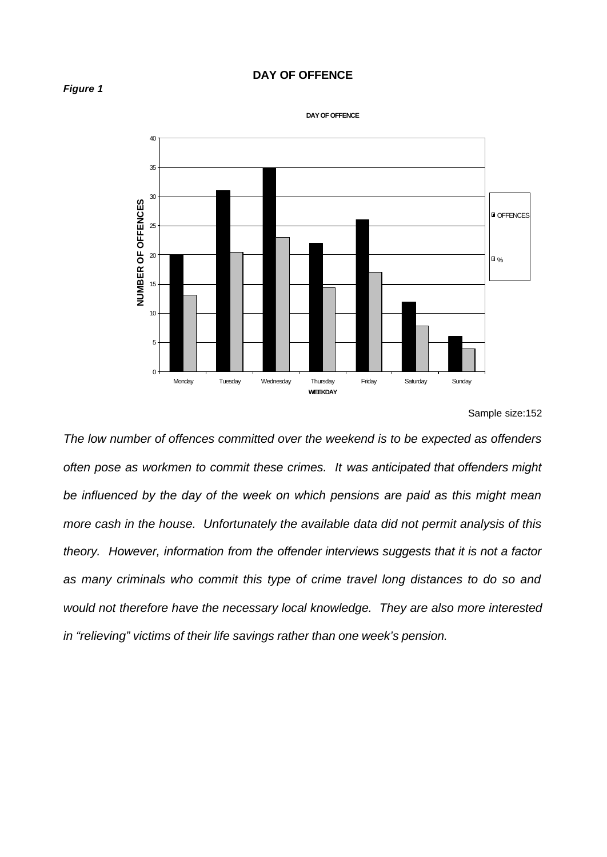### **DAY OF OFFENCE**





**DAY OF OFFENCE**

*The low number of offences committed over the weekend is to be expected as offenders often pose as workmen to commit these crimes. It was anticipated that offenders might be influenced by the day of the week on which pensions are paid as this might mean more cash in the house. Unfortunately the available data did not permit analysis of this theory. However, information from the offender interviews suggests that it is not a factor as many criminals who commit this type of crime travel long distances to do so and would not therefore have the necessary local knowledge. They are also more interested in "relieving" victims of their life savings rather than one week's pension.*

Sample size:152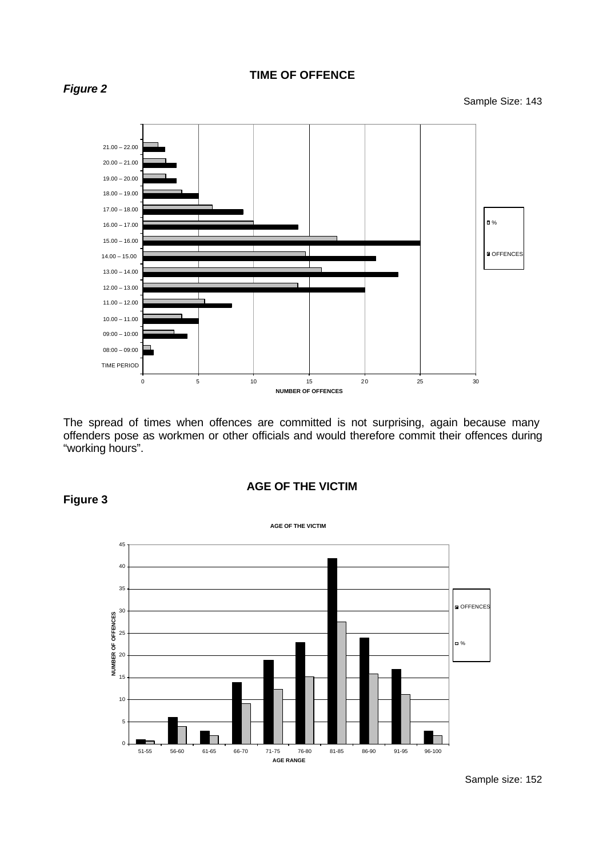

The spread of times when offences are committed is not surprising, again because many offenders pose as workmen or other officials and would therefore commit their offences during "working hours".





# **Figure 3**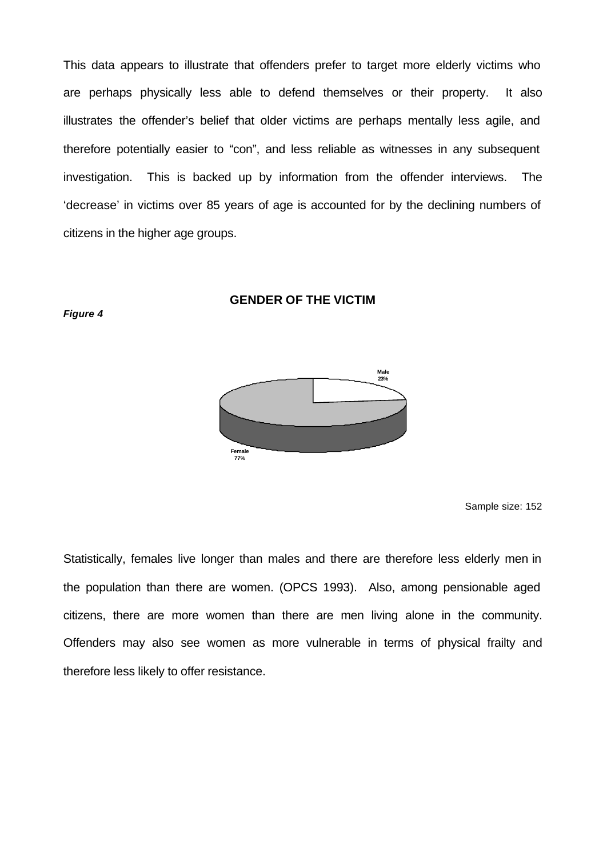This data appears to illustrate that offenders prefer to target more elderly victims who are perhaps physically less able to defend themselves or their property. It also illustrates the offender's belief that older victims are perhaps mentally less agile, and therefore potentially easier to "con", and less reliable as witnesses in any subsequent investigation. This is backed up by information from the offender interviews. The 'decrease' in victims over 85 years of age is accounted for by the declining numbers of citizens in the higher age groups.

# **GENDER OF THE VICTIM**





Sample size: 152

Statistically, females live longer than males and there are therefore less elderly men in the population than there are women. (OPCS 1993). Also, among pensionable aged citizens, there are more women than there are men living alone in the community. Offenders may also see women as more vulnerable in terms of physical frailty and therefore less likely to offer resistance.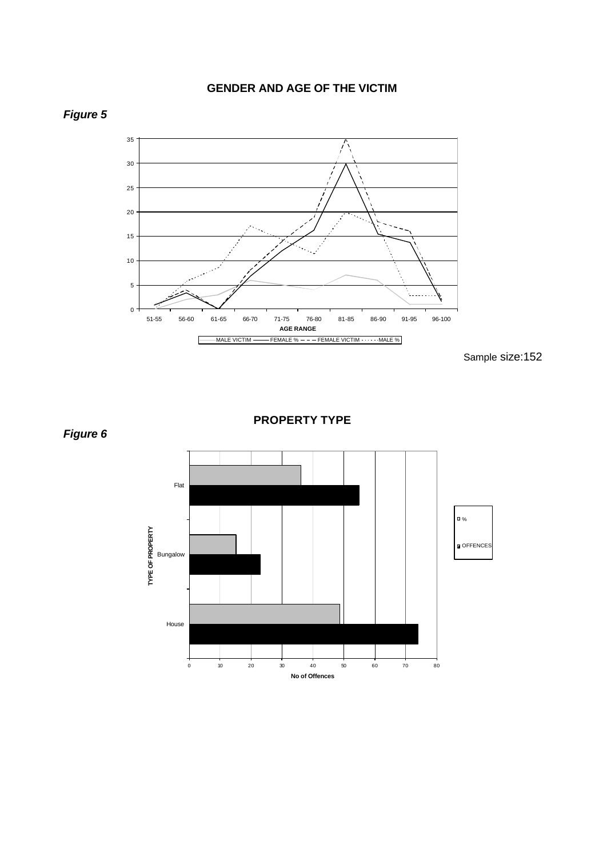# **GENDER AND AGE OF THE VICTIM**



Sample size:152



**PROPERTY TYPE**



*Figure 5*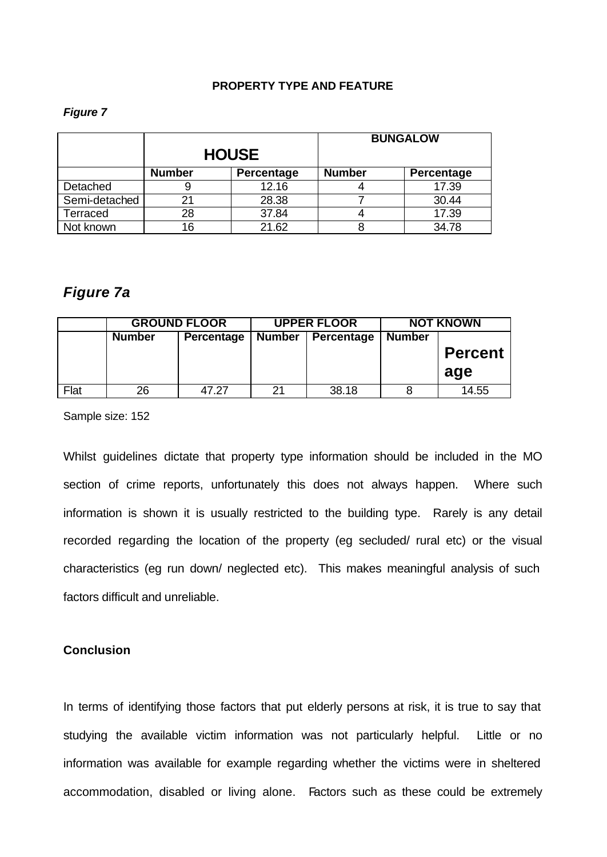### **PROPERTY TYPE AND FEATURE**

#### *Figure 7*

|               |               | <b>HOUSE</b> |               | <b>BUNGALOW</b>   |
|---------------|---------------|--------------|---------------|-------------------|
|               | <b>Number</b> | Percentage   | <b>Number</b> | <b>Percentage</b> |
| Detached      |               | 12.16        |               | 17.39             |
| Semi-detached | 21            | 28.38        |               | 30.44             |
| Terraced      | 28            | 37.84        |               | 17.39             |
| Not known     | 16            | 21.62        |               | 34.78             |

# *Figure 7a*

|      | <b>GROUND FLOOR</b> |            | <b>UPPER FLOOR</b> |            | <b>NOT KNOWN</b> |                |
|------|---------------------|------------|--------------------|------------|------------------|----------------|
|      | <b>Number</b>       | Percentage | <b>Number</b>      | Percentage | <b>Number</b>    |                |
|      |                     |            |                    |            |                  | <b>Percent</b> |
|      |                     |            |                    |            |                  | age            |
| Flat | 26                  | 47.27      | 21                 | 38.18      |                  | 14.55          |

Sample size: 152

Whilst guidelines dictate that property type information should be included in the MO section of crime reports, unfortunately this does not always happen. Where such information is shown it is usually restricted to the building type. Rarely is any detail recorded regarding the location of the property (eg secluded/ rural etc) or the visual characteristics (eg run down/ neglected etc). This makes meaningful analysis of such factors difficult and unreliable.

# **Conclusion**

In terms of identifying those factors that put elderly persons at risk, it is true to say that studying the available victim information was not particularly helpful. Little or no information was available for example regarding whether the victims were in sheltered accommodation, disabled or living alone. Factors such as these could be extremely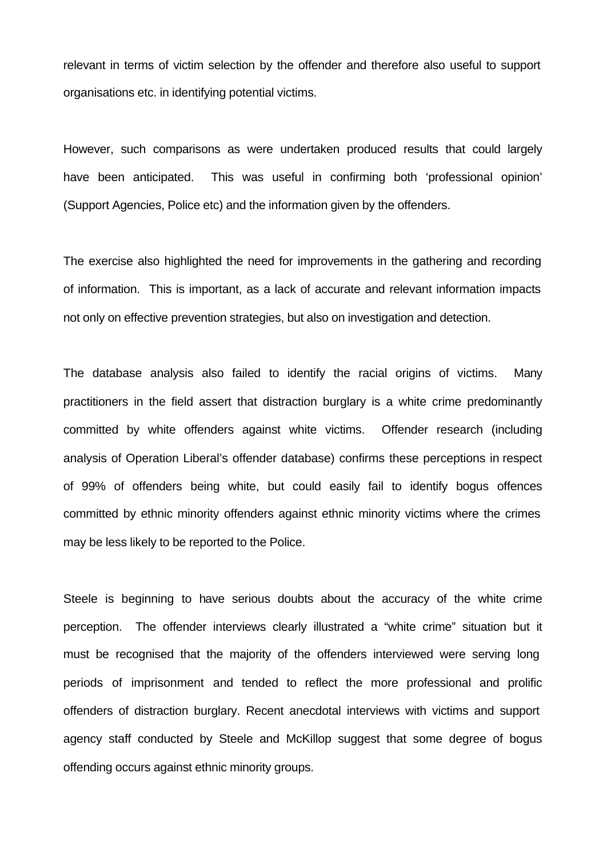relevant in terms of victim selection by the offender and therefore also useful to support organisations etc. in identifying potential victims.

However, such comparisons as were undertaken produced results that could largely have been anticipated. This was useful in confirming both 'professional opinion' (Support Agencies, Police etc) and the information given by the offenders.

The exercise also highlighted the need for improvements in the gathering and recording of information. This is important, as a lack of accurate and relevant information impacts not only on effective prevention strategies, but also on investigation and detection.

The database analysis also failed to identify the racial origins of victims. Many practitioners in the field assert that distraction burglary is a white crime predominantly committed by white offenders against white victims. Offender research (including analysis of Operation Liberal's offender database) confirms these perceptions in respect of 99% of offenders being white, but could easily fail to identify bogus offences committed by ethnic minority offenders against ethnic minority victims where the crimes may be less likely to be reported to the Police.

Steele is beginning to have serious doubts about the accuracy of the white crime perception. The offender interviews clearly illustrated a "white crime" situation but it must be recognised that the majority of the offenders interviewed were serving long periods of imprisonment and tended to reflect the more professional and prolific offenders of distraction burglary. Recent anecdotal interviews with victims and support agency staff conducted by Steele and McKillop suggest that some degree of bogus offending occurs against ethnic minority groups.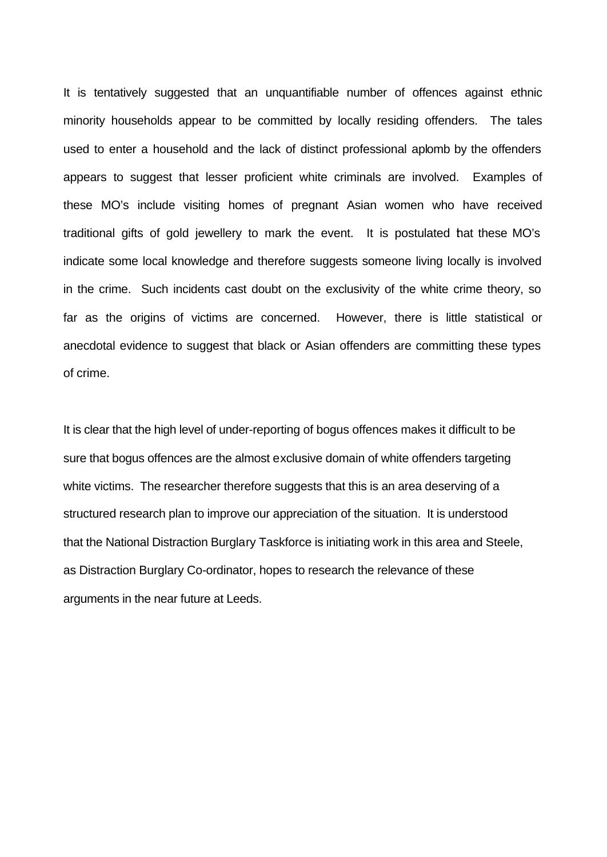It is tentatively suggested that an unquantifiable number of offences against ethnic minority households appear to be committed by locally residing offenders. The tales used to enter a household and the lack of distinct professional aplomb by the offenders appears to suggest that lesser proficient white criminals are involved. Examples of these MO's include visiting homes of pregnant Asian women who have received traditional gifts of gold jewellery to mark the event. It is postulated that these MO's indicate some local knowledge and therefore suggests someone living locally is involved in the crime. Such incidents cast doubt on the exclusivity of the white crime theory, so far as the origins of victims are concerned. However, there is little statistical or anecdotal evidence to suggest that black or Asian offenders are committing these types of crime.

It is clear that the high level of under-reporting of bogus offences makes it difficult to be sure that bogus offences are the almost exclusive domain of white offenders targeting white victims. The researcher therefore suggests that this is an area deserving of a structured research plan to improve our appreciation of the situation. It is understood that the National Distraction Burglary Taskforce is initiating work in this area and Steele, as Distraction Burglary Co-ordinator, hopes to research the relevance of these arguments in the near future at Leeds.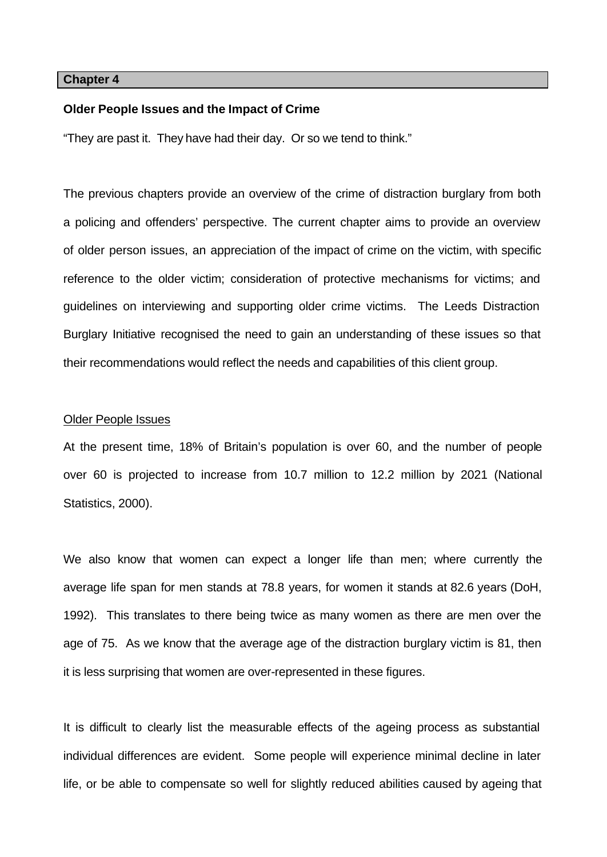#### **Chapter 4**

### **Older People Issues and the Impact of Crime**

"They are past it. They have had their day. Or so we tend to think."

The previous chapters provide an overview of the crime of distraction burglary from both a policing and offenders' perspective. The current chapter aims to provide an overview of older person issues, an appreciation of the impact of crime on the victim, with specific reference to the older victim; consideration of protective mechanisms for victims; and guidelines on interviewing and supporting older crime victims. The Leeds Distraction Burglary Initiative recognised the need to gain an understanding of these issues so that their recommendations would reflect the needs and capabilities of this client group.

#### Older People Issues

At the present time, 18% of Britain's population is over 60, and the number of people over 60 is projected to increase from 10.7 million to 12.2 million by 2021 (National Statistics, 2000).

We also know that women can expect a longer life than men; where currently the average life span for men stands at 78.8 years, for women it stands at 82.6 years (DoH, 1992). This translates to there being twice as many women as there are men over the age of 75. As we know that the average age of the distraction burglary victim is 81, then it is less surprising that women are over-represented in these figures.

It is difficult to clearly list the measurable effects of the ageing process as substantial individual differences are evident. Some people will experience minimal decline in later life, or be able to compensate so well for slightly reduced abilities caused by ageing that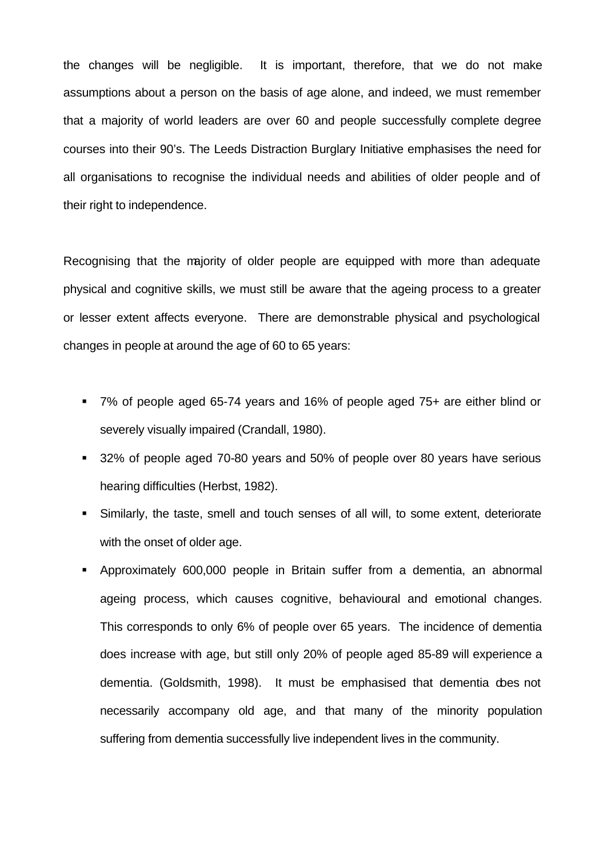the changes will be negligible. It is important, therefore, that we do not make assumptions about a person on the basis of age alone, and indeed, we must remember that a majority of world leaders are over 60 and people successfully complete degree courses into their 90's. The Leeds Distraction Burglary Initiative emphasises the need for all organisations to recognise the individual needs and abilities of older people and of their right to independence.

Recognising that the majority of older people are equipped with more than adequate physical and cognitive skills, we must still be aware that the ageing process to a greater or lesser extent affects everyone. There are demonstrable physical and psychological changes in people at around the age of 60 to 65 years:

- ß 7% of people aged 65-74 years and 16% of people aged 75+ are either blind or severely visually impaired (Crandall, 1980).
- **32% of people aged 70-80 years and 50% of people over 80 years have serious** hearing difficulties (Herbst, 1982).
- ß Similarly, the taste, smell and touch senses of all will, to some extent, deteriorate with the onset of older age.
- ß Approximately 600,000 people in Britain suffer from a dementia, an abnormal ageing process, which causes cognitive, behavioural and emotional changes. This corresponds to only 6% of people over 65 years. The incidence of dementia does increase with age, but still only 20% of people aged 85-89 will experience a dementia. (Goldsmith, 1998). It must be emphasised that dementia does not necessarily accompany old age, and that many of the minority population suffering from dementia successfully live independent lives in the community.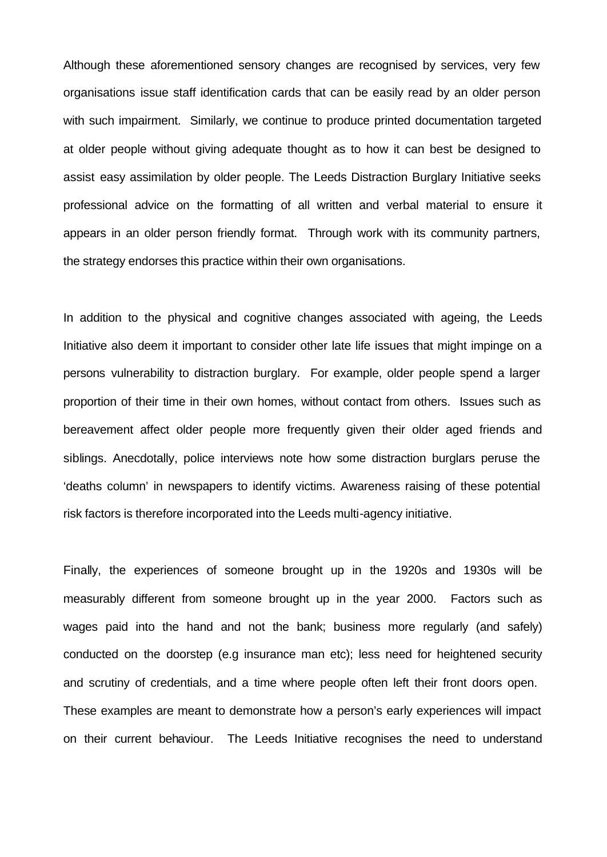Although these aforementioned sensory changes are recognised by services, very few organisations issue staff identification cards that can be easily read by an older person with such impairment. Similarly, we continue to produce printed documentation targeted at older people without giving adequate thought as to how it can best be designed to assist easy assimilation by older people. The Leeds Distraction Burglary Initiative seeks professional advice on the formatting of all written and verbal material to ensure it appears in an older person friendly format. Through work with its community partners, the strategy endorses this practice within their own organisations.

In addition to the physical and cognitive changes associated with ageing, the Leeds Initiative also deem it important to consider other late life issues that might impinge on a persons vulnerability to distraction burglary. For example, older people spend a larger proportion of their time in their own homes, without contact from others. Issues such as bereavement affect older people more frequently given their older aged friends and siblings. Anecdotally, police interviews note how some distraction burglars peruse the 'deaths column' in newspapers to identify victims. Awareness raising of these potential risk factors is therefore incorporated into the Leeds multi-agency initiative.

Finally, the experiences of someone brought up in the 1920s and 1930s will be measurably different from someone brought up in the year 2000. Factors such as wages paid into the hand and not the bank; business more regularly (and safely) conducted on the doorstep (e.g insurance man etc); less need for heightened security and scrutiny of credentials, and a time where people often left their front doors open. These examples are meant to demonstrate how a person's early experiences will impact on their current behaviour. The Leeds Initiative recognises the need to understand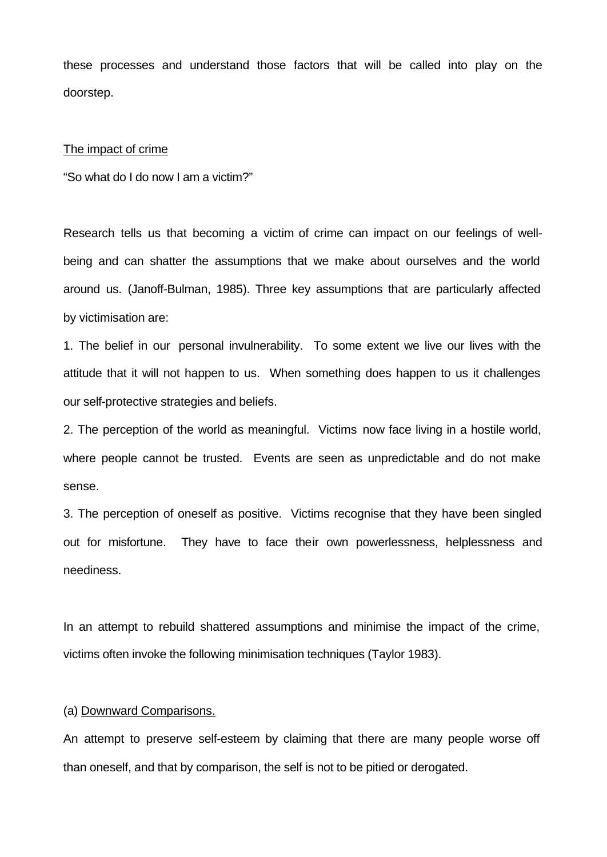these processes and understand those factors that will be called into play on the doorstep.

#### The impact of crime

"So what do I do now I am a victim?"

Research tells us that becoming a victim of crime can impact on our feelings of wellbeing and can shatter the assumptions that we make about ourselves and the world around us. (Janoff-Bulman, 1985). Three key assumptions that are particularly affected by victimisation are:

1. The belief in our personal invulnerability. To some extent we live our lives with the attitude that it will not happen to us. When something does happen to us it challenges our self-protective strategies and beliefs.

2. The perception of the world as meaningful. Victims now face living in a hostile world, where people cannot be trusted. Events are seen as unpredictable and do not make sense.

3. The perception of oneself as positive. Victims recognise that they have been singled out for misfortune. They have to face their own powerlessness, helplessness and neediness.

In an attempt to rebuild shattered assumptions and minimise the impact of the crime, victims often invoke the following minimisation techniques (Taylor 1983).

#### (a) Downward Comparisons.

An attempt to preserve self-esteem by claiming that there are many people worse off than oneself, and that by comparison, the self is not to be pitied or derogated.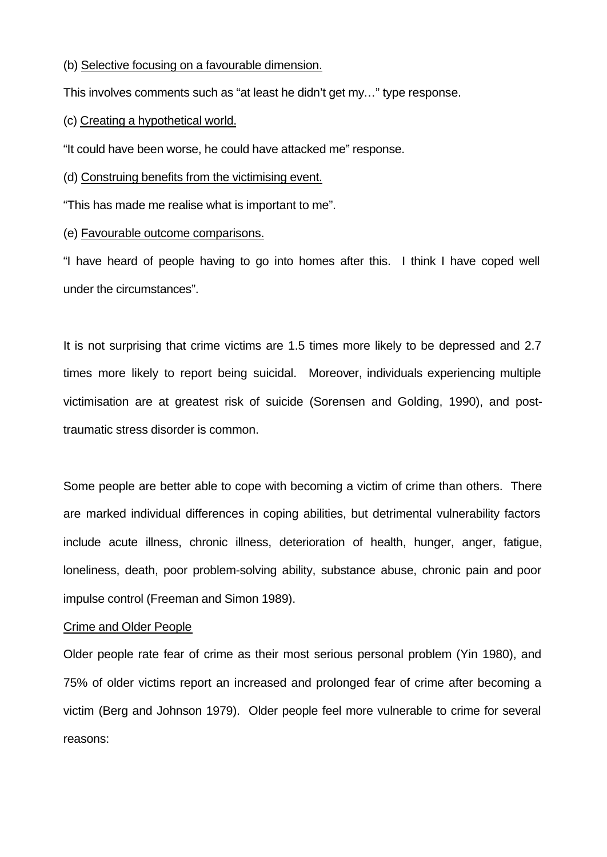(b) Selective focusing on a favourable dimension.

This involves comments such as "at least he didn't get my…" type response.

(c) Creating a hypothetical world.

"It could have been worse, he could have attacked me" response.

# (d) Construing benefits from the victimising event.

"This has made me realise what is important to me".

# (e) Favourable outcome comparisons.

"I have heard of people having to go into homes after this. I think I have coped well under the circumstances".

It is not surprising that crime victims are 1.5 times more likely to be depressed and 2.7 times more likely to report being suicidal. Moreover, individuals experiencing multiple victimisation are at greatest risk of suicide (Sorensen and Golding, 1990), and posttraumatic stress disorder is common.

Some people are better able to cope with becoming a victim of crime than others. There are marked individual differences in coping abilities, but detrimental vulnerability factors include acute illness, chronic illness, deterioration of health, hunger, anger, fatigue, loneliness, death, poor problem-solving ability, substance abuse, chronic pain and poor impulse control (Freeman and Simon 1989).

## Crime and Older People

Older people rate fear of crime as their most serious personal problem (Yin 1980), and 75% of older victims report an increased and prolonged fear of crime after becoming a victim (Berg and Johnson 1979). Older people feel more vulnerable to crime for several reasons: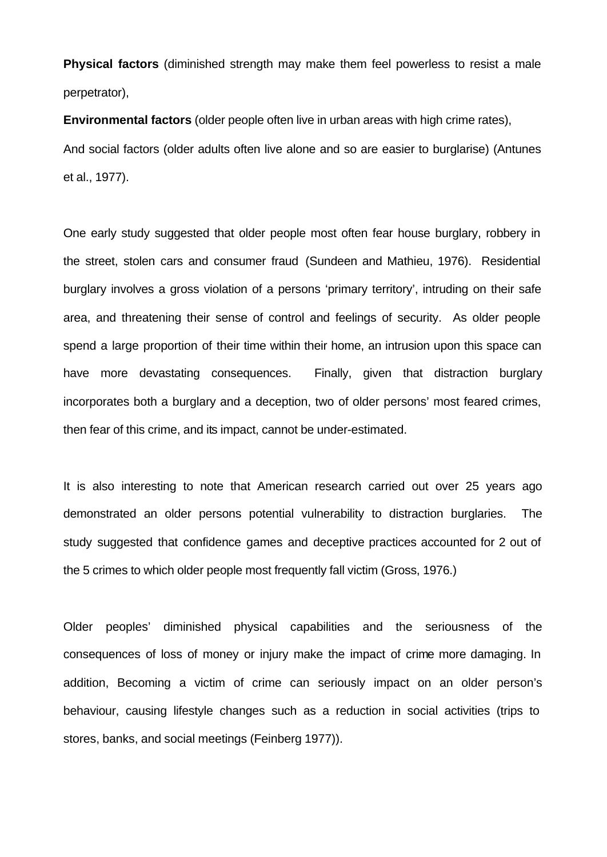**Physical factors** (diminished strength may make them feel powerless to resist a male perpetrator),

**Environmental factors** (older people often live in urban areas with high crime rates), And social factors (older adults often live alone and so are easier to burglarise) (Antunes et al., 1977).

One early study suggested that older people most often fear house burglary, robbery in the street, stolen cars and consumer fraud (Sundeen and Mathieu, 1976). Residential burglary involves a gross violation of a persons 'primary territory', intruding on their safe area, and threatening their sense of control and feelings of security. As older people spend a large proportion of their time within their home, an intrusion upon this space can have more devastating consequences. Finally, given that distraction burglary incorporates both a burglary and a deception, two of older persons' most feared crimes, then fear of this crime, and its impact, cannot be under-estimated.

It is also interesting to note that American research carried out over 25 years ago demonstrated an older persons potential vulnerability to distraction burglaries. The study suggested that confidence games and deceptive practices accounted for 2 out of the 5 crimes to which older people most frequently fall victim (Gross, 1976.)

Older peoples' diminished physical capabilities and the seriousness of the consequences of loss of money or injury make the impact of crime more damaging. In addition, Becoming a victim of crime can seriously impact on an older person's behaviour, causing lifestyle changes such as a reduction in social activities (trips to stores, banks, and social meetings (Feinberg 1977)).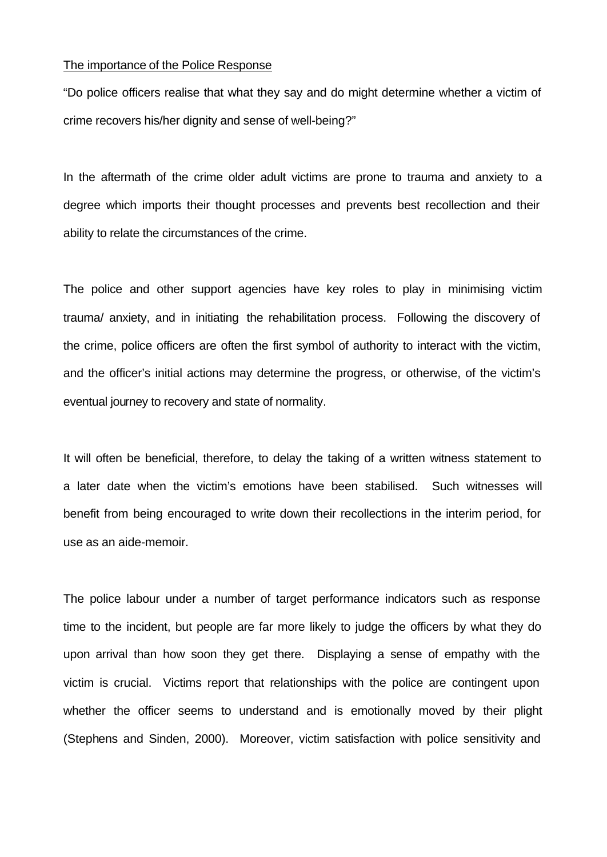#### The importance of the Police Response

"Do police officers realise that what they say and do might determine whether a victim of crime recovers his/her dignity and sense of well-being?"

In the aftermath of the crime older adult victims are prone to trauma and anxiety to a degree which imports their thought processes and prevents best recollection and their ability to relate the circumstances of the crime.

The police and other support agencies have key roles to play in minimising victim trauma/ anxiety, and in initiating the rehabilitation process. Following the discovery of the crime, police officers are often the first symbol of authority to interact with the victim, and the officer's initial actions may determine the progress, or otherwise, of the victim's eventual journey to recovery and state of normality.

It will often be beneficial, therefore, to delay the taking of a written witness statement to a later date when the victim's emotions have been stabilised. Such witnesses will benefit from being encouraged to write down their recollections in the interim period, for use as an aide-memoir.

The police labour under a number of target performance indicators such as response time to the incident, but people are far more likely to judge the officers by what they do upon arrival than how soon they get there. Displaying a sense of empathy with the victim is crucial. Victims report that relationships with the police are contingent upon whether the officer seems to understand and is emotionally moved by their plight (Stephens and Sinden, 2000). Moreover, victim satisfaction with police sensitivity and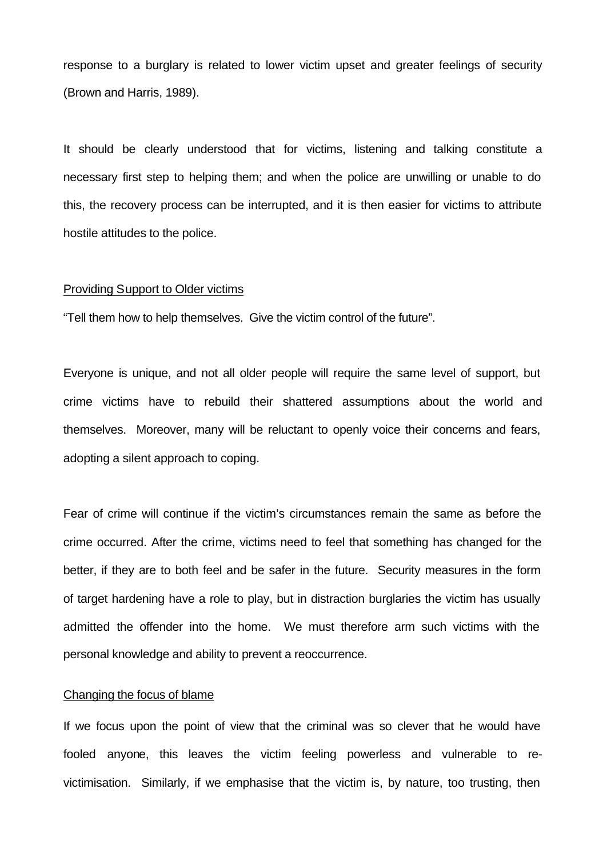response to a burglary is related to lower victim upset and greater feelings of security (Brown and Harris, 1989).

It should be clearly understood that for victims, listening and talking constitute a necessary first step to helping them; and when the police are unwilling or unable to do this, the recovery process can be interrupted, and it is then easier for victims to attribute hostile attitudes to the police.

#### Providing Support to Older victims

"Tell them how to help themselves. Give the victim control of the future".

Everyone is unique, and not all older people will require the same level of support, but crime victims have to rebuild their shattered assumptions about the world and themselves. Moreover, many will be reluctant to openly voice their concerns and fears, adopting a silent approach to coping.

Fear of crime will continue if the victim's circumstances remain the same as before the crime occurred. After the crime, victims need to feel that something has changed for the better, if they are to both feel and be safer in the future. Security measures in the form of target hardening have a role to play, but in distraction burglaries the victim has usually admitted the offender into the home. We must therefore arm such victims with the personal knowledge and ability to prevent a reoccurrence.

#### Changing the focus of blame

If we focus upon the point of view that the criminal was so clever that he would have fooled anyone, this leaves the victim feeling powerless and vulnerable to revictimisation. Similarly, if we emphasise that the victim is, by nature, too trusting, then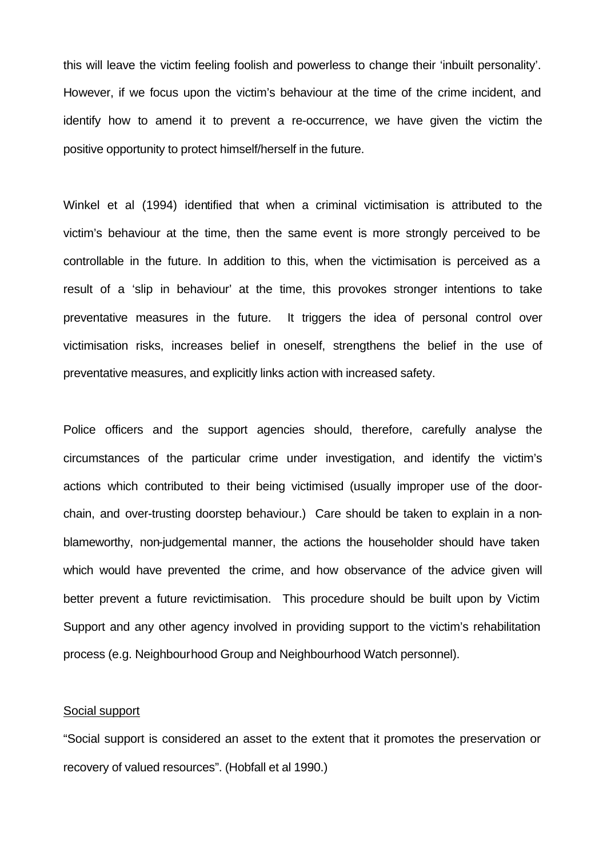this will leave the victim feeling foolish and powerless to change their 'inbuilt personality'. However, if we focus upon the victim's behaviour at the time of the crime incident, and identify how to amend it to prevent a re-occurrence, we have given the victim the positive opportunity to protect himself/herself in the future.

Winkel et al (1994) identified that when a criminal victimisation is attributed to the victim's behaviour at the time, then the same event is more strongly perceived to be controllable in the future. In addition to this, when the victimisation is perceived as a result of a 'slip in behaviour' at the time, this provokes stronger intentions to take preventative measures in the future. It triggers the idea of personal control over victimisation risks, increases belief in oneself, strengthens the belief in the use of preventative measures, and explicitly links action with increased safety.

Police officers and the support agencies should, therefore, carefully analyse the circumstances of the particular crime under investigation, and identify the victim's actions which contributed to their being victimised (usually improper use of the doorchain, and over-trusting doorstep behaviour.) Care should be taken to explain in a nonblameworthy, non-judgemental manner, the actions the householder should have taken which would have prevented the crime, and how observance of the advice given will better prevent a future revictimisation. This procedure should be built upon by Victim Support and any other agency involved in providing support to the victim's rehabilitation process (e.g. Neighbourhood Group and Neighbourhood Watch personnel).

#### Social support

"Social support is considered an asset to the extent that it promotes the preservation or recovery of valued resources". (Hobfall et al 1990.)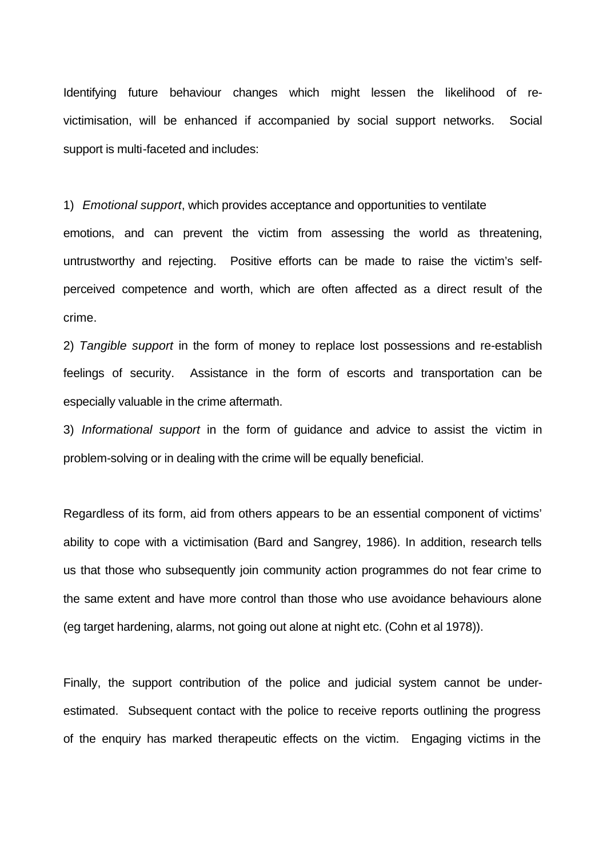Identifying future behaviour changes which might lessen the likelihood of revictimisation, will be enhanced if accompanied by social support networks. Social support is multi-faceted and includes:

1) *Emotional support*, which provides acceptance and opportunities to ventilate

emotions, and can prevent the victim from assessing the world as threatening, untrustworthy and rejecting. Positive efforts can be made to raise the victim's selfperceived competence and worth, which are often affected as a direct result of the crime.

2) *Tangible support* in the form of money to replace lost possessions and re-establish feelings of security. Assistance in the form of escorts and transportation can be especially valuable in the crime aftermath.

3) *Informational support* in the form of guidance and advice to assist the victim in problem-solving or in dealing with the crime will be equally beneficial.

Regardless of its form, aid from others appears to be an essential component of victims' ability to cope with a victimisation (Bard and Sangrey, 1986). In addition, research tells us that those who subsequently join community action programmes do not fear crime to the same extent and have more control than those who use avoidance behaviours alone (eg target hardening, alarms, not going out alone at night etc. (Cohn et al 1978)).

Finally, the support contribution of the police and judicial system cannot be underestimated. Subsequent contact with the police to receive reports outlining the progress of the enquiry has marked therapeutic effects on the victim. Engaging victims in the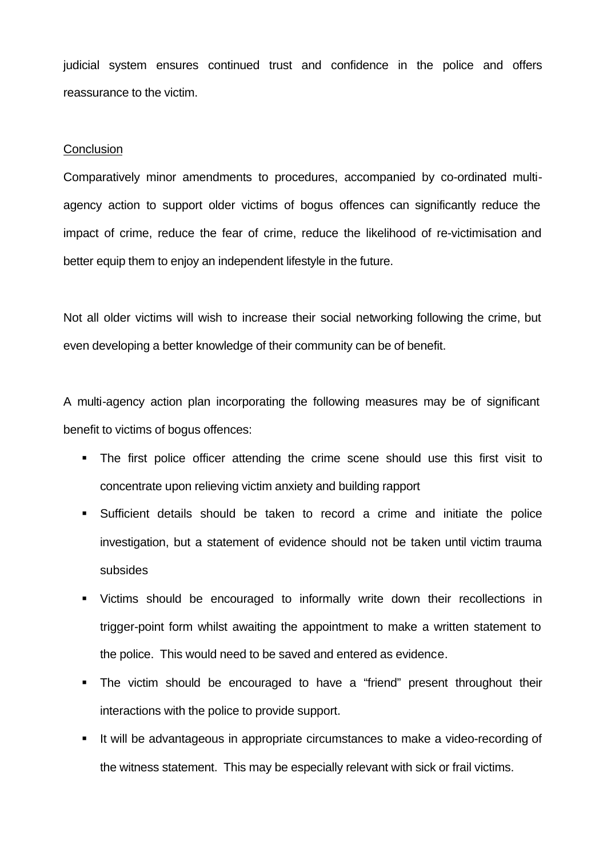judicial system ensures continued trust and confidence in the police and offers reassurance to the victim.

#### **Conclusion**

Comparatively minor amendments to procedures, accompanied by co-ordinated multiagency action to support older victims of bogus offences can significantly reduce the impact of crime, reduce the fear of crime, reduce the likelihood of re-victimisation and better equip them to enjoy an independent lifestyle in the future.

Not all older victims will wish to increase their social networking following the crime, but even developing a better knowledge of their community can be of benefit.

A multi-agency action plan incorporating the following measures may be of significant benefit to victims of bogus offences:

- The first police officer attending the crime scene should use this first visit to concentrate upon relieving victim anxiety and building rapport
- ß Sufficient details should be taken to record a crime and initiate the police investigation, but a statement of evidence should not be taken until victim trauma subsides
- ß Victims should be encouraged to informally write down their recollections in trigger-point form whilst awaiting the appointment to make a written statement to the police. This would need to be saved and entered as evidence.
- The victim should be encouraged to have a "friend" present throughout their interactions with the police to provide support.
- **If will be advantageous in appropriate circumstances to make a video-recording of** the witness statement. This may be especially relevant with sick or frail victims.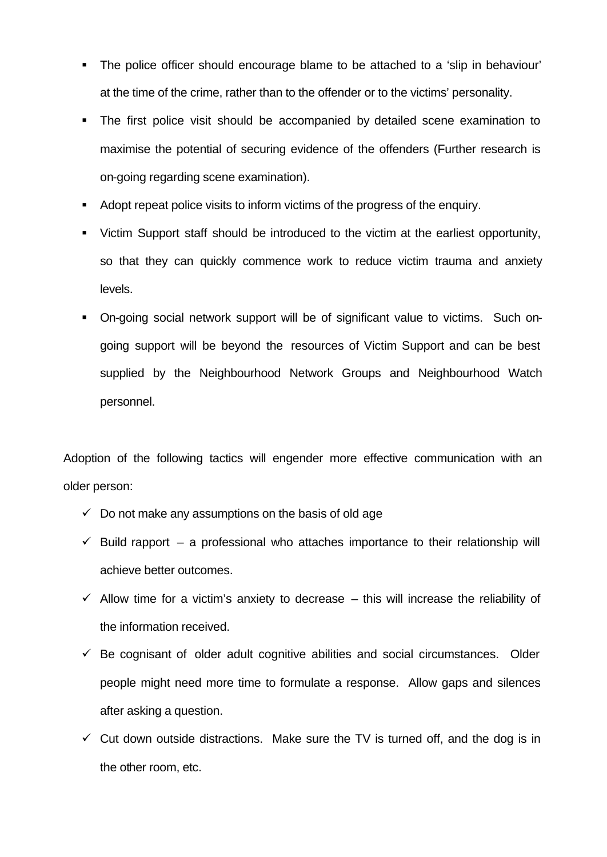- The police officer should encourage blame to be attached to a 'slip in behaviour' at the time of the crime, rather than to the offender or to the victims' personality.
- The first police visit should be accompanied by detailed scene examination to maximise the potential of securing evidence of the offenders (Further research is on-going regarding scene examination).
- ß Adopt repeat police visits to inform victims of the progress of the enquiry.
- ß Victim Support staff should be introduced to the victim at the earliest opportunity, so that they can quickly commence work to reduce victim trauma and anxiety levels.
- **On-going social network support will be of significant value to victims. Such on**going support will be beyond the resources of Victim Support and can be best supplied by the Neighbourhood Network Groups and Neighbourhood Watch personnel.

Adoption of the following tactics will engender more effective communication with an older person:

- $\checkmark$  Do not make any assumptions on the basis of old age
- $\checkmark$  Build rapport a professional who attaches importance to their relationship will achieve better outcomes.
- $\checkmark$  Allow time for a victim's anxiety to decrease this will increase the reliability of the information received.
- $\checkmark$  Be cognisant of older adult cognitive abilities and social circumstances. Older people might need more time to formulate a response. Allow gaps and silences after asking a question.
- $\checkmark$  Cut down outside distractions. Make sure the TV is turned off, and the dog is in the other room, etc.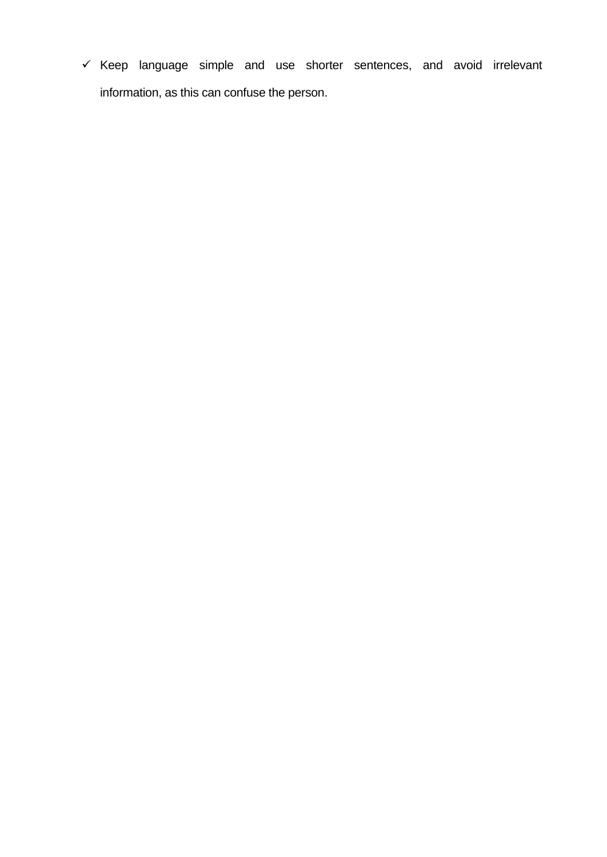$\checkmark$  Keep language simple and use shorter sentences, and avoid irrelevant information, as this can confuse the person.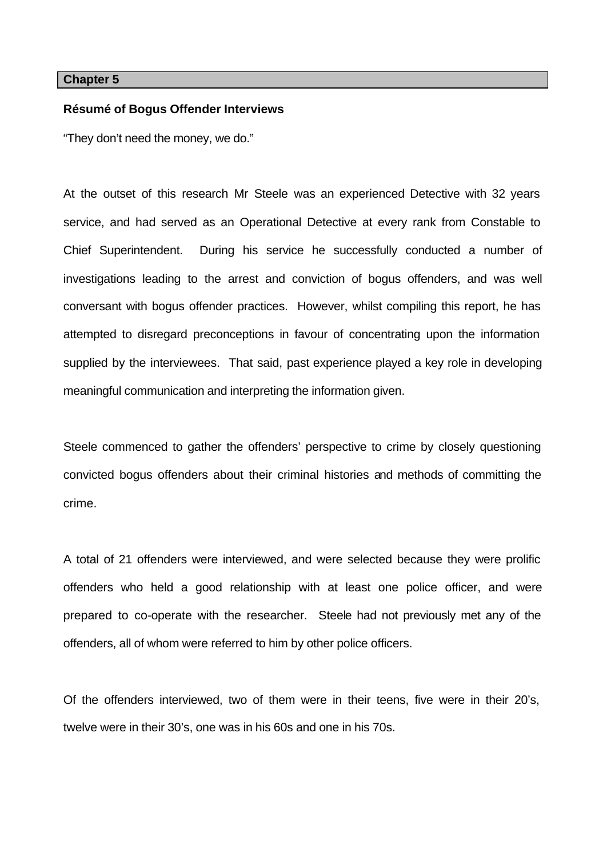#### **Chapter 5**

#### **Résumé of Bogus Offender Interviews**

"They don't need the money, we do."

At the outset of this research Mr Steele was an experienced Detective with 32 years service, and had served as an Operational Detective at every rank from Constable to Chief Superintendent. During his service he successfully conducted a number of investigations leading to the arrest and conviction of bogus offenders, and was well conversant with bogus offender practices. However, whilst compiling this report, he has attempted to disregard preconceptions in favour of concentrating upon the information supplied by the interviewees. That said, past experience played a key role in developing meaningful communication and interpreting the information given.

Steele commenced to gather the offenders' perspective to crime by closely questioning convicted bogus offenders about their criminal histories and methods of committing the crime.

A total of 21 offenders were interviewed, and were selected because they were prolific offenders who held a good relationship with at least one police officer, and were prepared to co-operate with the researcher. Steele had not previously met any of the offenders, all of whom were referred to him by other police officers.

Of the offenders interviewed, two of them were in their teens, five were in their 20's, twelve were in their 30's, one was in his 60s and one in his 70s.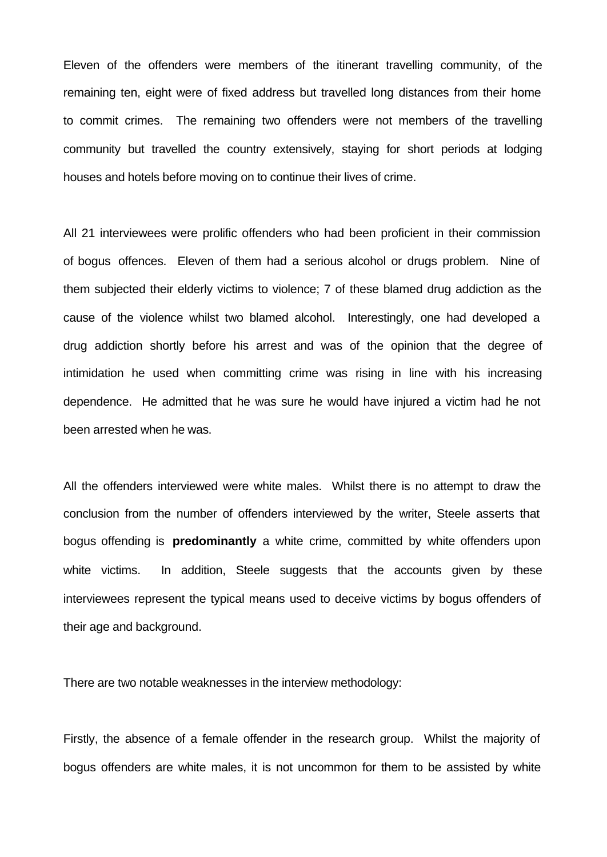Eleven of the offenders were members of the itinerant travelling community, of the remaining ten, eight were of fixed address but travelled long distances from their home to commit crimes. The remaining two offenders were not members of the travelling community but travelled the country extensively, staying for short periods at lodging houses and hotels before moving on to continue their lives of crime.

All 21 interviewees were prolific offenders who had been proficient in their commission of bogus offences. Eleven of them had a serious alcohol or drugs problem. Nine of them subjected their elderly victims to violence; 7 of these blamed drug addiction as the cause of the violence whilst two blamed alcohol. Interestingly, one had developed a drug addiction shortly before his arrest and was of the opinion that the degree of intimidation he used when committing crime was rising in line with his increasing dependence. He admitted that he was sure he would have injured a victim had he not been arrested when he was.

All the offenders interviewed were white males. Whilst there is no attempt to draw the conclusion from the number of offenders interviewed by the writer, Steele asserts that bogus offending is **predominantly** a white crime, committed by white offenders upon white victims. In addition, Steele suggests that the accounts given by these interviewees represent the typical means used to deceive victims by bogus offenders of their age and background.

There are two notable weaknesses in the interview methodology:

Firstly, the absence of a female offender in the research group. Whilst the majority of bogus offenders are white males, it is not uncommon for them to be assisted by white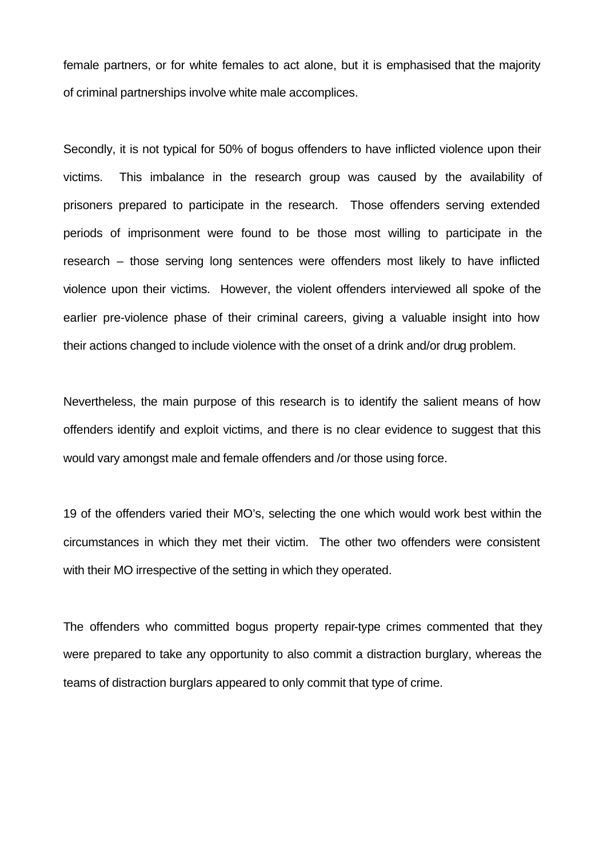female partners, or for white females to act alone, but it is emphasised that the majority of criminal partnerships involve white male accomplices.

Secondly, it is not typical for 50% of bogus offenders to have inflicted violence upon their victims. This imbalance in the research group was caused by the availability of prisoners prepared to participate in the research. Those offenders serving extended periods of imprisonment were found to be those most willing to participate in the research – those serving long sentences were offenders most likely to have inflicted violence upon their victims. However, the violent offenders interviewed all spoke of the earlier pre-violence phase of their criminal careers, giving a valuable insight into how their actions changed to include violence with the onset of a drink and/or drug problem.

Nevertheless, the main purpose of this research is to identify the salient means of how offenders identify and exploit victims, and there is no clear evidence to suggest that this would vary amongst male and female offenders and /or those using force.

19 of the offenders varied their MO's, selecting the one which would work best within the circumstances in which they met their victim. The other two offenders were consistent with their MO irrespective of the setting in which they operated.

The offenders who committed bogus property repair-type crimes commented that they were prepared to take any opportunity to also commit a distraction burglary, whereas the teams of distraction burglars appeared to only commit that type of crime.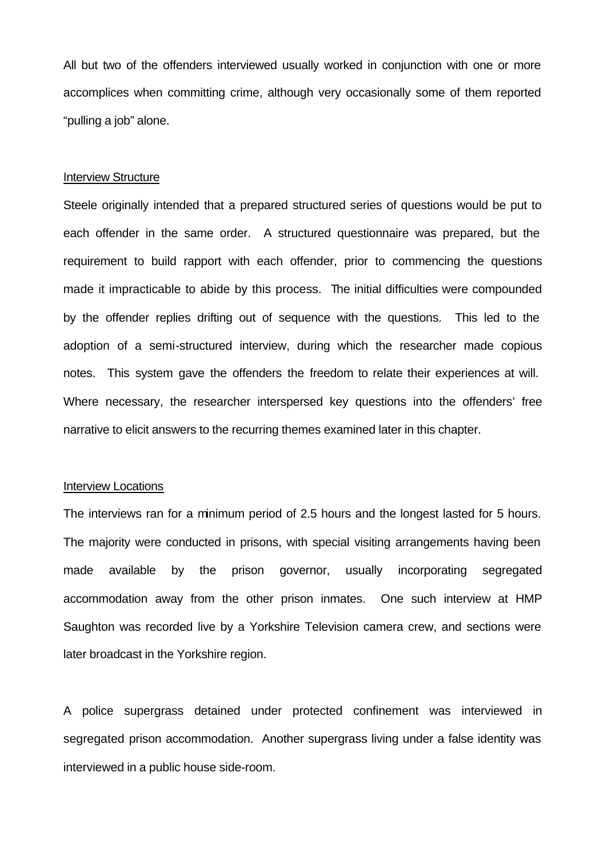All but two of the offenders interviewed usually worked in conjunction with one or more accomplices when committing crime, although very occasionally some of them reported "pulling a job" alone.

#### Interview Structure

Steele originally intended that a prepared structured series of questions would be put to each offender in the same order. A structured questionnaire was prepared, but the requirement to build rapport with each offender, prior to commencing the questions made it impracticable to abide by this process. The initial difficulties were compounded by the offender replies drifting out of sequence with the questions. This led to the adoption of a semi-structured interview, during which the researcher made copious notes. This system gave the offenders the freedom to relate their experiences at will. Where necessary, the researcher interspersed key questions into the offenders' free narrative to elicit answers to the recurring themes examined later in this chapter.

#### Interview Locations

The interviews ran for a minimum period of 2.5 hours and the longest lasted for 5 hours. The majority were conducted in prisons, with special visiting arrangements having been made available by the prison governor, usually incorporating segregated accommodation away from the other prison inmates. One such interview at HMP Saughton was recorded live by a Yorkshire Television camera crew, and sections were later broadcast in the Yorkshire region.

A police supergrass detained under protected confinement was interviewed in segregated prison accommodation. Another supergrass living under a false identity was interviewed in a public house side-room.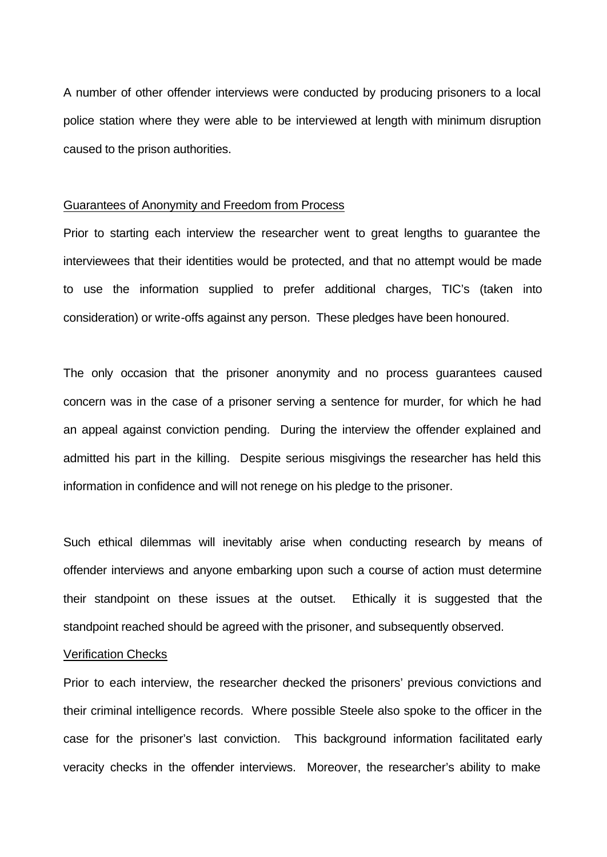A number of other offender interviews were conducted by producing prisoners to a local police station where they were able to be interviewed at length with minimum disruption caused to the prison authorities.

#### Guarantees of Anonymity and Freedom from Process

Prior to starting each interview the researcher went to great lengths to guarantee the interviewees that their identities would be protected, and that no attempt would be made to use the information supplied to prefer additional charges, TIC's (taken into consideration) or write-offs against any person. These pledges have been honoured.

The only occasion that the prisoner anonymity and no process guarantees caused concern was in the case of a prisoner serving a sentence for murder, for which he had an appeal against conviction pending. During the interview the offender explained and admitted his part in the killing. Despite serious misgivings the researcher has held this information in confidence and will not renege on his pledge to the prisoner.

Such ethical dilemmas will inevitably arise when conducting research by means of offender interviews and anyone embarking upon such a course of action must determine their standpoint on these issues at the outset. Ethically it is suggested that the standpoint reached should be agreed with the prisoner, and subsequently observed.

#### Verification Checks

Prior to each interview, the researcher decked the prisoners' previous convictions and their criminal intelligence records. Where possible Steele also spoke to the officer in the case for the prisoner's last conviction. This background information facilitated early veracity checks in the offender interviews. Moreover, the researcher's ability to make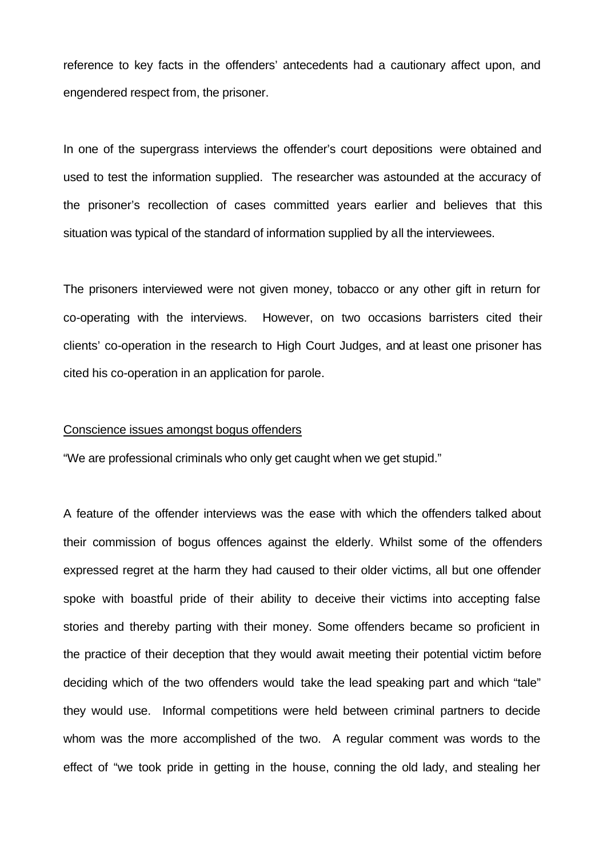reference to key facts in the offenders' antecedents had a cautionary affect upon, and engendered respect from, the prisoner.

In one of the supergrass interviews the offender's court depositions were obtained and used to test the information supplied. The researcher was astounded at the accuracy of the prisoner's recollection of cases committed years earlier and believes that this situation was typical of the standard of information supplied by all the interviewees.

The prisoners interviewed were not given money, tobacco or any other gift in return for co-operating with the interviews. However, on two occasions barristers cited their clients' co-operation in the research to High Court Judges, and at least one prisoner has cited his co-operation in an application for parole.

#### Conscience issues amongst bogus offenders

"We are professional criminals who only get caught when we get stupid."

A feature of the offender interviews was the ease with which the offenders talked about their commission of bogus offences against the elderly. Whilst some of the offenders expressed regret at the harm they had caused to their older victims, all but one offender spoke with boastful pride of their ability to deceive their victims into accepting false stories and thereby parting with their money. Some offenders became so proficient in the practice of their deception that they would await meeting their potential victim before deciding which of the two offenders would take the lead speaking part and which "tale" they would use. Informal competitions were held between criminal partners to decide whom was the more accomplished of the two. A regular comment was words to the effect of "we took pride in getting in the house, conning the old lady, and stealing her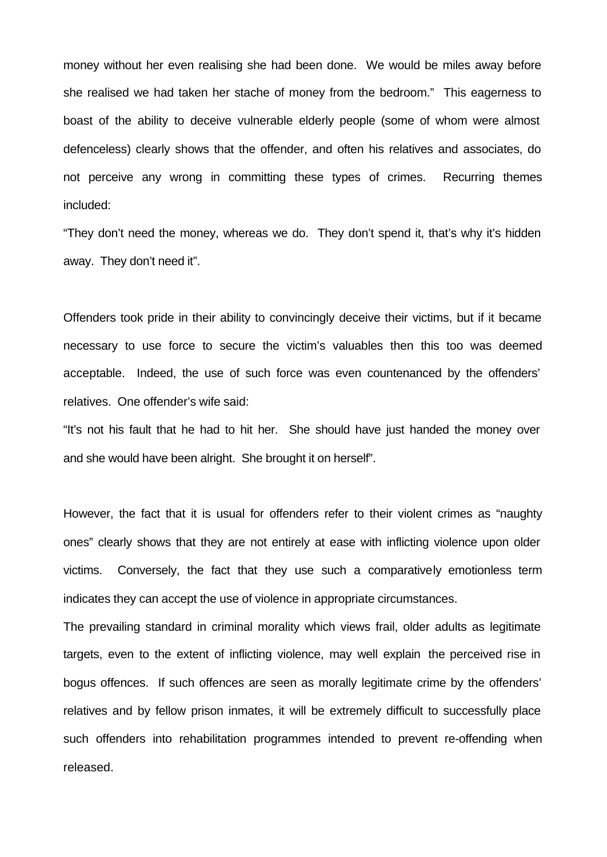money without her even realising she had been done. We would be miles away before she realised we had taken her stache of money from the bedroom." This eagerness to boast of the ability to deceive vulnerable elderly people (some of whom were almost defenceless) clearly shows that the offender, and often his relatives and associates, do not perceive any wrong in committing these types of crimes. Recurring themes included:

"They don't need the money, whereas we do. They don't spend it, that's why it's hidden away. They don't need it".

Offenders took pride in their ability to convincingly deceive their victims, but if it became necessary to use force to secure the victim's valuables then this too was deemed acceptable. Indeed, the use of such force was even countenanced by the offenders' relatives. One offender's wife said:

"It's not his fault that he had to hit her. She should have just handed the money over and she would have been alright. She brought it on herself".

However, the fact that it is usual for offenders refer to their violent crimes as "naughty ones" clearly shows that they are not entirely at ease with inflicting violence upon older victims. Conversely, the fact that they use such a comparatively emotionless term indicates they can accept the use of violence in appropriate circumstances.

The prevailing standard in criminal morality which views frail, older adults as legitimate targets, even to the extent of inflicting violence, may well explain the perceived rise in bogus offences. If such offences are seen as morally legitimate crime by the offenders' relatives and by fellow prison inmates, it will be extremely difficult to successfully place such offenders into rehabilitation programmes intended to prevent re-offending when released.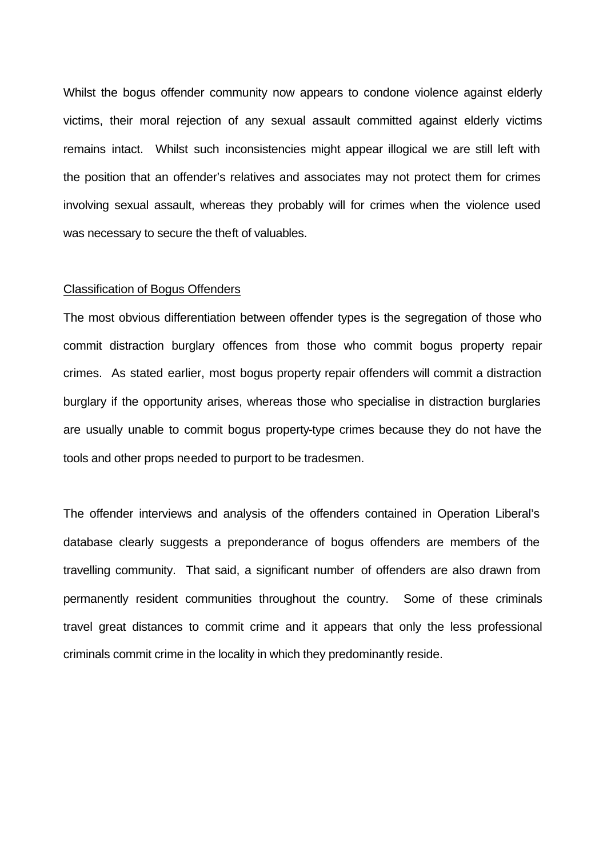Whilst the bogus offender community now appears to condone violence against elderly victims, their moral rejection of any sexual assault committed against elderly victims remains intact. Whilst such inconsistencies might appear illogical we are still left with the position that an offender's relatives and associates may not protect them for crimes involving sexual assault, whereas they probably will for crimes when the violence used was necessary to secure the theft of valuables.

#### Classification of Bogus Offenders

The most obvious differentiation between offender types is the segregation of those who commit distraction burglary offences from those who commit bogus property repair crimes. As stated earlier, most bogus property repair offenders will commit a distraction burglary if the opportunity arises, whereas those who specialise in distraction burglaries are usually unable to commit bogus property-type crimes because they do not have the tools and other props needed to purport to be tradesmen.

The offender interviews and analysis of the offenders contained in Operation Liberal's database clearly suggests a preponderance of bogus offenders are members of the travelling community. That said, a significant number of offenders are also drawn from permanently resident communities throughout the country. Some of these criminals travel great distances to commit crime and it appears that only the less professional criminals commit crime in the locality in which they predominantly reside.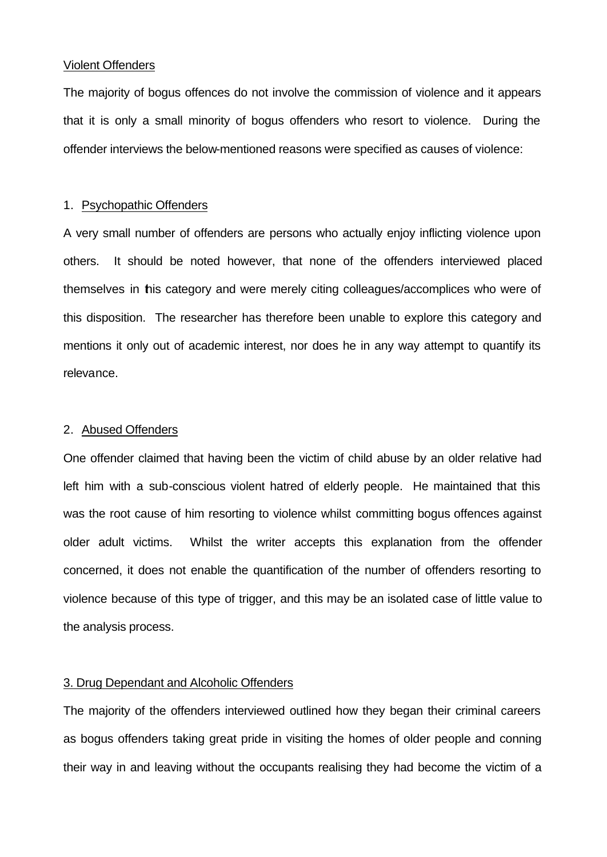#### Violent Offenders

The majority of bogus offences do not involve the commission of violence and it appears that it is only a small minority of bogus offenders who resort to violence. During the offender interviews the below-mentioned reasons were specified as causes of violence:

## 1. Psychopathic Offenders

A very small number of offenders are persons who actually enjoy inflicting violence upon others. It should be noted however, that none of the offenders interviewed placed themselves in this category and were merely citing colleagues/accomplices who were of this disposition. The researcher has therefore been unable to explore this category and mentions it only out of academic interest, nor does he in any way attempt to quantify its relevance.

## 2. Abused Offenders

One offender claimed that having been the victim of child abuse by an older relative had left him with a sub-conscious violent hatred of elderly people. He maintained that this was the root cause of him resorting to violence whilst committing bogus offences against older adult victims. Whilst the writer accepts this explanation from the offender concerned, it does not enable the quantification of the number of offenders resorting to violence because of this type of trigger, and this may be an isolated case of little value to the analysis process.

## 3. Drug Dependant and Alcoholic Offenders

The majority of the offenders interviewed outlined how they began their criminal careers as bogus offenders taking great pride in visiting the homes of older people and conning their way in and leaving without the occupants realising they had become the victim of a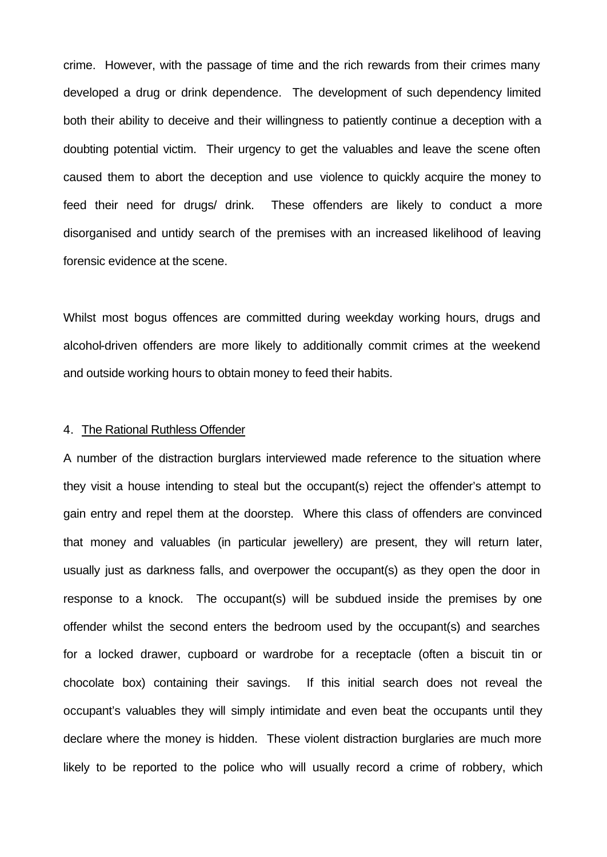crime. However, with the passage of time and the rich rewards from their crimes many developed a drug or drink dependence. The development of such dependency limited both their ability to deceive and their willingness to patiently continue a deception with a doubting potential victim. Their urgency to get the valuables and leave the scene often caused them to abort the deception and use violence to quickly acquire the money to feed their need for drugs/ drink. These offenders are likely to conduct a more disorganised and untidy search of the premises with an increased likelihood of leaving forensic evidence at the scene.

Whilst most bogus offences are committed during weekday working hours, drugs and alcohol-driven offenders are more likely to additionally commit crimes at the weekend and outside working hours to obtain money to feed their habits.

#### 4. The Rational Ruthless Offender

A number of the distraction burglars interviewed made reference to the situation where they visit a house intending to steal but the occupant(s) reject the offender's attempt to gain entry and repel them at the doorstep. Where this class of offenders are convinced that money and valuables (in particular jewellery) are present, they will return later, usually just as darkness falls, and overpower the occupant(s) as they open the door in response to a knock. The occupant(s) will be subdued inside the premises by one offender whilst the second enters the bedroom used by the occupant(s) and searches for a locked drawer, cupboard or wardrobe for a receptacle (often a biscuit tin or chocolate box) containing their savings. If this initial search does not reveal the occupant's valuables they will simply intimidate and even beat the occupants until they declare where the money is hidden. These violent distraction burglaries are much more likely to be reported to the police who will usually record a crime of robbery, which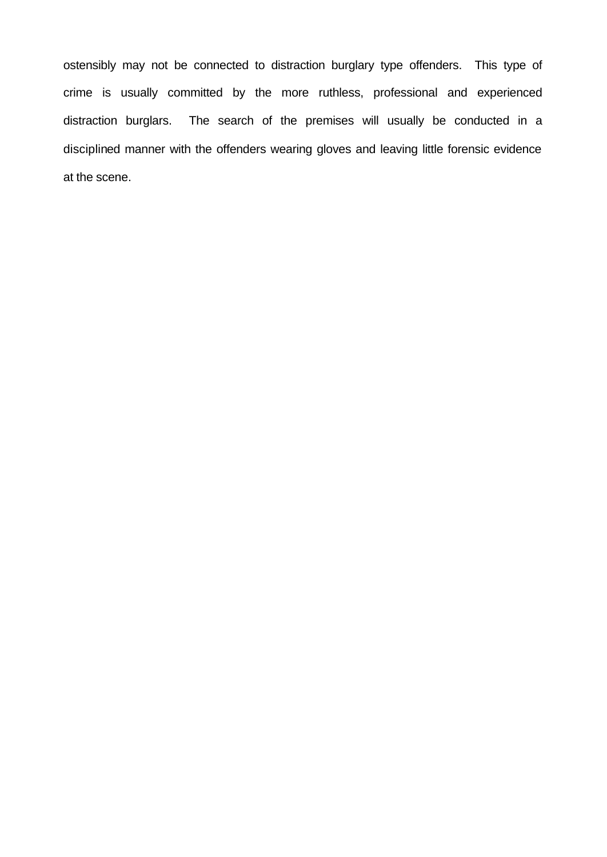ostensibly may not be connected to distraction burglary type offenders. This type of crime is usually committed by the more ruthless, professional and experienced distraction burglars. The search of the premises will usually be conducted in a disciplined manner with the offenders wearing gloves and leaving little forensic evidence at the scene.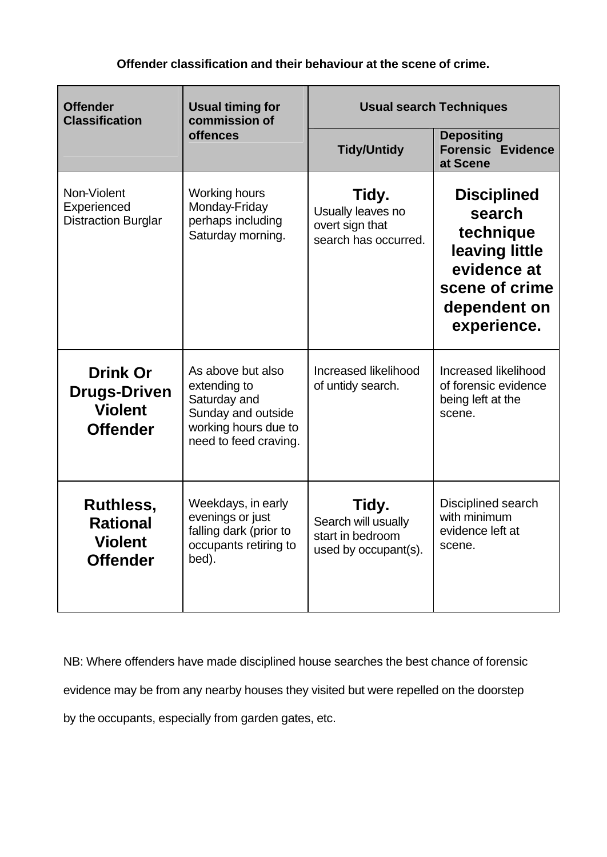# **Offender classification and their behaviour at the scene of crime.**

| <b>Offender</b><br><b>Classification</b>                                    | <b>Usual timing for</b><br>commission of<br>offences                                                                     | <b>Usual search Techniques</b>                                           |                                                                                                                             |
|-----------------------------------------------------------------------------|--------------------------------------------------------------------------------------------------------------------------|--------------------------------------------------------------------------|-----------------------------------------------------------------------------------------------------------------------------|
|                                                                             |                                                                                                                          | <b>Tidy/Untidy</b>                                                       | <b>Depositing</b><br><b>Forensic Evidence</b><br>at Scene                                                                   |
| Non-Violent<br>Experienced<br><b>Distraction Burglar</b>                    | Working hours<br>Monday-Friday<br>perhaps including<br>Saturday morning.                                                 | Tidy.<br>Usually leaves no<br>overt sign that<br>search has occurred.    | <b>Disciplined</b><br>search<br>technique<br>leaving little<br>evidence at<br>scene of crime<br>dependent on<br>experience. |
| <b>Drink Or</b><br><b>Drugs-Driven</b><br><b>Violent</b><br><b>Offender</b> | As above but also<br>extending to<br>Saturday and<br>Sunday and outside<br>working hours due to<br>need to feed craving. | Increased likelihood<br>of untidy search.                                | Increased likelihood<br>of forensic evidence<br>being left at the<br>scene.                                                 |
| <b>Ruthless,</b><br><b>Rational</b><br><b>Violent</b><br><b>Offender</b>    | Weekdays, in early<br>evenings or just<br>falling dark (prior to<br>occupants retiring to<br>bed).                       | Tidy.<br>Search will usually<br>start in bedroom<br>used by occupant(s). | Disciplined search<br>with minimum<br>evidence left at<br>scene.                                                            |

NB: Where offenders have made disciplined house searches the best chance of forensic evidence may be from any nearby houses they visited but were repelled on the doorstep by the occupants, especially from garden gates, etc.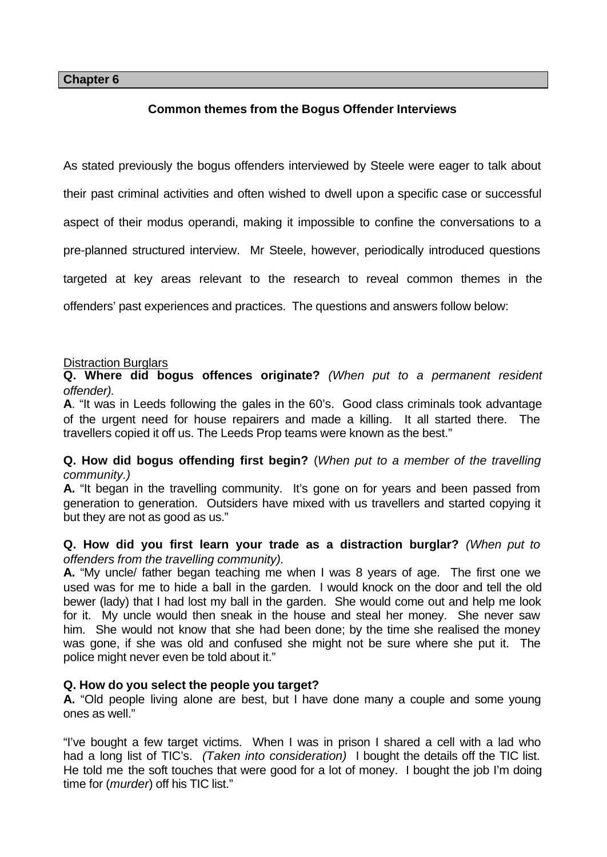## **Chapter 6**

# **Common themes from the Bogus Offender Interviews**

As stated previously the bogus offenders interviewed by Steele were eager to talk about

their past criminal activities and often wished to dwell upon a specific case or successful

aspect of their modus operandi, making it impossible to confine the conversations to a

pre-planned structured interview. Mr Steele, however, periodically introduced questions

targeted at key areas relevant to the research to reveal common themes in the

offenders' past experiences and practices. The questions and answers follow below:

# Distraction Burglars

**Q. Where did bogus offences originate?** *(When put to a permanent resident offender).*

**A**. "It was in Leeds following the gales in the 60's. Good class criminals took advantage of the urgent need for house repairers and made a killing. It all started there. The travellers copied it off us. The Leeds Prop teams were known as the best."

# **Q. How did bogus offending first begin?** (*When put to a member of the travelling community.)*

**A.** "It began in the travelling community. It's gone on for years and been passed from generation to generation. Outsiders have mixed with us travellers and started copying it but they are not as good as us."

# **Q. How did you first learn your trade as a distraction burglar?** *(When put to offenders from the travelling community).*

**A.** "My uncle/ father began teaching me when I was 8 years of age. The first one we used was for me to hide a ball in the garden. I would knock on the door and tell the old bewer (lady) that I had lost my ball in the garden. She would come out and help me look for it. My uncle would then sneak in the house and steal her money. She never saw him. She would not know that she had been done; by the time she realised the money was gone, if she was old and confused she might not be sure where she put it. The police might never even be told about it."

# **Q. How do you select the people you target?**

**A.** "Old people living alone are best, but I have done many a couple and some young ones as well."

"I've bought a few target victims. When I was in prison I shared a cell with a lad who had a long list of TIC's. *(Taken into consideration)* I bought the details off the TIC list. He told me the soft touches that were good for a lot of money. I bought the job I'm doing time for (*murder*) off his TIC list."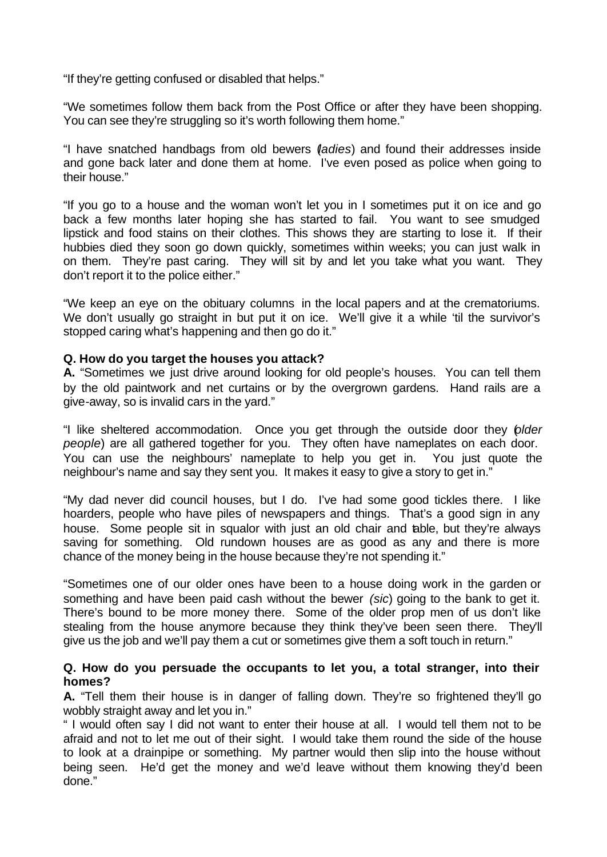"If they're getting confused or disabled that helps."

"We sometimes follow them back from the Post Office or after they have been shopping. You can see they're struggling so it's worth following them home."

"I have snatched handbags from old bewers (*ladies*) and found their addresses inside and gone back later and done them at home. I've even posed as police when going to their house."

"If you go to a house and the woman won't let you in I sometimes put it on ice and go back a few months later hoping she has started to fail. You want to see smudged lipstick and food stains on their clothes. This shows they are starting to lose it. If their hubbies died they soon go down quickly, sometimes within weeks; you can just walk in on them. They're past caring. They will sit by and let you take what you want. They don't report it to the police either."

"We keep an eye on the obituary columns in the local papers and at the crematoriums. We don't usually go straight in but put it on ice. We'll give it a while 'til the survivor's stopped caring what's happening and then go do it."

# **Q. How do you target the houses you attack?**

**A.** "Sometimes we just drive around looking for old people's houses. You can tell them by the old paintwork and net curtains or by the overgrown gardens. Hand rails are a give-away, so is invalid cars in the yard."

"I like sheltered accommodation. Once you get through the outside door they (*older people*) are all gathered together for you. They often have nameplates on each door. You can use the neighbours' nameplate to help you get in. You just quote the neighbour's name and say they sent you. It makes it easy to give a story to get in."

"My dad never did council houses, but I do. I've had some good tickles there. I like hoarders, people who have piles of newspapers and things. That's a good sign in any house. Some people sit in squalor with just an old chair and table, but they're always saving for something. Old rundown houses are as good as any and there is more chance of the money being in the house because they're not spending it."

"Sometimes one of our older ones have been to a house doing work in the garden or something and have been paid cash without the bewer *(sic*) going to the bank to get it. There's bound to be more money there. Some of the older prop men of us don't like stealing from the house anymore because they think they've been seen there. They'll give us the job and we'll pay them a cut or sometimes give them a soft touch in return."

# **Q. How do you persuade the occupants to let you, a total stranger, into their homes?**

**A.** "Tell them their house is in danger of falling down. They're so frightened they'll go wobbly straight away and let you in."

" I would often say I did not want to enter their house at all. I would tell them not to be afraid and not to let me out of their sight. I would take them round the side of the house to look at a drainpipe or something. My partner would then slip into the house without being seen. He'd get the money and we'd leave without them knowing they'd been done."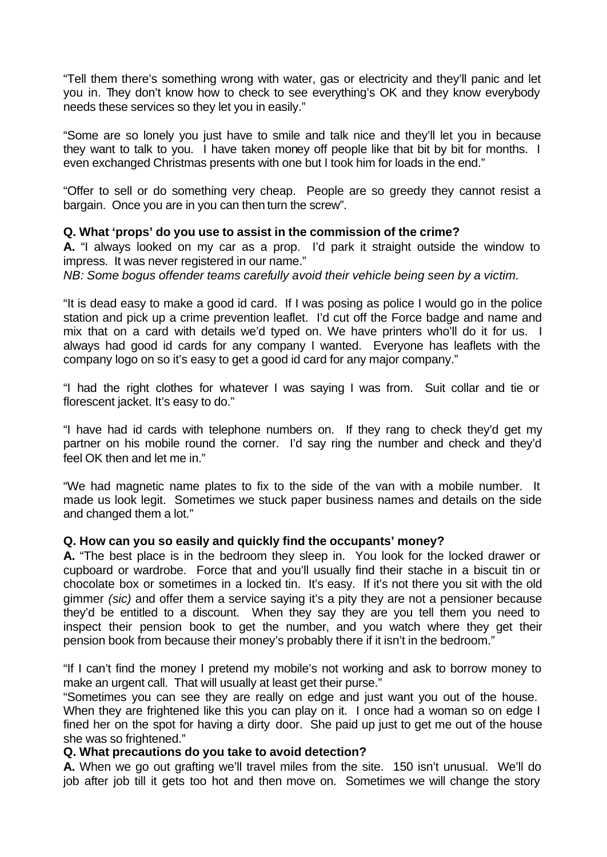"Tell them there's something wrong with water, gas or electricity and they'll panic and let you in. They don't know how to check to see everything's OK and they know everybody needs these services so they let you in easily."

"Some are so lonely you just have to smile and talk nice and they'll let you in because they want to talk to you. I have taken money off people like that bit by bit for months. I even exchanged Christmas presents with one but I took him for loads in the end."

"Offer to sell or do something very cheap. People are so greedy they cannot resist a bargain. Once you are in you can then turn the screw".

# **Q. What 'props' do you use to assist in the commission of the crime?**

**A.** "I always looked on my car as a prop. I'd park it straight outside the window to impress. It was never registered in our name."

*NB: Some bogus offender teams carefully avoid their vehicle being seen by a victim.*

"It is dead easy to make a good id card. If I was posing as police I would go in the police station and pick up a crime prevention leaflet. I'd cut off the Force badge and name and mix that on a card with details we'd typed on. We have printers who'll do it for us. I always had good id cards for any company I wanted. Everyone has leaflets with the company logo on so it's easy to get a good id card for any major company."

"I had the right clothes for whatever I was saying I was from. Suit collar and tie or florescent jacket. It's easy to do."

"I have had id cards with telephone numbers on. If they rang to check they'd get my partner on his mobile round the corner. I'd say ring the number and check and they'd feel OK then and let me in."

"We had magnetic name plates to fix to the side of the van with a mobile number. It made us look legit. Sometimes we stuck paper business names and details on the side and changed them a lot."

## **Q. How can you so easily and quickly find the occupants' money?**

**A.** "The best place is in the bedroom they sleep in. You look for the locked drawer or cupboard or wardrobe. Force that and you'll usually find their stache in a biscuit tin or chocolate box or sometimes in a locked tin. It's easy. If it's not there you sit with the old gimmer *(sic)* and offer them a service saying it's a pity they are not a pensioner because they'd be entitled to a discount. When they say they are you tell them you need to inspect their pension book to get the number, and you watch where they get their pension book from because their money's probably there if it isn't in the bedroom."

"If I can't find the money I pretend my mobile's not working and ask to borrow money to make an urgent call. That will usually at least get their purse."

"Sometimes you can see they are really on edge and just want you out of the house. When they are frightened like this you can play on it. I once had a woman so on edge I fined her on the spot for having a dirty door. She paid up just to get me out of the house she was so frightened."

## **Q. What precautions do you take to avoid detection?**

**A.** When we go out grafting we'll travel miles from the site. 150 isn't unusual. We'll do job after job till it gets too hot and then move on. Sometimes we will change the story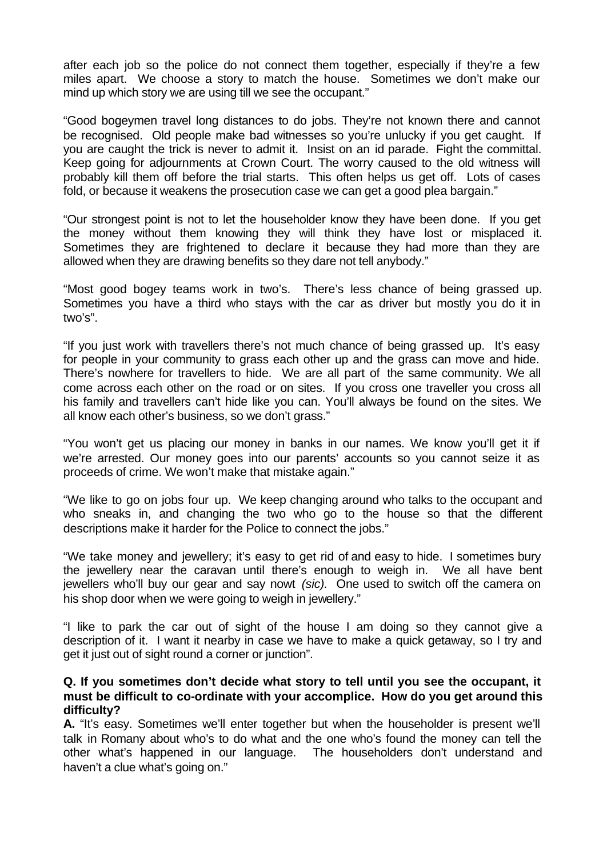after each job so the police do not connect them together, especially if they're a few miles apart. We choose a story to match the house. Sometimes we don't make our mind up which story we are using till we see the occupant."

"Good bogeymen travel long distances to do jobs. They're not known there and cannot be recognised. Old people make bad witnesses so you're unlucky if you get caught. If you are caught the trick is never to admit it. Insist on an id parade. Fight the committal. Keep going for adjournments at Crown Court. The worry caused to the old witness will probably kill them off before the trial starts. This often helps us get off. Lots of cases fold, or because it weakens the prosecution case we can get a good plea bargain."

"Our strongest point is not to let the householder know they have been done. If you get the money without them knowing they will think they have lost or misplaced it. Sometimes they are frightened to declare it because they had more than they are allowed when they are drawing benefits so they dare not tell anybody."

"Most good bogey teams work in two's. There's less chance of being grassed up. Sometimes you have a third who stays with the car as driver but mostly you do it in two's".

"If you just work with travellers there's not much chance of being grassed up. It's easy for people in your community to grass each other up and the grass can move and hide. There's nowhere for travellers to hide. We are all part of the same community. We all come across each other on the road or on sites. If you cross one traveller you cross all his family and travellers can't hide like you can. You'll always be found on the sites. We all know each other's business, so we don't grass."

"You won't get us placing our money in banks in our names. We know you'll get it if we're arrested. Our money goes into our parents' accounts so you cannot seize it as proceeds of crime. We won't make that mistake again."

"We like to go on jobs four up. We keep changing around who talks to the occupant and who sneaks in, and changing the two who go to the house so that the different descriptions make it harder for the Police to connect the jobs."

"We take money and jewellery; it's easy to get rid of and easy to hide. I sometimes bury the jewellery near the caravan until there's enough to weigh in. We all have bent jewellers who'll buy our gear and say nowt *(sic).* One used to switch off the camera on his shop door when we were going to weigh in jewellery."

"I like to park the car out of sight of the house I am doing so they cannot give a description of it. I want it nearby in case we have to make a quick getaway, so I try and get it just out of sight round a corner or junction".

## **Q. If you sometimes don't decide what story to tell until you see the occupant, it must be difficult to co-ordinate with your accomplice. How do you get around this difficulty?**

**A.** "It's easy. Sometimes we'll enter together but when the householder is present we'll talk in Romany about who's to do what and the one who's found the money can tell the other what's happened in our language. The householders don't understand and haven't a clue what's going on."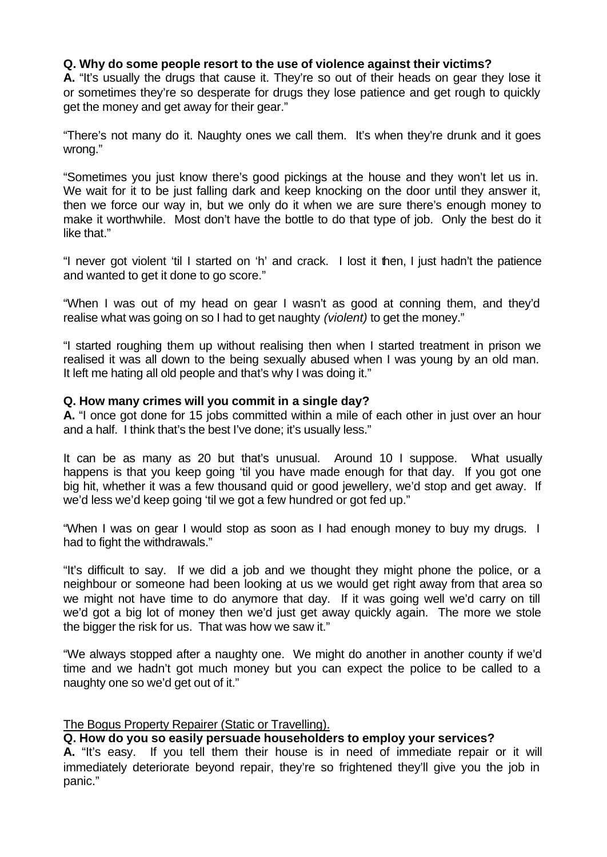# **Q. Why do some people resort to the use of violence against their victims?**

**A.** "It's usually the drugs that cause it. They're so out of their heads on gear they lose it or sometimes they're so desperate for drugs they lose patience and get rough to quickly get the money and get away for their gear."

"There's not many do it. Naughty ones we call them. It's when they're drunk and it goes wrong."

"Sometimes you just know there's good pickings at the house and they won't let us in. We wait for it to be just falling dark and keep knocking on the door until they answer it, then we force our way in, but we only do it when we are sure there's enough money to make it worthwhile. Most don't have the bottle to do that type of job. Only the best do it like that."

"I never got violent 'til I started on 'h' and crack. I lost it then, I just hadn't the patience and wanted to get it done to go score."

"When I was out of my head on gear I wasn't as good at conning them, and they'd realise what was going on so I had to get naughty *(violent)* to get the money."

"I started roughing them up without realising then when I started treatment in prison we realised it was all down to the being sexually abused when I was young by an old man. It left me hating all old people and that's why I was doing it."

## **Q. How many crimes will you commit in a single day?**

**A.** "I once got done for 15 jobs committed within a mile of each other in just over an hour and a half. I think that's the best I've done; it's usually less."

It can be as many as 20 but that's unusual. Around 10 I suppose. What usually happens is that you keep going 'til you have made enough for that day. If you got one big hit, whether it was a few thousand quid or good jewellery, we'd stop and get away. If we'd less we'd keep going 'til we got a few hundred or got fed up."

"When I was on gear I would stop as soon as I had enough money to buy my drugs. I had to fight the withdrawals."

"It's difficult to say. If we did a job and we thought they might phone the police, or a neighbour or someone had been looking at us we would get right away from that area so we might not have time to do anymore that day. If it was going well we'd carry on till we'd got a big lot of money then we'd just get away quickly again. The more we stole the bigger the risk for us. That was how we saw it."

"We always stopped after a naughty one. We might do another in another county if we'd time and we hadn't got much money but you can expect the police to be called to a naughty one so we'd get out of it."

## The Bogus Property Repairer (Static or Travelling).

# **Q. How do you so easily persuade householders to employ your services?**

**A.** "It's easy. If you tell them their house is in need of immediate repair or it will immediately deteriorate beyond repair, they're so frightened they'll give you the job in panic."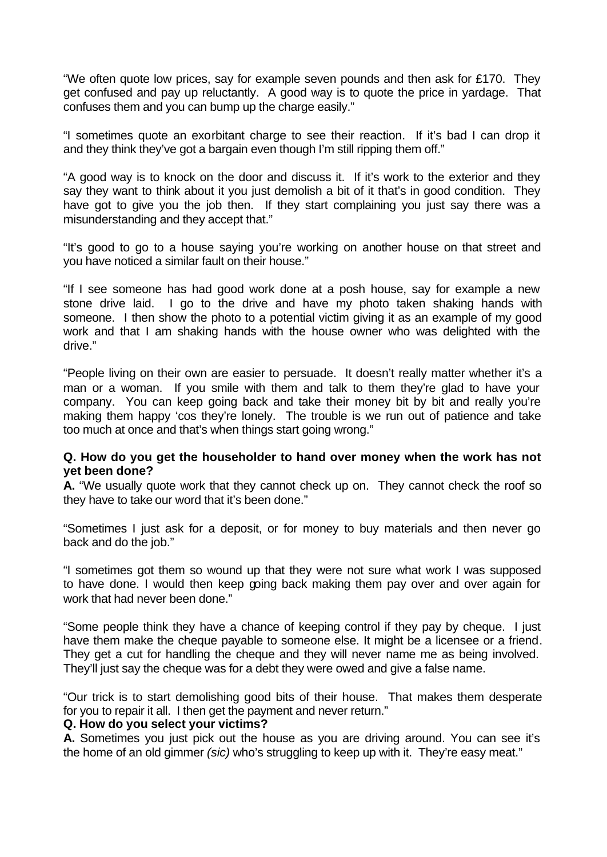"We often quote low prices, say for example seven pounds and then ask for  $£170$ . They get confused and pay up reluctantly. A good way is to quote the price in yardage. That confuses them and you can bump up the charge easily."

"I sometimes quote an exorbitant charge to see their reaction. If it's bad I can drop it and they think they've got a bargain even though I'm still ripping them off."

"A good way is to knock on the door and discuss it. If it's work to the exterior and they say they want to think about it you just demolish a bit of it that's in good condition. They have got to give you the job then. If they start complaining you just say there was a misunderstanding and they accept that."

"It's good to go to a house saying you're working on another house on that street and you have noticed a similar fault on their house."

"If I see someone has had good work done at a posh house, say for example a new stone drive laid. I go to the drive and have my photo taken shaking hands with someone. I then show the photo to a potential victim giving it as an example of my good work and that I am shaking hands with the house owner who was delighted with the drive."

"People living on their own are easier to persuade. It doesn't really matter whether it's a man or a woman. If you smile with them and talk to them they're glad to have your company. You can keep going back and take their money bit by bit and really you're making them happy 'cos they're lonely. The trouble is we run out of patience and take too much at once and that's when things start going wrong."

# **Q. How do you get the householder to hand over money when the work has not yet been done?**

**A.** "We usually quote work that they cannot check up on. They cannot check the roof so they have to take our word that it's been done."

"Sometimes I just ask for a deposit, or for money to buy materials and then never go back and do the job."

"I sometimes got them so wound up that they were not sure what work I was supposed to have done. I would then keep going back making them pay over and over again for work that had never been done."

"Some people think they have a chance of keeping control if they pay by cheque. I just have them make the cheque payable to someone else. It might be a licensee or a friend. They get a cut for handling the cheque and they will never name me as being involved. They'll just say the cheque was for a debt they were owed and give a false name.

"Our trick is to start demolishing good bits of their house. That makes them desperate for you to repair it all. I then get the payment and never return."

# **Q. How do you select your victims?**

**A.** Sometimes you just pick out the house as you are driving around. You can see it's the home of an old gimmer *(sic)* who's struggling to keep up with it. They're easy meat."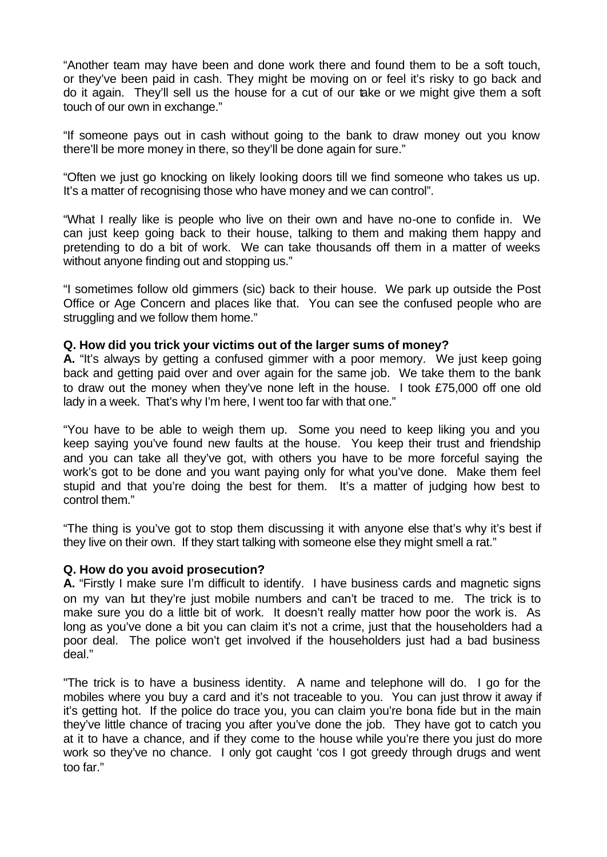"Another team may have been and done work there and found them to be a soft touch, or they've been paid in cash. They might be moving on or feel it's risky to go back and do it again. They'll sell us the house for a cut of our take or we might give them a soft touch of our own in exchange."

"If someone pays out in cash without going to the bank to draw money out you know there'll be more money in there, so they'll be done again for sure."

"Often we just go knocking on likely looking doors till we find someone who takes us up. It's a matter of recognising those who have money and we can control".

"What I really like is people who live on their own and have no-one to confide in. We can just keep going back to their house, talking to them and making them happy and pretending to do a bit of work. We can take thousands off them in a matter of weeks without anyone finding out and stopping us."

"I sometimes follow old gimmers (sic) back to their house. We park up outside the Post Office or Age Concern and places like that. You can see the confused people who are struggling and we follow them home."

## **Q. How did you trick your victims out of the larger sums of money?**

**A.** "It's always by getting a confused gimmer with a poor memory. We just keep going back and getting paid over and over again for the same job. We take them to the bank to draw out the money when they've none left in the house. I took £75,000 off one old lady in a week. That's why I'm here, I went too far with that one."

"You have to be able to weigh them up. Some you need to keep liking you and you keep saying you've found new faults at the house. You keep their trust and friendship and you can take all they've got, with others you have to be more forceful saying the work's got to be done and you want paying only for what you've done. Make them feel stupid and that you're doing the best for them. It's a matter of judging how best to control them."

"The thing is you've got to stop them discussing it with anyone else that's why it's best if they live on their own. If they start talking with someone else they might smell a rat."

## **Q. How do you avoid prosecution?**

**A.** "Firstly I make sure I'm difficult to identify. I have business cards and magnetic signs on my van but they're just mobile numbers and can't be traced to me. The trick is to make sure you do a little bit of work. It doesn't really matter how poor the work is. As long as you've done a bit you can claim it's not a crime, just that the householders had a poor deal. The police won't get involved if the householders just had a bad business deal."

"The trick is to have a business identity. A name and telephone will do. I go for the mobiles where you buy a card and it's not traceable to you. You can just throw it away if it's getting hot. If the police do trace you, you can claim you're bona fide but in the main they've little chance of tracing you after you've done the job. They have got to catch you at it to have a chance, and if they come to the house while you're there you just do more work so they've no chance. I only got caught 'cos I got greedy through drugs and went too far."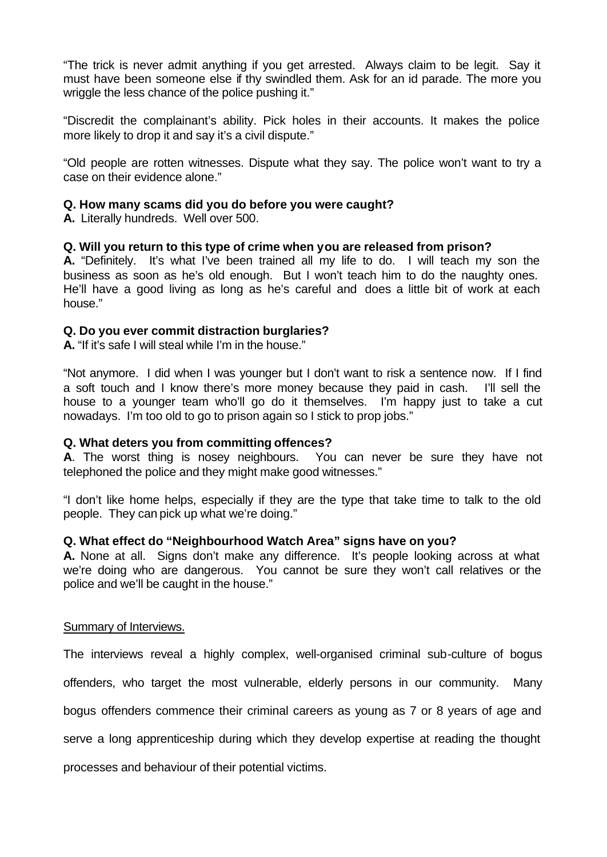"The trick is never admit anything if you get arrested. Always claim to be legit. Say it must have been someone else if thy swindled them. Ask for an id parade. The more you wriggle the less chance of the police pushing it."

"Discredit the complainant's ability. Pick holes in their accounts. It makes the police more likely to drop it and say it's a civil dispute."

"Old people are rotten witnesses. Dispute what they say. The police won't want to try a case on their evidence alone."

# **Q. How many scams did you do before you were caught?**

**A.** Literally hundreds. Well over 500.

# **Q. Will you return to this type of crime when you are released from prison?**

**A.** "Definitely. It's what I've been trained all my life to do. I will teach my son the business as soon as he's old enough. But I won't teach him to do the naughty ones. He'll have a good living as long as he's careful and does a little bit of work at each house."

# **Q. Do you ever commit distraction burglaries?**

**A.** "If it's safe I will steal while I'm in the house."

"Not anymore. I did when I was younger but I don't want to risk a sentence now. If I find a soft touch and I know there's more money because they paid in cash. I'll sell the house to a younger team who'll go do it themselves. I'm happy just to take a cut nowadays. I'm too old to go to prison again so I stick to prop jobs."

# **Q. What deters you from committing offences?**

**A**. The worst thing is nosey neighbours. You can never be sure they have not telephoned the police and they might make good witnesses."

"I don't like home helps, especially if they are the type that take time to talk to the old people. They can pick up what we're doing."

## **Q. What effect do "Neighbourhood Watch Area" signs have on you?**

**A.** None at all. Signs don't make any difference. It's people looking across at what we're doing who are dangerous. You cannot be sure they won't call relatives or the police and we'll be caught in the house."

## Summary of Interviews.

The interviews reveal a highly complex, well-organised criminal sub-culture of bogus

offenders, who target the most vulnerable, elderly persons in our community. Many

bogus offenders commence their criminal careers as young as 7 or 8 years of age and

serve a long apprenticeship during which they develop expertise at reading the thought

processes and behaviour of their potential victims.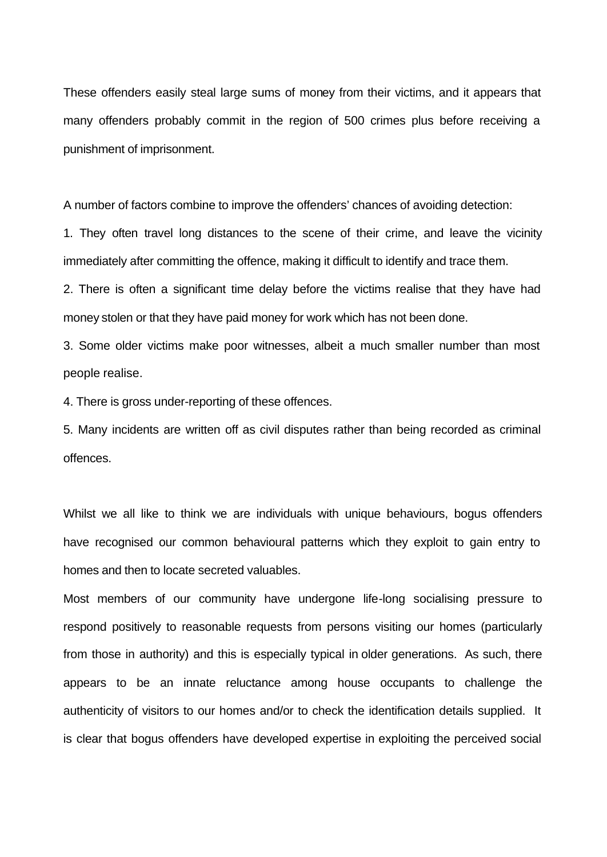These offenders easily steal large sums of money from their victims, and it appears that many offenders probably commit in the region of 500 crimes plus before receiving a punishment of imprisonment.

A number of factors combine to improve the offenders' chances of avoiding detection:

1. They often travel long distances to the scene of their crime, and leave the vicinity immediately after committing the offence, making it difficult to identify and trace them.

2. There is often a significant time delay before the victims realise that they have had money stolen or that they have paid money for work which has not been done.

3. Some older victims make poor witnesses, albeit a much smaller number than most people realise.

4. There is gross under-reporting of these offences.

5. Many incidents are written off as civil disputes rather than being recorded as criminal offences.

Whilst we all like to think we are individuals with unique behaviours, bogus offenders have recognised our common behavioural patterns which they exploit to gain entry to homes and then to locate secreted valuables.

Most members of our community have undergone life-long socialising pressure to respond positively to reasonable requests from persons visiting our homes (particularly from those in authority) and this is especially typical in older generations. As such, there appears to be an innate reluctance among house occupants to challenge the authenticity of visitors to our homes and/or to check the identification details supplied. It is clear that bogus offenders have developed expertise in exploiting the perceived social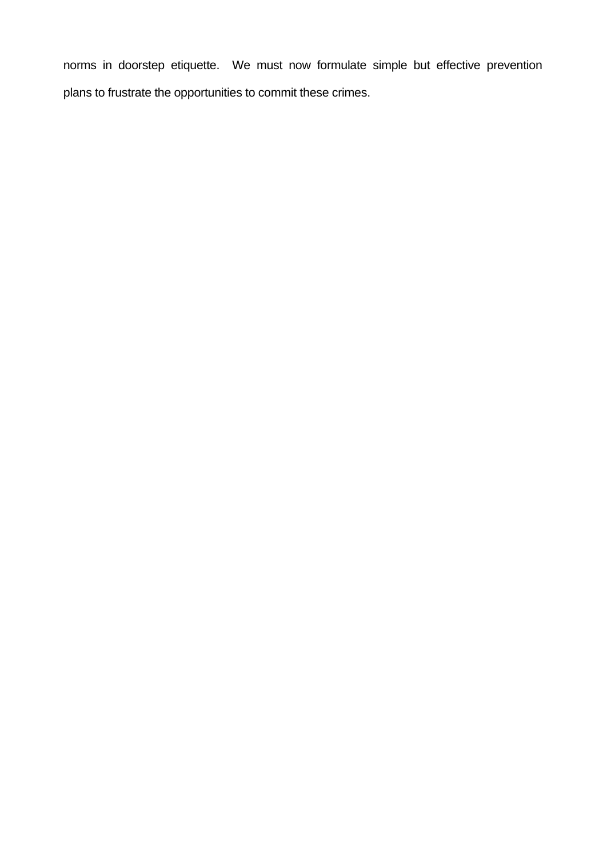norms in doorstep etiquette. We must now formulate simple but effective prevention plans to frustrate the opportunities to commit these crimes.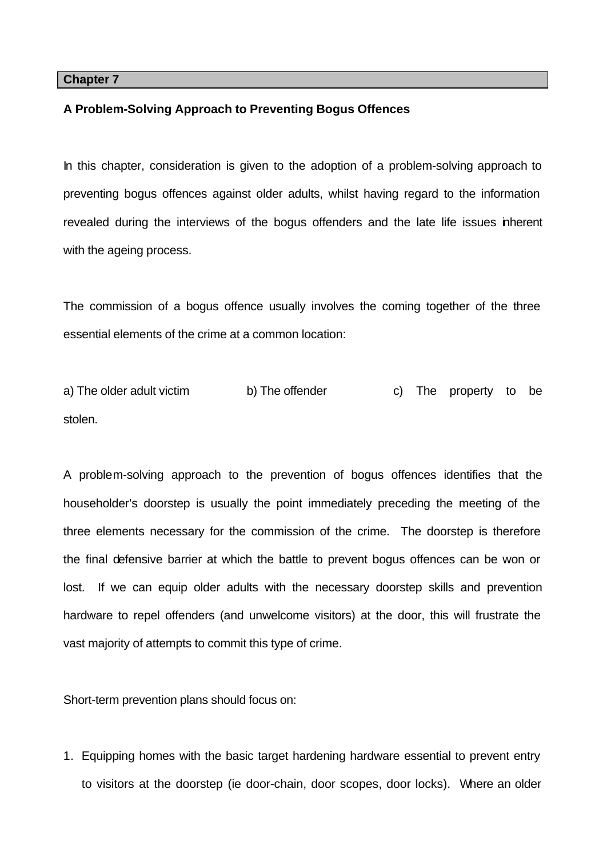#### **Chapter 7**

#### **A Problem-Solving Approach to Preventing Bogus Offences**

In this chapter, consideration is given to the adoption of a problem-solving approach to preventing bogus offences against older adults, whilst having regard to the information revealed during the interviews of the bogus offenders and the late life issues inherent with the ageing process.

The commission of a bogus offence usually involves the coming together of the three essential elements of the crime at a common location:

a) The older adult victim b) The offender c) The property to be stolen.

A problem-solving approach to the prevention of bogus offences identifies that the householder's doorstep is usually the point immediately preceding the meeting of the three elements necessary for the commission of the crime. The doorstep is therefore the final defensive barrier at which the battle to prevent bogus offences can be won or lost. If we can equip older adults with the necessary doorstep skills and prevention hardware to repel offenders (and unwelcome visitors) at the door, this will frustrate the vast majority of attempts to commit this type of crime.

Short-term prevention plans should focus on:

1. Equipping homes with the basic target hardening hardware essential to prevent entry to visitors at the doorstep (ie door-chain, door scopes, door locks). Where an older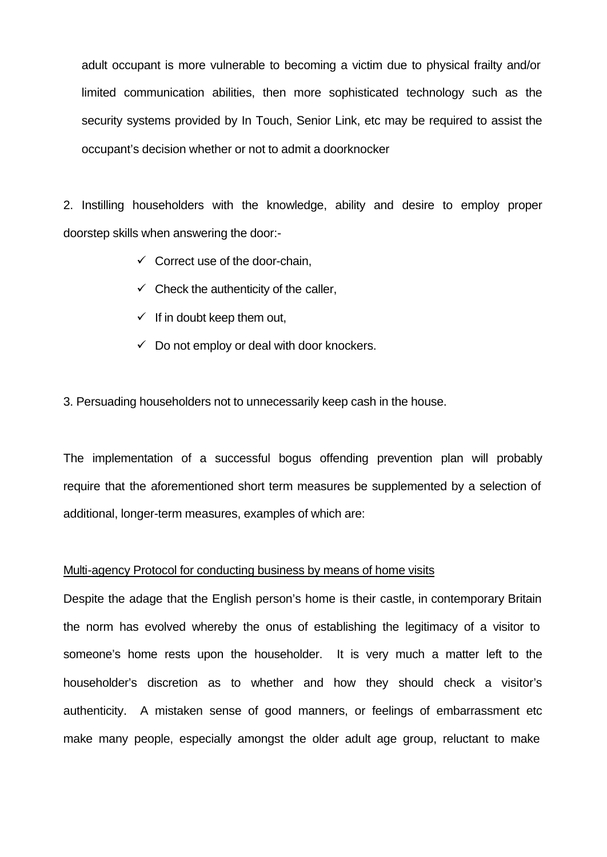adult occupant is more vulnerable to becoming a victim due to physical frailty and/or limited communication abilities, then more sophisticated technology such as the security systems provided by In Touch, Senior Link, etc may be required to assist the occupant's decision whether or not to admit a doorknocker

2. Instilling householders with the knowledge, ability and desire to employ proper doorstep skills when answering the door:-

- $\checkmark$  Correct use of the door-chain,
- $\checkmark$  Check the authenticity of the caller,
- $\checkmark$  If in doubt keep them out,
- $\checkmark$  Do not employ or deal with door knockers.

3. Persuading householders not to unnecessarily keep cash in the house.

The implementation of a successful bogus offending prevention plan will probably require that the aforementioned short term measures be supplemented by a selection of additional, longer-term measures, examples of which are:

#### Multi-agency Protocol for conducting business by means of home visits

Despite the adage that the English person's home is their castle, in contemporary Britain the norm has evolved whereby the onus of establishing the legitimacy of a visitor to someone's home rests upon the householder. It is very much a matter left to the householder's discretion as to whether and how they should check a visitor's authenticity. A mistaken sense of good manners, or feelings of embarrassment etc make many people, especially amongst the older adult age group, reluctant to make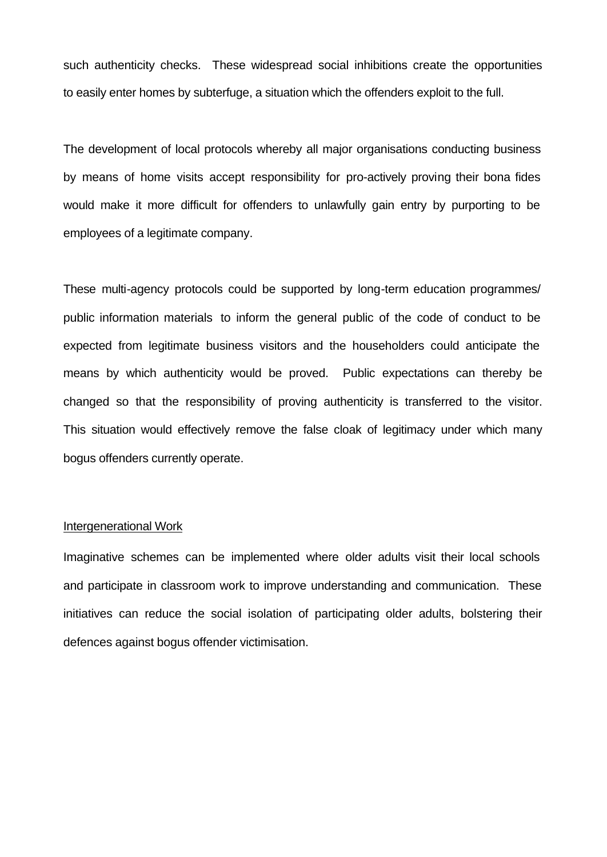such authenticity checks. These widespread social inhibitions create the opportunities to easily enter homes by subterfuge, a situation which the offenders exploit to the full.

The development of local protocols whereby all major organisations conducting business by means of home visits accept responsibility for pro-actively proving their bona fides would make it more difficult for offenders to unlawfully gain entry by purporting to be employees of a legitimate company.

These multi-agency protocols could be supported by long-term education programmes/ public information materials to inform the general public of the code of conduct to be expected from legitimate business visitors and the householders could anticipate the means by which authenticity would be proved. Public expectations can thereby be changed so that the responsibility of proving authenticity is transferred to the visitor. This situation would effectively remove the false cloak of legitimacy under which many bogus offenders currently operate.

#### Intergenerational Work

Imaginative schemes can be implemented where older adults visit their local schools and participate in classroom work to improve understanding and communication. These initiatives can reduce the social isolation of participating older adults, bolstering their defences against bogus offender victimisation.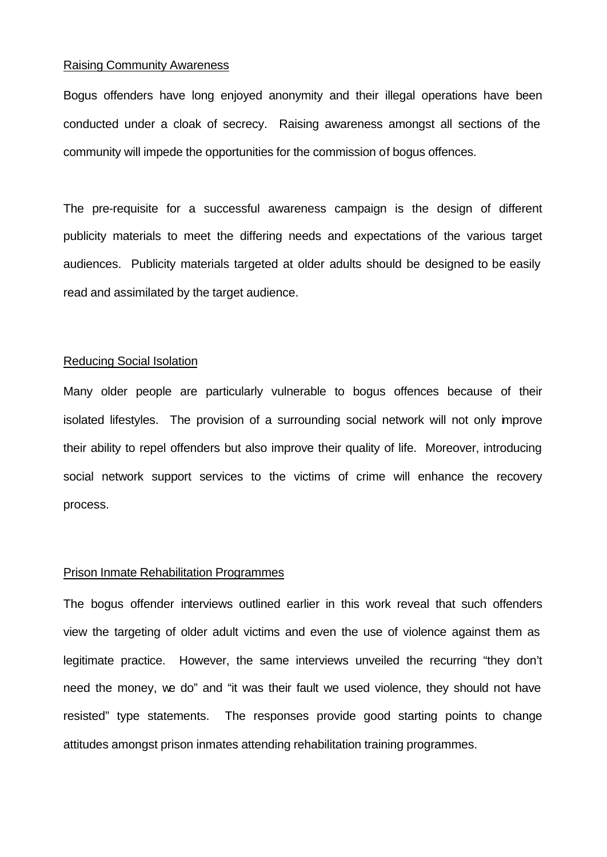#### Raising Community Awareness

Bogus offenders have long enjoyed anonymity and their illegal operations have been conducted under a cloak of secrecy. Raising awareness amongst all sections of the community will impede the opportunities for the commission of bogus offences.

The pre-requisite for a successful awareness campaign is the design of different publicity materials to meet the differing needs and expectations of the various target audiences. Publicity materials targeted at older adults should be designed to be easily read and assimilated by the target audience.

## Reducing Social Isolation

Many older people are particularly vulnerable to bogus offences because of their isolated lifestyles. The provision of a surrounding social network will not only improve their ability to repel offenders but also improve their quality of life. Moreover, introducing social network support services to the victims of crime will enhance the recovery process.

## Prison Inmate Rehabilitation Programmes

The bogus offender interviews outlined earlier in this work reveal that such offenders view the targeting of older adult victims and even the use of violence against them as legitimate practice. However, the same interviews unveiled the recurring "they don't need the money, we do" and "it was their fault we used violence, they should not have resisted" type statements. The responses provide good starting points to change attitudes amongst prison inmates attending rehabilitation training programmes.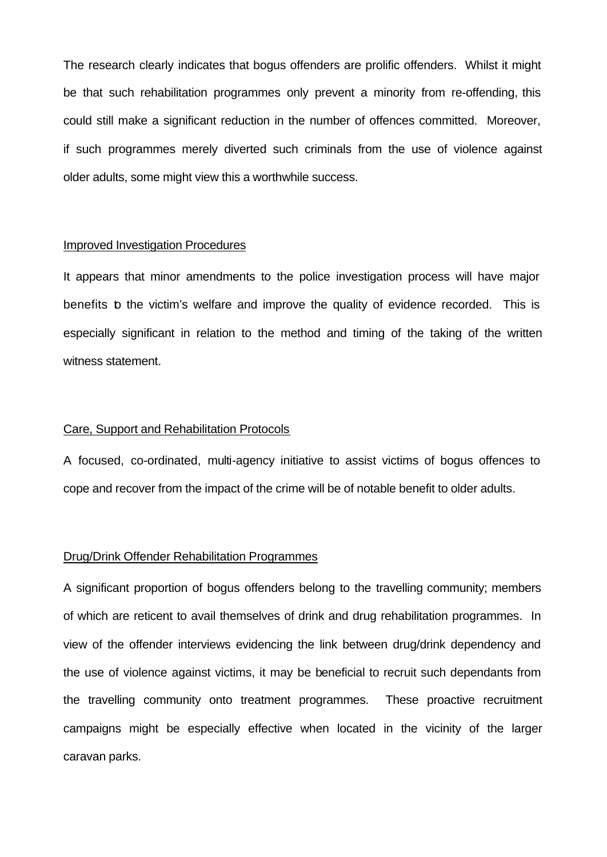The research clearly indicates that bogus offenders are prolific offenders. Whilst it might be that such rehabilitation programmes only prevent a minority from re-offending, this could still make a significant reduction in the number of offences committed. Moreover, if such programmes merely diverted such criminals from the use of violence against older adults, some might view this a worthwhile success.

#### Improved Investigation Procedures

It appears that minor amendments to the police investigation process will have major benefits to the victim's welfare and improve the quality of evidence recorded. This is especially significant in relation to the method and timing of the taking of the written witness statement.

#### Care, Support and Rehabilitation Protocols

A focused, co-ordinated, multi-agency initiative to assist victims of bogus offences to cope and recover from the impact of the crime will be of notable benefit to older adults.

#### Drug/Drink Offender Rehabilitation Programmes

A significant proportion of bogus offenders belong to the travelling community; members of which are reticent to avail themselves of drink and drug rehabilitation programmes. In view of the offender interviews evidencing the link between drug/drink dependency and the use of violence against victims, it may be beneficial to recruit such dependants from the travelling community onto treatment programmes. These proactive recruitment campaigns might be especially effective when located in the vicinity of the larger caravan parks.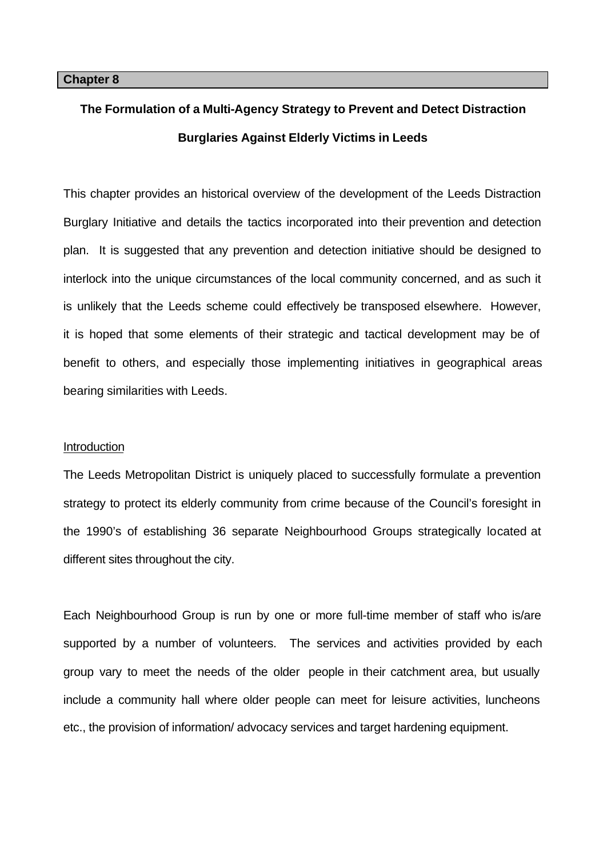# **The Formulation of a Multi-Agency Strategy to Prevent and Detect Distraction Burglaries Against Elderly Victims in Leeds**

This chapter provides an historical overview of the development of the Leeds Distraction Burglary Initiative and details the tactics incorporated into their prevention and detection plan. It is suggested that any prevention and detection initiative should be designed to interlock into the unique circumstances of the local community concerned, and as such it is unlikely that the Leeds scheme could effectively be transposed elsewhere. However, it is hoped that some elements of their strategic and tactical development may be of benefit to others, and especially those implementing initiatives in geographical areas bearing similarities with Leeds.

#### **Introduction**

The Leeds Metropolitan District is uniquely placed to successfully formulate a prevention strategy to protect its elderly community from crime because of the Council's foresight in the 1990's of establishing 36 separate Neighbourhood Groups strategically located at different sites throughout the city.

Each Neighbourhood Group is run by one or more full-time member of staff who is/are supported by a number of volunteers. The services and activities provided by each group vary to meet the needs of the older people in their catchment area, but usually include a community hall where older people can meet for leisure activities, luncheons etc., the provision of information/ advocacy services and target hardening equipment.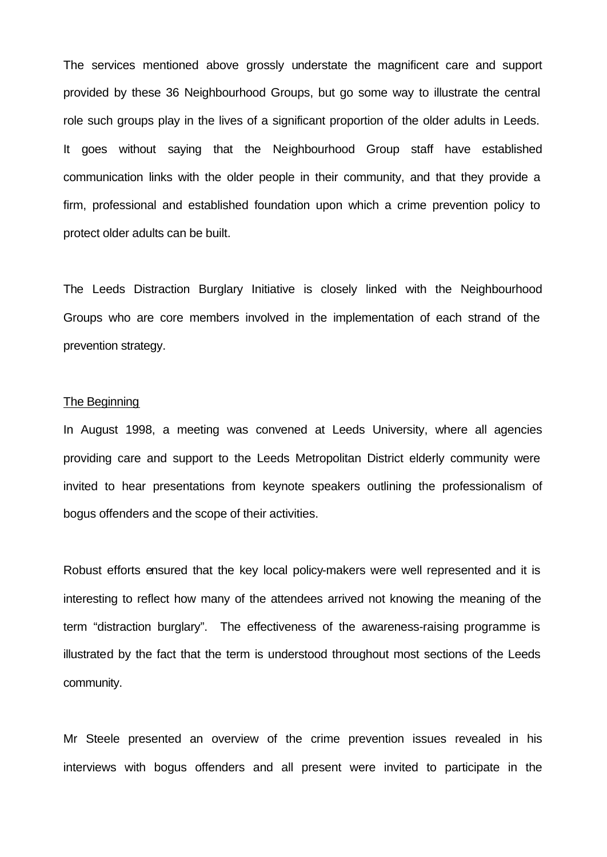The services mentioned above grossly understate the magnificent care and support provided by these 36 Neighbourhood Groups, but go some way to illustrate the central role such groups play in the lives of a significant proportion of the older adults in Leeds. It goes without saying that the Neighbourhood Group staff have established communication links with the older people in their community, and that they provide a firm, professional and established foundation upon which a crime prevention policy to protect older adults can be built.

The Leeds Distraction Burglary Initiative is closely linked with the Neighbourhood Groups who are core members involved in the implementation of each strand of the prevention strategy.

#### The Beginning

In August 1998, a meeting was convened at Leeds University, where all agencies providing care and support to the Leeds Metropolitan District elderly community were invited to hear presentations from keynote speakers outlining the professionalism of bogus offenders and the scope of their activities.

Robust efforts ensured that the key local policy-makers were well represented and it is interesting to reflect how many of the attendees arrived not knowing the meaning of the term "distraction burglary". The effectiveness of the awareness-raising programme is illustrated by the fact that the term is understood throughout most sections of the Leeds community.

Mr Steele presented an overview of the crime prevention issues revealed in his interviews with bogus offenders and all present were invited to participate in the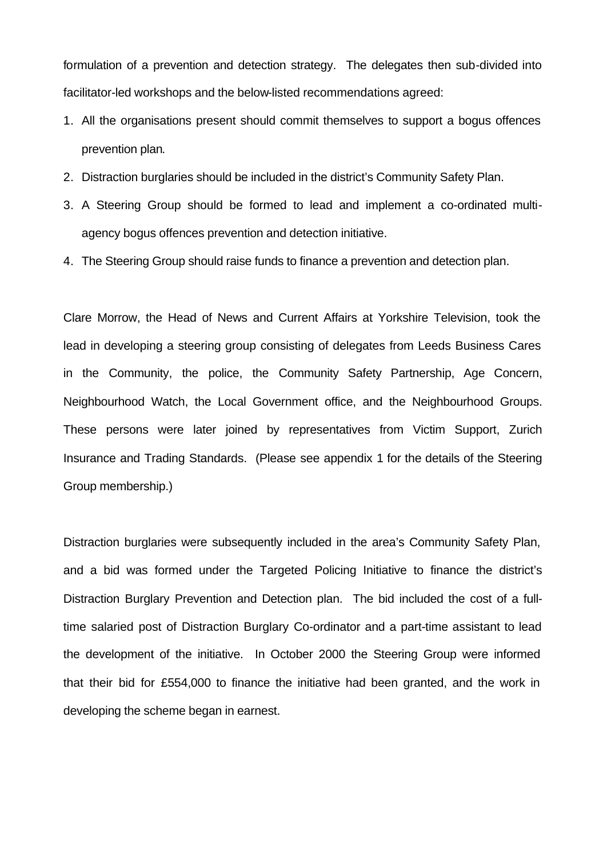formulation of a prevention and detection strategy. The delegates then sub-divided into facilitator-led workshops and the below-listed recommendations agreed:

- 1. All the organisations present should commit themselves to support a bogus offences prevention plan.
- 2. Distraction burglaries should be included in the district's Community Safety Plan.
- 3. A Steering Group should be formed to lead and implement a co-ordinated multiagency bogus offences prevention and detection initiative.
- 4. The Steering Group should raise funds to finance a prevention and detection plan.

Clare Morrow, the Head of News and Current Affairs at Yorkshire Television, took the lead in developing a steering group consisting of delegates from Leeds Business Cares in the Community, the police, the Community Safety Partnership, Age Concern, Neighbourhood Watch, the Local Government office, and the Neighbourhood Groups. These persons were later joined by representatives from Victim Support, Zurich Insurance and Trading Standards. (Please see appendix 1 for the details of the Steering Group membership.)

Distraction burglaries were subsequently included in the area's Community Safety Plan, and a bid was formed under the Targeted Policing Initiative to finance the district's Distraction Burglary Prevention and Detection plan. The bid included the cost of a fulltime salaried post of Distraction Burglary Co-ordinator and a part-time assistant to lead the development of the initiative. In October 2000 the Steering Group were informed that their bid for £554,000 to finance the initiative had been granted, and the work in developing the scheme began in earnest.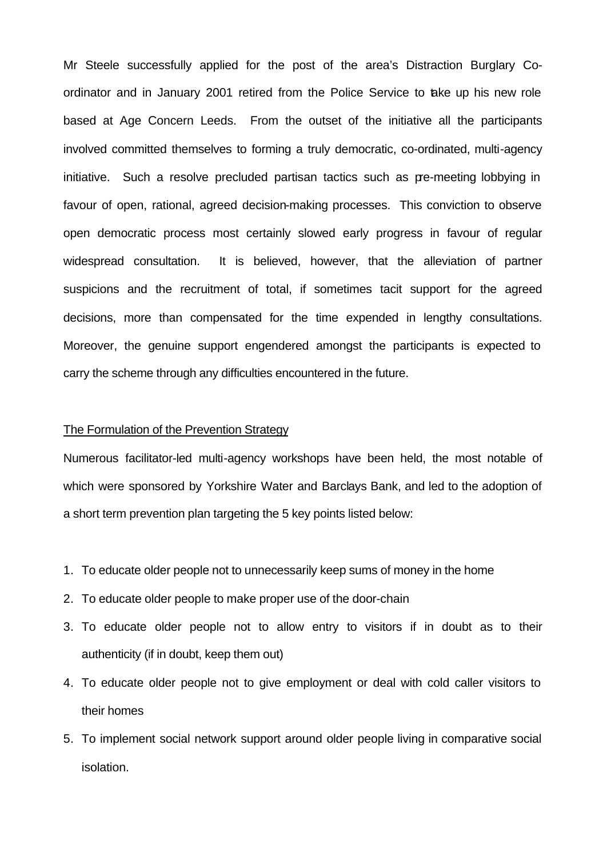Mr Steele successfully applied for the post of the area's Distraction Burglary Coordinator and in January 2001 retired from the Police Service to take up his new role based at Age Concern Leeds. From the outset of the initiative all the participants involved committed themselves to forming a truly democratic, co-ordinated, multi-agency initiative. Such a resolve precluded partisan tactics such as pre-meeting lobbying in favour of open, rational, agreed decision-making processes. This conviction to observe open democratic process most certainly slowed early progress in favour of regular widespread consultation. It is believed, however, that the alleviation of partner suspicions and the recruitment of total, if sometimes tacit support for the agreed decisions, more than compensated for the time expended in lengthy consultations. Moreover, the genuine support engendered amongst the participants is expected to carry the scheme through any difficulties encountered in the future.

## The Formulation of the Prevention Strategy

Numerous facilitator-led multi-agency workshops have been held, the most notable of which were sponsored by Yorkshire Water and Barclays Bank, and led to the adoption of a short term prevention plan targeting the 5 key points listed below:

- 1. To educate older people not to unnecessarily keep sums of money in the home
- 2. To educate older people to make proper use of the door-chain
- 3. To educate older people not to allow entry to visitors if in doubt as to their authenticity (if in doubt, keep them out)
- 4. To educate older people not to give employment or deal with cold caller visitors to their homes
- 5. To implement social network support around older people living in comparative social isolation.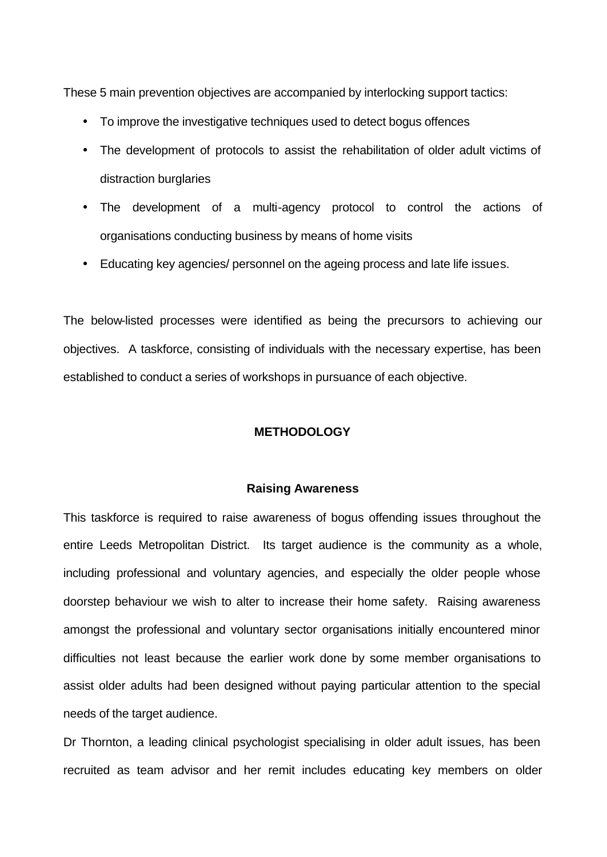These 5 main prevention objectives are accompanied by interlocking support tactics:

- To improve the investigative techniques used to detect bogus offences
- The development of protocols to assist the rehabilitation of older adult victims of distraction burglaries
- The development of a multi-agency protocol to control the actions of organisations conducting business by means of home visits
- Educating key agencies/ personnel on the ageing process and late life issues.

The below-listed processes were identified as being the precursors to achieving our objectives. A taskforce, consisting of individuals with the necessary expertise, has been established to conduct a series of workshops in pursuance of each objective.

## **METHODOLOGY**

## **Raising Awareness**

This taskforce is required to raise awareness of bogus offending issues throughout the entire Leeds Metropolitan District. Its target audience is the community as a whole, including professional and voluntary agencies, and especially the older people whose doorstep behaviour we wish to alter to increase their home safety. Raising awareness amongst the professional and voluntary sector organisations initially encountered minor difficulties not least because the earlier work done by some member organisations to assist older adults had been designed without paying particular attention to the special needs of the target audience.

Dr Thornton, a leading clinical psychologist specialising in older adult issues, has been recruited as team advisor and her remit includes educating key members on older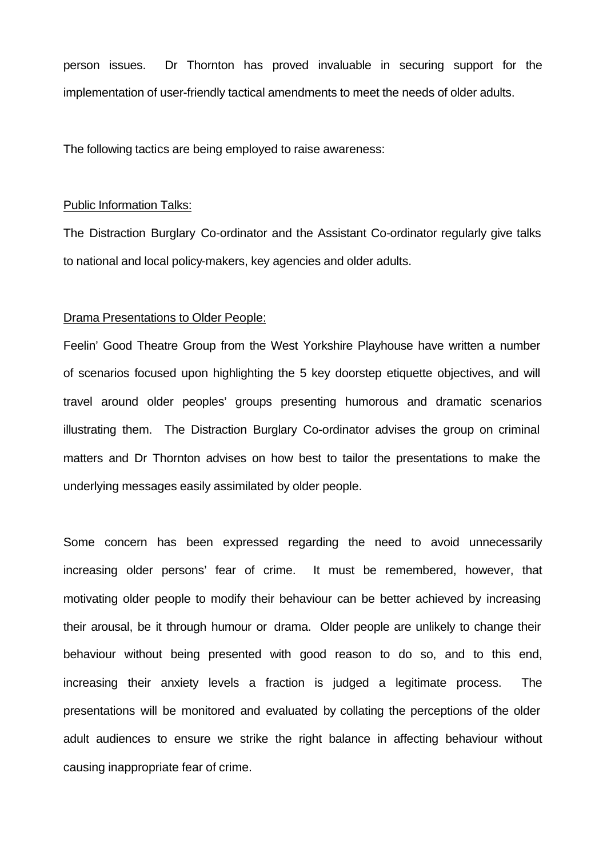person issues. Dr Thornton has proved invaluable in securing support for the implementation of user-friendly tactical amendments to meet the needs of older adults.

The following tactics are being employed to raise awareness:

## Public Information Talks:

The Distraction Burglary Co-ordinator and the Assistant Co-ordinator regularly give talks to national and local policy-makers, key agencies and older adults.

## Drama Presentations to Older People:

Feelin' Good Theatre Group from the West Yorkshire Playhouse have written a number of scenarios focused upon highlighting the 5 key doorstep etiquette objectives, and will travel around older peoples' groups presenting humorous and dramatic scenarios illustrating them. The Distraction Burglary Co-ordinator advises the group on criminal matters and Dr Thornton advises on how best to tailor the presentations to make the underlying messages easily assimilated by older people.

Some concern has been expressed regarding the need to avoid unnecessarily increasing older persons' fear of crime. It must be remembered, however, that motivating older people to modify their behaviour can be better achieved by increasing their arousal, be it through humour or drama. Older people are unlikely to change their behaviour without being presented with good reason to do so, and to this end, increasing their anxiety levels a fraction is judged a legitimate process. The presentations will be monitored and evaluated by collating the perceptions of the older adult audiences to ensure we strike the right balance in affecting behaviour without causing inappropriate fear of crime.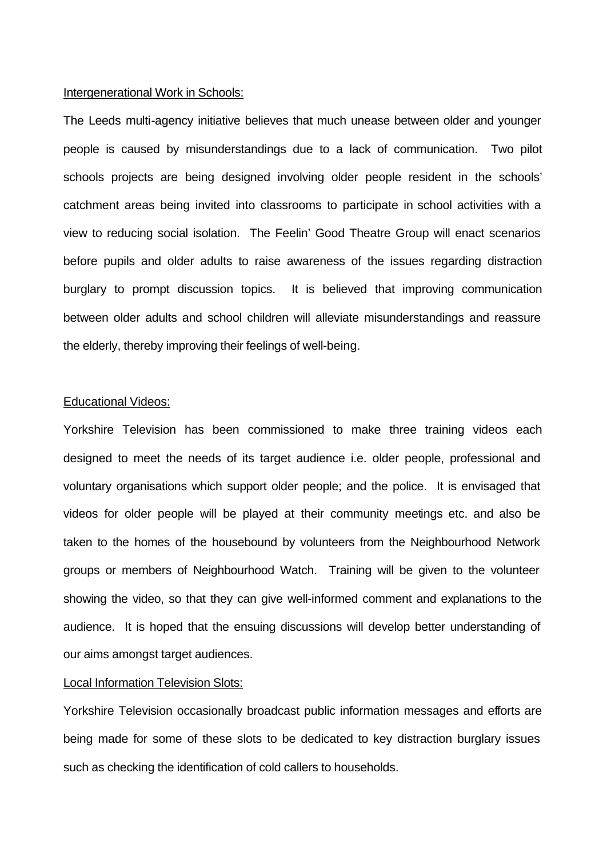## Intergenerational Work in Schools:

The Leeds multi-agency initiative believes that much unease between older and younger people is caused by misunderstandings due to a lack of communication. Two pilot schools projects are being designed involving older people resident in the schools' catchment areas being invited into classrooms to participate in school activities with a view to reducing social isolation. The Feelin' Good Theatre Group will enact scenarios before pupils and older adults to raise awareness of the issues regarding distraction burglary to prompt discussion topics. It is believed that improving communication between older adults and school children will alleviate misunderstandings and reassure the elderly, thereby improving their feelings of well-being.

## Educational Videos:

Yorkshire Television has been commissioned to make three training videos each designed to meet the needs of its target audience i.e. older people, professional and voluntary organisations which support older people; and the police. It is envisaged that videos for older people will be played at their community meetings etc. and also be taken to the homes of the housebound by volunteers from the Neighbourhood Network groups or members of Neighbourhood Watch. Training will be given to the volunteer showing the video, so that they can give well-informed comment and explanations to the audience. It is hoped that the ensuing discussions will develop better understanding of our aims amongst target audiences.

## Local Information Television Slots:

Yorkshire Television occasionally broadcast public information messages and efforts are being made for some of these slots to be dedicated to key distraction burglary issues such as checking the identification of cold callers to households.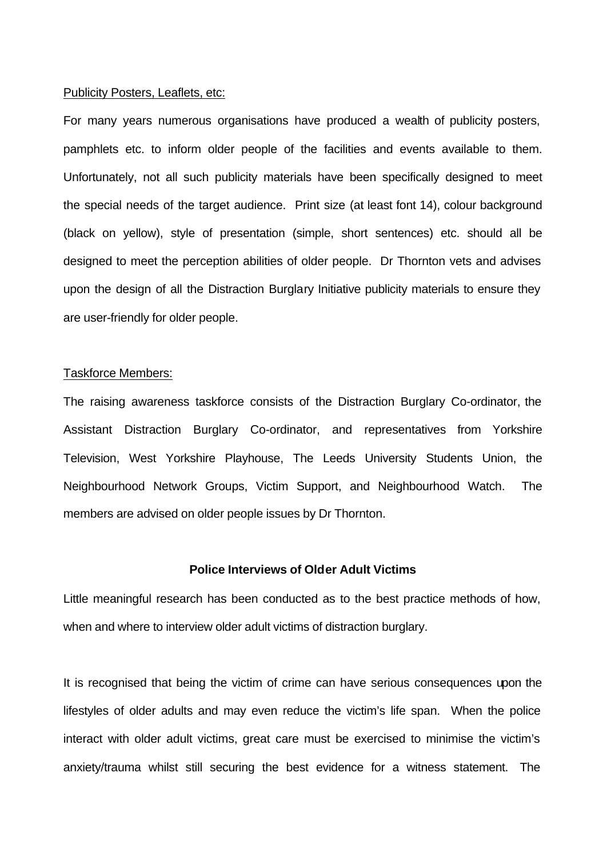## Publicity Posters, Leaflets, etc:

For many years numerous organisations have produced a wealth of publicity posters, pamphlets etc. to inform older people of the facilities and events available to them. Unfortunately, not all such publicity materials have been specifically designed to meet the special needs of the target audience. Print size (at least font 14), colour background (black on yellow), style of presentation (simple, short sentences) etc. should all be designed to meet the perception abilities of older people. Dr Thornton vets and advises upon the design of all the Distraction Burglary Initiative publicity materials to ensure they are user-friendly for older people.

## Taskforce Members:

The raising awareness taskforce consists of the Distraction Burglary Co-ordinator, the Assistant Distraction Burglary Co-ordinator, and representatives from Yorkshire Television, West Yorkshire Playhouse, The Leeds University Students Union, the Neighbourhood Network Groups, Victim Support, and Neighbourhood Watch. The members are advised on older people issues by Dr Thornton.

## **Police Interviews of Older Adult Victims**

Little meaningful research has been conducted as to the best practice methods of how, when and where to interview older adult victims of distraction burglary.

It is recognised that being the victim of crime can have serious consequences upon the lifestyles of older adults and may even reduce the victim's life span. When the police interact with older adult victims, great care must be exercised to minimise the victim's anxiety/trauma whilst still securing the best evidence for a witness statement. The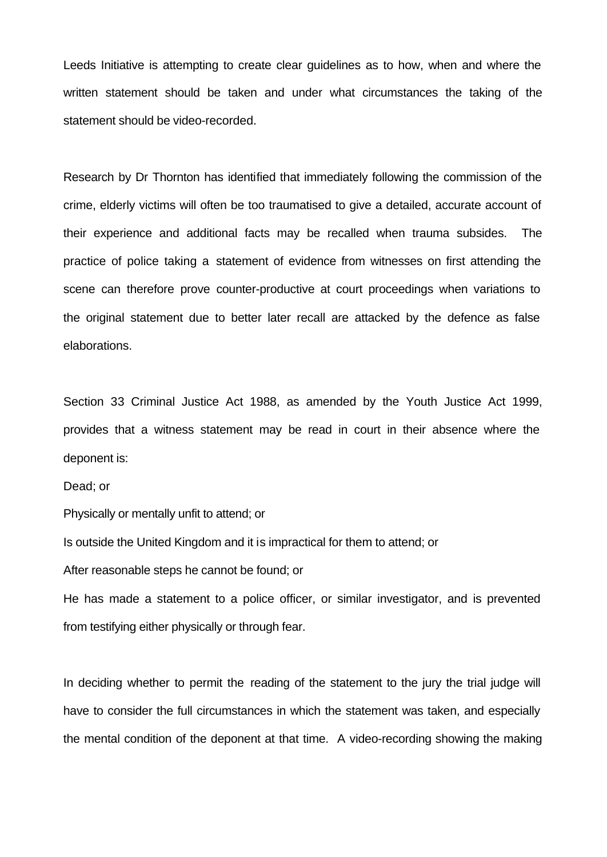Leeds Initiative is attempting to create clear guidelines as to how, when and where the written statement should be taken and under what circumstances the taking of the statement should be video-recorded.

Research by Dr Thornton has identified that immediately following the commission of the crime, elderly victims will often be too traumatised to give a detailed, accurate account of their experience and additional facts may be recalled when trauma subsides. The practice of police taking a statement of evidence from witnesses on first attending the scene can therefore prove counter-productive at court proceedings when variations to the original statement due to better later recall are attacked by the defence as false elaborations.

Section 33 Criminal Justice Act 1988, as amended by the Youth Justice Act 1999, provides that a witness statement may be read in court in their absence where the deponent is:

Dead; or

Physically or mentally unfit to attend; or

Is outside the United Kingdom and it is impractical for them to attend; or

After reasonable steps he cannot be found; or

He has made a statement to a police officer, or similar investigator, and is prevented from testifying either physically or through fear.

In deciding whether to permit the reading of the statement to the jury the trial judge will have to consider the full circumstances in which the statement was taken, and especially the mental condition of the deponent at that time. A video-recording showing the making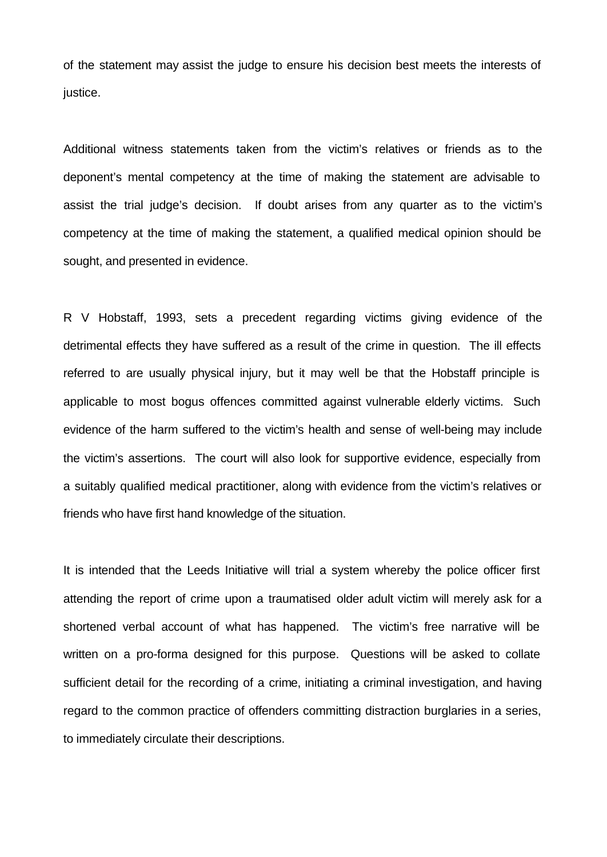of the statement may assist the judge to ensure his decision best meets the interests of justice.

Additional witness statements taken from the victim's relatives or friends as to the deponent's mental competency at the time of making the statement are advisable to assist the trial judge's decision. If doubt arises from any quarter as to the victim's competency at the time of making the statement, a qualified medical opinion should be sought, and presented in evidence.

R V Hobstaff, 1993, sets a precedent regarding victims giving evidence of the detrimental effects they have suffered as a result of the crime in question. The ill effects referred to are usually physical injury, but it may well be that the Hobstaff principle is applicable to most bogus offences committed against vulnerable elderly victims. Such evidence of the harm suffered to the victim's health and sense of well-being may include the victim's assertions. The court will also look for supportive evidence, especially from a suitably qualified medical practitioner, along with evidence from the victim's relatives or friends who have first hand knowledge of the situation.

It is intended that the Leeds Initiative will trial a system whereby the police officer first attending the report of crime upon a traumatised older adult victim will merely ask for a shortened verbal account of what has happened. The victim's free narrative will be written on a pro-forma designed for this purpose. Questions will be asked to collate sufficient detail for the recording of a crime, initiating a criminal investigation, and having regard to the common practice of offenders committing distraction burglaries in a series, to immediately circulate their descriptions.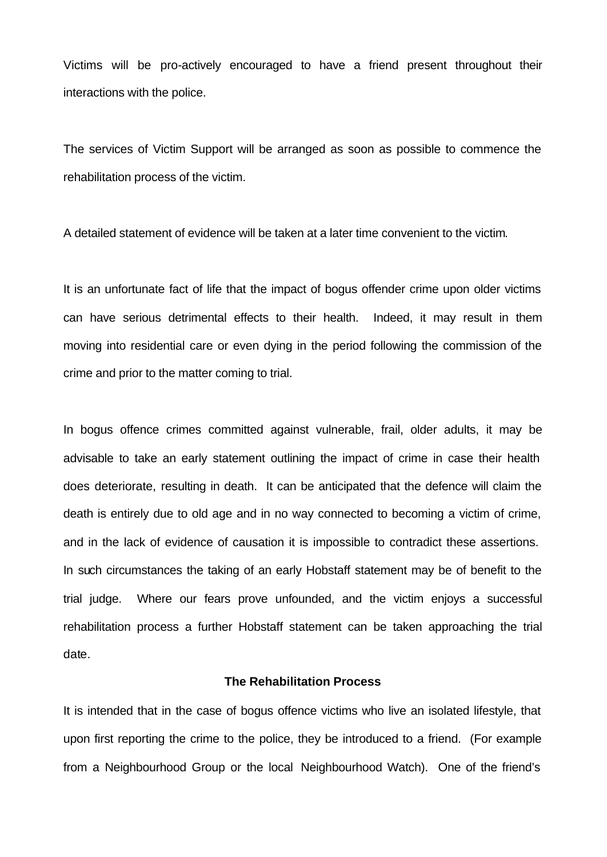Victims will be pro-actively encouraged to have a friend present throughout their interactions with the police.

The services of Victim Support will be arranged as soon as possible to commence the rehabilitation process of the victim.

A detailed statement of evidence will be taken at a later time convenient to the victim.

It is an unfortunate fact of life that the impact of bogus offender crime upon older victims can have serious detrimental effects to their health. Indeed, it may result in them moving into residential care or even dying in the period following the commission of the crime and prior to the matter coming to trial.

In bogus offence crimes committed against vulnerable, frail, older adults, it may be advisable to take an early statement outlining the impact of crime in case their health does deteriorate, resulting in death. It can be anticipated that the defence will claim the death is entirely due to old age and in no way connected to becoming a victim of crime, and in the lack of evidence of causation it is impossible to contradict these assertions. In such circumstances the taking of an early Hobstaff statement may be of benefit to the trial judge. Where our fears prove unfounded, and the victim enjoys a successful rehabilitation process a further Hobstaff statement can be taken approaching the trial date.

## **The Rehabilitation Process**

It is intended that in the case of bogus offence victims who live an isolated lifestyle, that upon first reporting the crime to the police, they be introduced to a friend. (For example from a Neighbourhood Group or the local Neighbourhood Watch). One of the friend's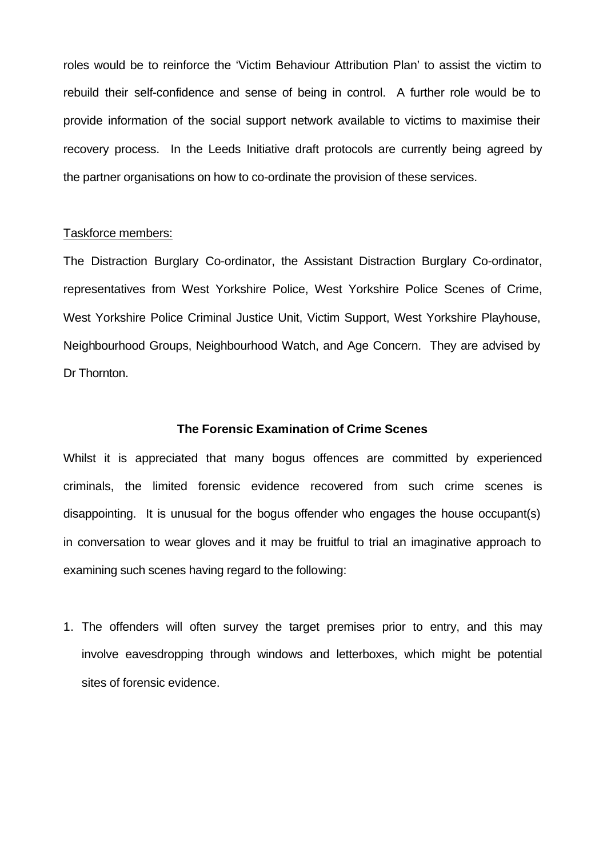roles would be to reinforce the 'Victim Behaviour Attribution Plan' to assist the victim to rebuild their self-confidence and sense of being in control. A further role would be to provide information of the social support network available to victims to maximise their recovery process. In the Leeds Initiative draft protocols are currently being agreed by the partner organisations on how to co-ordinate the provision of these services.

## Taskforce members:

The Distraction Burglary Co-ordinator, the Assistant Distraction Burglary Co-ordinator, representatives from West Yorkshire Police, West Yorkshire Police Scenes of Crime, West Yorkshire Police Criminal Justice Unit, Victim Support, West Yorkshire Playhouse, Neighbourhood Groups, Neighbourhood Watch, and Age Concern. They are advised by Dr Thornton.

## **The Forensic Examination of Crime Scenes**

Whilst it is appreciated that many bogus offences are committed by experienced criminals, the limited forensic evidence recovered from such crime scenes is disappointing. It is unusual for the bogus offender who engages the house occupant(s) in conversation to wear gloves and it may be fruitful to trial an imaginative approach to examining such scenes having regard to the following:

1. The offenders will often survey the target premises prior to entry, and this may involve eavesdropping through windows and letterboxes, which might be potential sites of forensic evidence.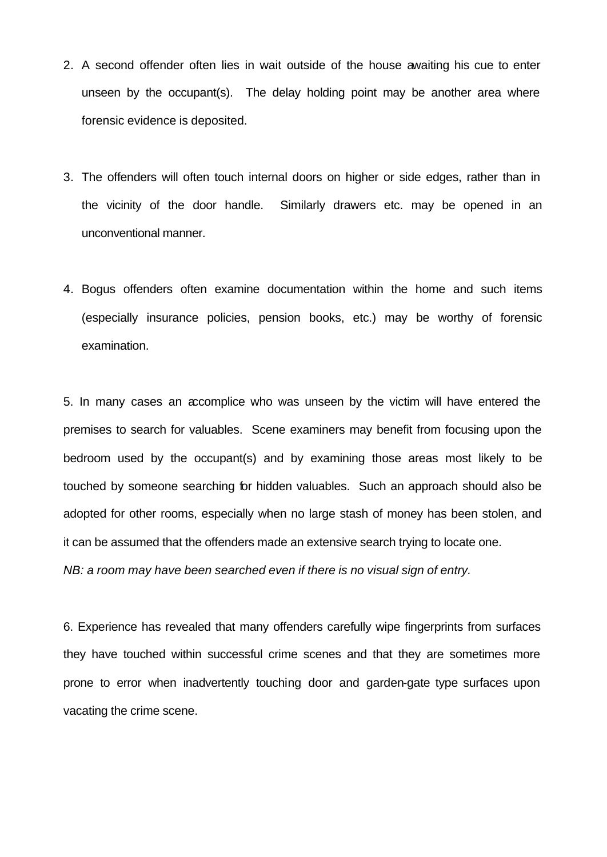- 2. A second offender often lies in wait outside of the house awaiting his cue to enter unseen by the occupant(s). The delay holding point may be another area where forensic evidence is deposited.
- 3. The offenders will often touch internal doors on higher or side edges, rather than in the vicinity of the door handle. Similarly drawers etc. may be opened in an unconventional manner.
- 4. Bogus offenders often examine documentation within the home and such items (especially insurance policies, pension books, etc.) may be worthy of forensic examination.

5. In many cases an accomplice who was unseen by the victim will have entered the premises to search for valuables. Scene examiners may benefit from focusing upon the bedroom used by the occupant(s) and by examining those areas most likely to be touched by someone searching for hidden valuables. Such an approach should also be adopted for other rooms, especially when no large stash of money has been stolen, and it can be assumed that the offenders made an extensive search trying to locate one.

*NB: a room may have been searched even if there is no visual sign of entry.*

6. Experience has revealed that many offenders carefully wipe fingerprints from surfaces they have touched within successful crime scenes and that they are sometimes more prone to error when inadvertently touching door and garden-gate type surfaces upon vacating the crime scene.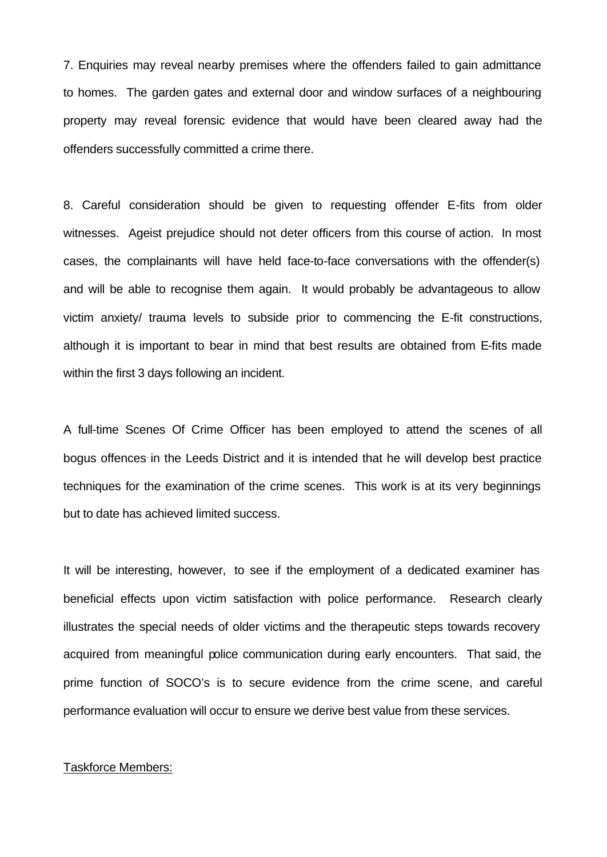7. Enquiries may reveal nearby premises where the offenders failed to gain admittance to homes. The garden gates and external door and window surfaces of a neighbouring property may reveal forensic evidence that would have been cleared away had the offenders successfully committed a crime there.

8. Careful consideration should be given to requesting offender E-fits from older witnesses. Ageist prejudice should not deter officers from this course of action. In most cases, the complainants will have held face-to-face conversations with the offender(s) and will be able to recognise them again. It would probably be advantageous to allow victim anxiety/ trauma levels to subside prior to commencing the E-fit constructions, although it is important to bear in mind that best results are obtained from E-fits made within the first 3 days following an incident.

A full-time Scenes Of Crime Officer has been employed to attend the scenes of all bogus offences in the Leeds District and it is intended that he will develop best practice techniques for the examination of the crime scenes. This work is at its very beginnings but to date has achieved limited success.

It will be interesting, however, to see if the employment of a dedicated examiner has beneficial effects upon victim satisfaction with police performance. Research clearly illustrates the special needs of older victims and the therapeutic steps towards recovery acquired from meaningful police communication during early encounters. That said, the prime function of SOCO's is to secure evidence from the crime scene, and careful performance evaluation will occur to ensure we derive best value from these services.

## Taskforce Members: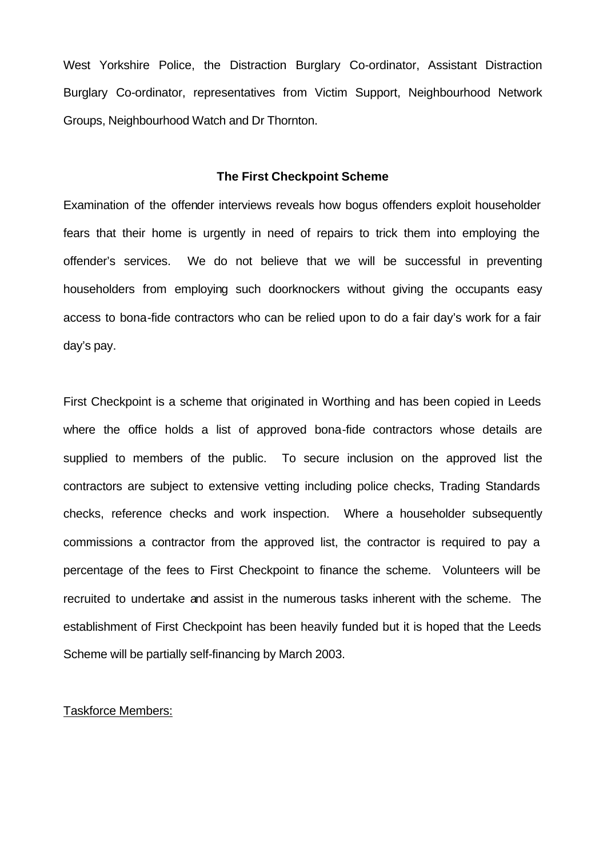West Yorkshire Police, the Distraction Burglary Co-ordinator, Assistant Distraction Burglary Co-ordinator, representatives from Victim Support, Neighbourhood Network Groups, Neighbourhood Watch and Dr Thornton.

## **The First Checkpoint Scheme**

Examination of the offender interviews reveals how bogus offenders exploit householder fears that their home is urgently in need of repairs to trick them into employing the offender's services. We do not believe that we will be successful in preventing householders from employing such doorknockers without giving the occupants easy access to bona-fide contractors who can be relied upon to do a fair day's work for a fair day's pay.

First Checkpoint is a scheme that originated in Worthing and has been copied in Leeds where the office holds a list of approved bona-fide contractors whose details are supplied to members of the public. To secure inclusion on the approved list the contractors are subject to extensive vetting including police checks, Trading Standards checks, reference checks and work inspection. Where a householder subsequently commissions a contractor from the approved list, the contractor is required to pay a percentage of the fees to First Checkpoint to finance the scheme. Volunteers will be recruited to undertake and assist in the numerous tasks inherent with the scheme. The establishment of First Checkpoint has been heavily funded but it is hoped that the Leeds Scheme will be partially self-financing by March 2003.

#### Taskforce Members: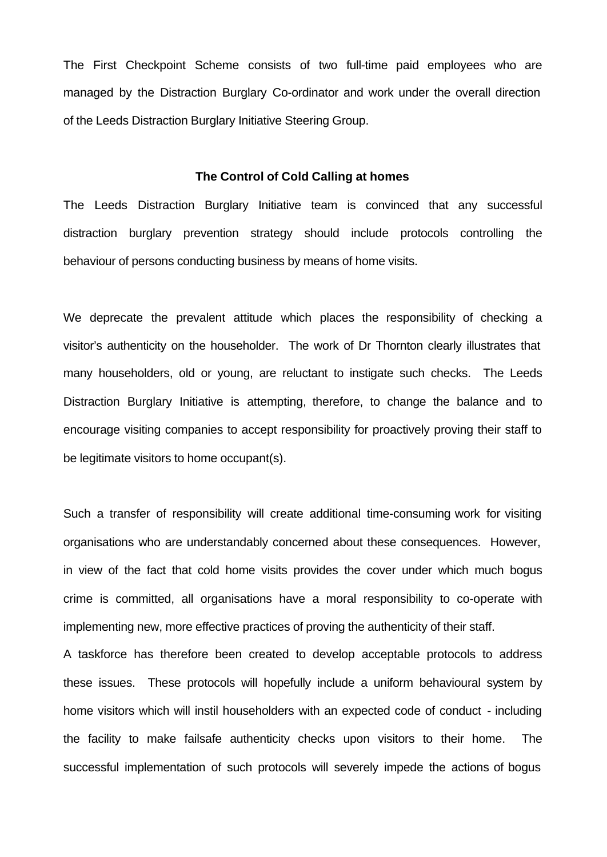The First Checkpoint Scheme consists of two full-time paid employees who are managed by the Distraction Burglary Co-ordinator and work under the overall direction of the Leeds Distraction Burglary Initiative Steering Group.

#### **The Control of Cold Calling at homes**

The Leeds Distraction Burglary Initiative team is convinced that any successful distraction burglary prevention strategy should include protocols controlling the behaviour of persons conducting business by means of home visits.

We deprecate the prevalent attitude which places the responsibility of checking a visitor's authenticity on the householder. The work of Dr Thornton clearly illustrates that many householders, old or young, are reluctant to instigate such checks. The Leeds Distraction Burglary Initiative is attempting, therefore, to change the balance and to encourage visiting companies to accept responsibility for proactively proving their staff to be legitimate visitors to home occupant(s).

Such a transfer of responsibility will create additional time-consuming work for visiting organisations who are understandably concerned about these consequences. However, in view of the fact that cold home visits provides the cover under which much bogus crime is committed, all organisations have a moral responsibility to co-operate with implementing new, more effective practices of proving the authenticity of their staff.

A taskforce has therefore been created to develop acceptable protocols to address these issues. These protocols will hopefully include a uniform behavioural system by home visitors which will instil householders with an expected code of conduct - including the facility to make failsafe authenticity checks upon visitors to their home. The successful implementation of such protocols will severely impede the actions of bogus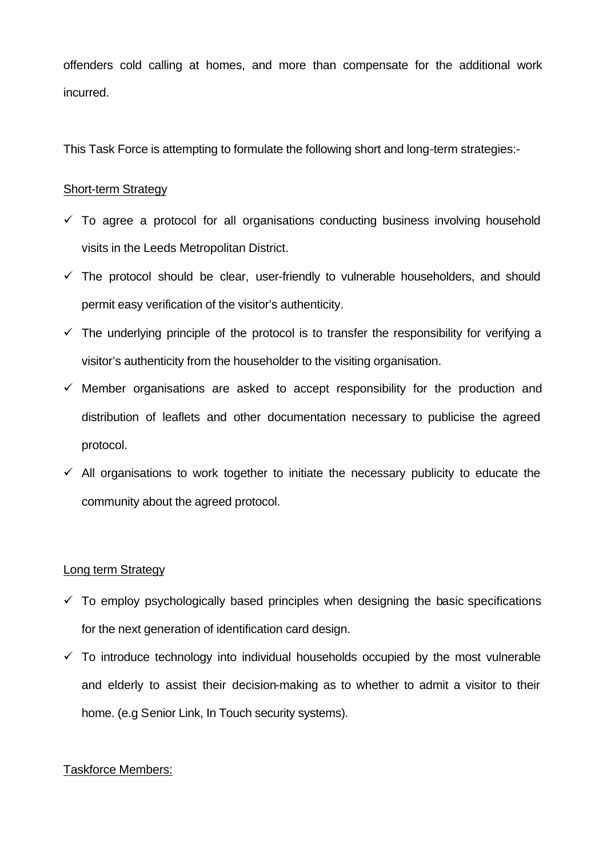offenders cold calling at homes, and more than compensate for the additional work incurred.

This Task Force is attempting to formulate the following short and long-term strategies:-

## Short-term Strategy

- $\checkmark$  To agree a protocol for all organisations conducting business involving household visits in the Leeds Metropolitan District.
- $\checkmark$  The protocol should be clear, user-friendly to vulnerable householders, and should permit easy verification of the visitor's authenticity.
- $\checkmark$  The underlying principle of the protocol is to transfer the responsibility for verifying a visitor's authenticity from the householder to the visiting organisation.
- $\checkmark$  Member organisations are asked to accept responsibility for the production and distribution of leaflets and other documentation necessary to publicise the agreed protocol.
- $\checkmark$  All organisations to work together to initiate the necessary publicity to educate the community about the agreed protocol.

## Long term Strategy

- $\checkmark$  To employ psychologically based principles when designing the basic specifications for the next generation of identification card design.
- $\checkmark$  To introduce technology into individual households occupied by the most vulnerable and elderly to assist their decision-making as to whether to admit a visitor to their home. (e.g Senior Link, In Touch security systems).

## Taskforce Members: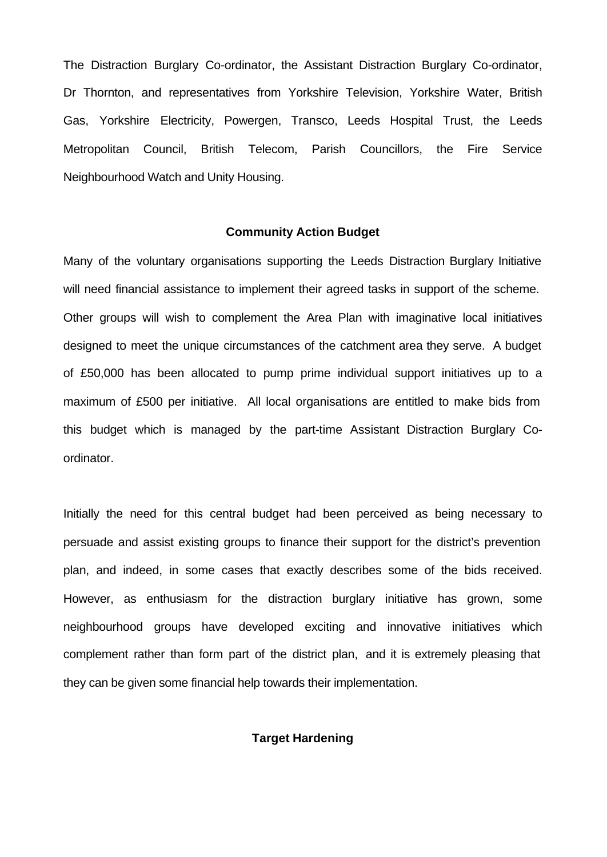The Distraction Burglary Co-ordinator, the Assistant Distraction Burglary Co-ordinator, Dr Thornton, and representatives from Yorkshire Television, Yorkshire Water, British Gas, Yorkshire Electricity, Powergen, Transco, Leeds Hospital Trust, the Leeds Metropolitan Council, British Telecom, Parish Councillors, the Fire Service Neighbourhood Watch and Unity Housing.

## **Community Action Budget**

Many of the voluntary organisations supporting the Leeds Distraction Burglary Initiative will need financial assistance to implement their agreed tasks in support of the scheme. Other groups will wish to complement the Area Plan with imaginative local initiatives designed to meet the unique circumstances of the catchment area they serve. A budget of £50,000 has been allocated to pump prime individual support initiatives up to a maximum of £500 per initiative. All local organisations are entitled to make bids from this budget which is managed by the part-time Assistant Distraction Burglary Coordinator.

Initially the need for this central budget had been perceived as being necessary to persuade and assist existing groups to finance their support for the district's prevention plan, and indeed, in some cases that exactly describes some of the bids received. However, as enthusiasm for the distraction burglary initiative has grown, some neighbourhood groups have developed exciting and innovative initiatives which complement rather than form part of the district plan, and it is extremely pleasing that they can be given some financial help towards their implementation.

## **Target Hardening**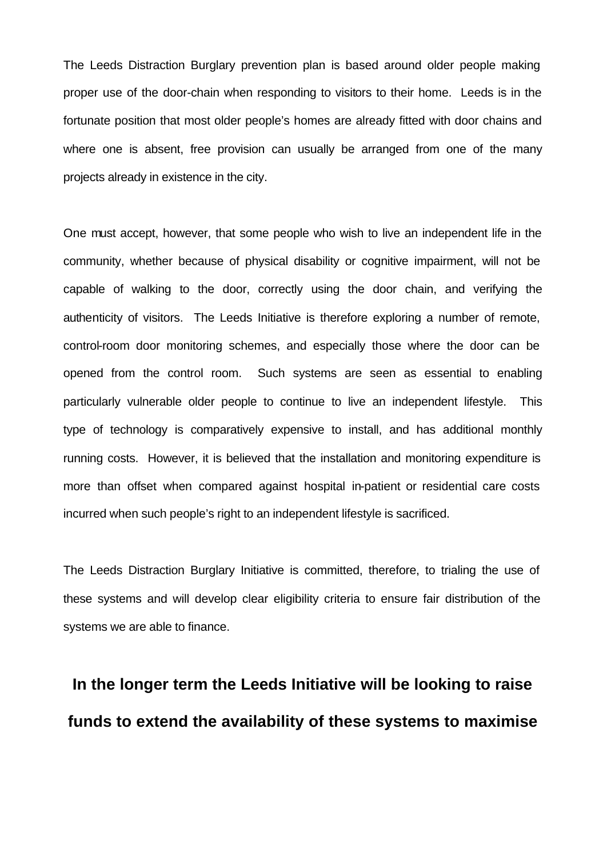The Leeds Distraction Burglary prevention plan is based around older people making proper use of the door-chain when responding to visitors to their home. Leeds is in the fortunate position that most older people's homes are already fitted with door chains and where one is absent, free provision can usually be arranged from one of the many projects already in existence in the city.

One must accept, however, that some people who wish to live an independent life in the community, whether because of physical disability or cognitive impairment, will not be capable of walking to the door, correctly using the door chain, and verifying the authenticity of visitors. The Leeds Initiative is therefore exploring a number of remote, control-room door monitoring schemes, and especially those where the door can be opened from the control room. Such systems are seen as essential to enabling particularly vulnerable older people to continue to live an independent lifestyle. This type of technology is comparatively expensive to install, and has additional monthly running costs. However, it is believed that the installation and monitoring expenditure is more than offset when compared against hospital in-patient or residential care costs incurred when such people's right to an independent lifestyle is sacrificed.

The Leeds Distraction Burglary Initiative is committed, therefore, to trialing the use of these systems and will develop clear eligibility criteria to ensure fair distribution of the systems we are able to finance.

# **In the longer term the Leeds Initiative will be looking to raise funds to extend the availability of these systems to maximise**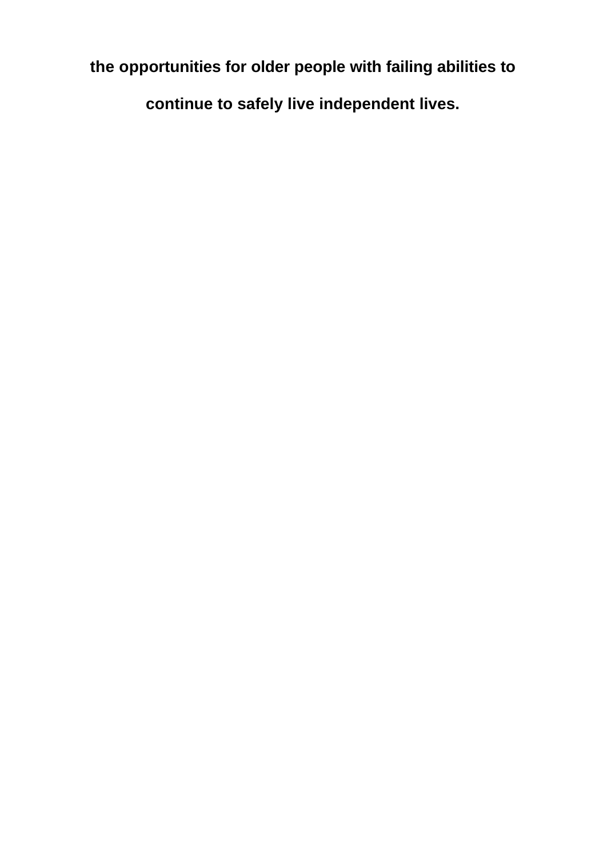**the opportunities for older people with failing abilities to** 

**continue to safely live independent lives.**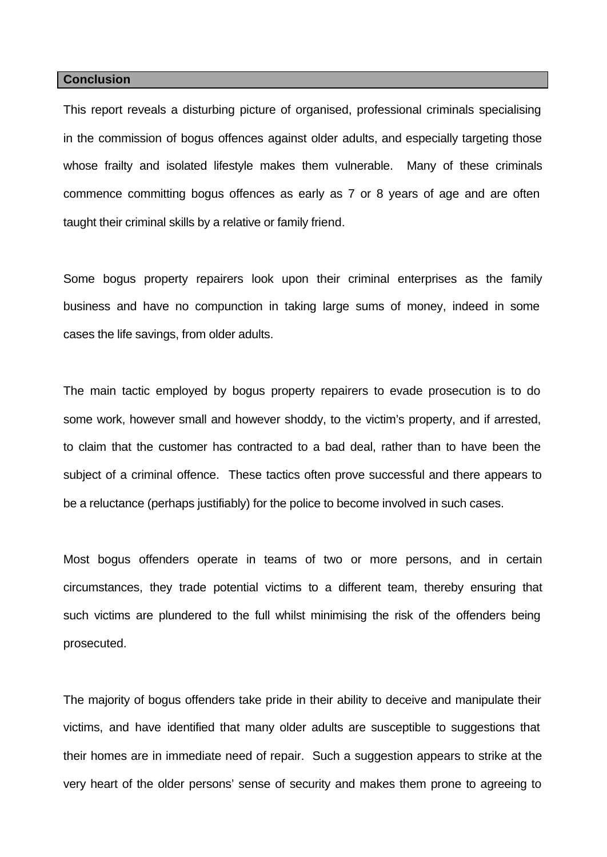#### **Conclusion**

This report reveals a disturbing picture of organised, professional criminals specialising in the commission of bogus offences against older adults, and especially targeting those whose frailty and isolated lifestyle makes them vulnerable. Many of these criminals commence committing bogus offences as early as 7 or 8 years of age and are often taught their criminal skills by a relative or family friend.

Some bogus property repairers look upon their criminal enterprises as the family business and have no compunction in taking large sums of money, indeed in some cases the life savings, from older adults.

The main tactic employed by bogus property repairers to evade prosecution is to do some work, however small and however shoddy, to the victim's property, and if arrested, to claim that the customer has contracted to a bad deal, rather than to have been the subject of a criminal offence. These tactics often prove successful and there appears to be a reluctance (perhaps justifiably) for the police to become involved in such cases.

Most bogus offenders operate in teams of two or more persons, and in certain circumstances, they trade potential victims to a different team, thereby ensuring that such victims are plundered to the full whilst minimising the risk of the offenders being prosecuted.

The majority of bogus offenders take pride in their ability to deceive and manipulate their victims, and have identified that many older adults are susceptible to suggestions that their homes are in immediate need of repair. Such a suggestion appears to strike at the very heart of the older persons' sense of security and makes them prone to agreeing to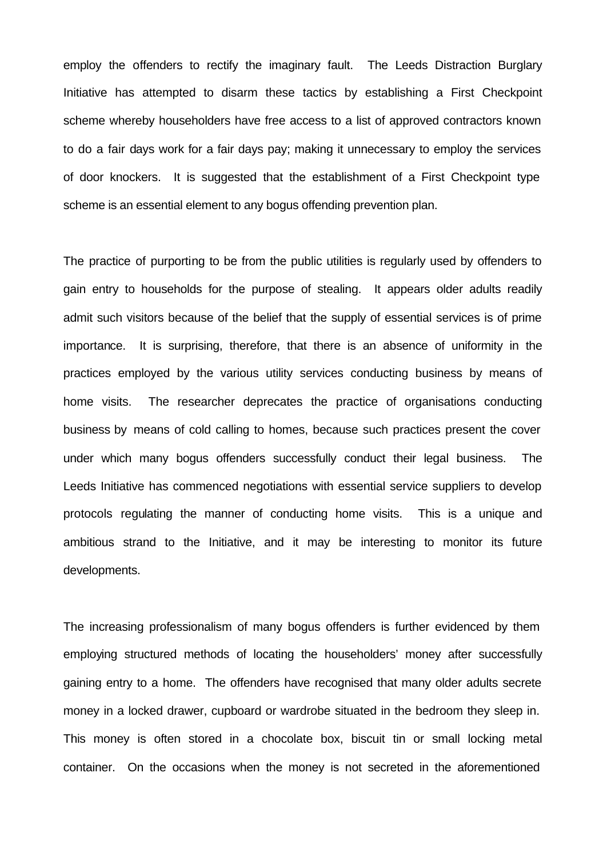employ the offenders to rectify the imaginary fault. The Leeds Distraction Burglary Initiative has attempted to disarm these tactics by establishing a First Checkpoint scheme whereby householders have free access to a list of approved contractors known to do a fair days work for a fair days pay; making it unnecessary to employ the services of door knockers. It is suggested that the establishment of a First Checkpoint type scheme is an essential element to any bogus offending prevention plan.

The practice of purporting to be from the public utilities is regularly used by offenders to gain entry to households for the purpose of stealing. It appears older adults readily admit such visitors because of the belief that the supply of essential services is of prime importance. It is surprising, therefore, that there is an absence of uniformity in the practices employed by the various utility services conducting business by means of home visits. The researcher deprecates the practice of organisations conducting business by means of cold calling to homes, because such practices present the cover under which many bogus offenders successfully conduct their legal business. The Leeds Initiative has commenced negotiations with essential service suppliers to develop protocols regulating the manner of conducting home visits. This is a unique and ambitious strand to the Initiative, and it may be interesting to monitor its future developments.

The increasing professionalism of many bogus offenders is further evidenced by them employing structured methods of locating the householders' money after successfully gaining entry to a home. The offenders have recognised that many older adults secrete money in a locked drawer, cupboard or wardrobe situated in the bedroom they sleep in. This money is often stored in a chocolate box, biscuit tin or small locking metal container. On the occasions when the money is not secreted in the aforementioned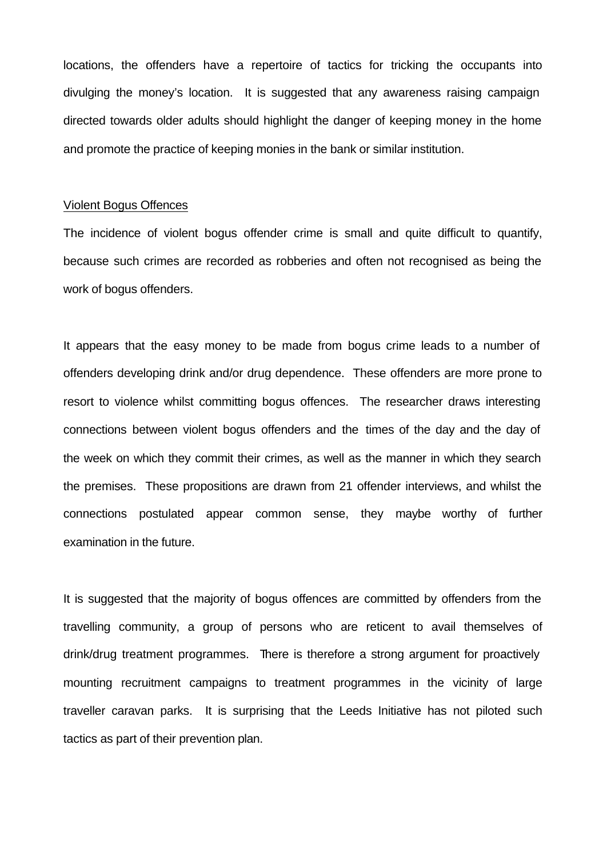locations, the offenders have a repertoire of tactics for tricking the occupants into divulging the money's location. It is suggested that any awareness raising campaign directed towards older adults should highlight the danger of keeping money in the home and promote the practice of keeping monies in the bank or similar institution.

## Violent Bogus Offences

The incidence of violent bogus offender crime is small and quite difficult to quantify, because such crimes are recorded as robberies and often not recognised as being the work of bogus offenders.

It appears that the easy money to be made from bogus crime leads to a number of offenders developing drink and/or drug dependence. These offenders are more prone to resort to violence whilst committing bogus offences. The researcher draws interesting connections between violent bogus offenders and the times of the day and the day of the week on which they commit their crimes, as well as the manner in which they search the premises. These propositions are drawn from 21 offender interviews, and whilst the connections postulated appear common sense, they maybe worthy of further examination in the future.

It is suggested that the majority of bogus offences are committed by offenders from the travelling community, a group of persons who are reticent to avail themselves of drink/drug treatment programmes. There is therefore a strong argument for proactively mounting recruitment campaigns to treatment programmes in the vicinity of large traveller caravan parks. It is surprising that the Leeds Initiative has not piloted such tactics as part of their prevention plan.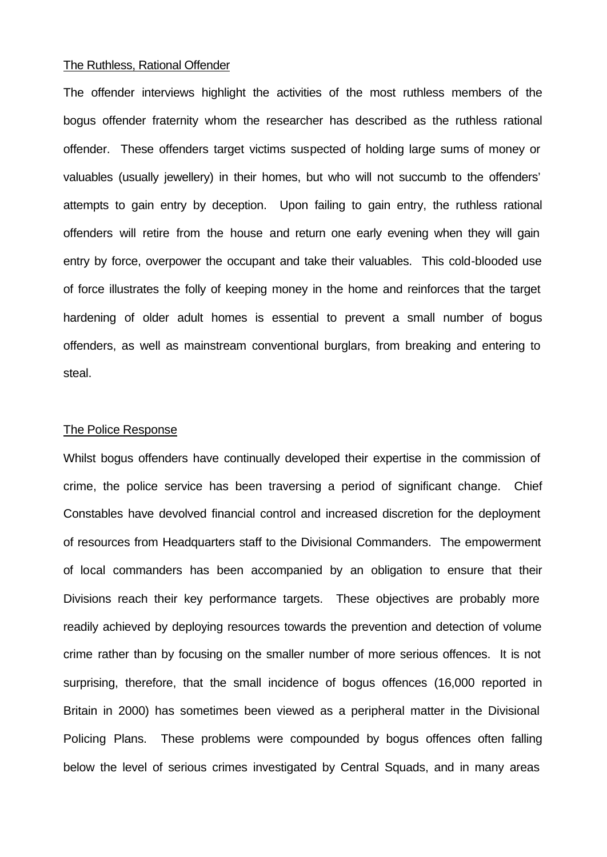## The Ruthless, Rational Offender

The offender interviews highlight the activities of the most ruthless members of the bogus offender fraternity whom the researcher has described as the ruthless rational offender. These offenders target victims suspected of holding large sums of money or valuables (usually jewellery) in their homes, but who will not succumb to the offenders' attempts to gain entry by deception. Upon failing to gain entry, the ruthless rational offenders will retire from the house and return one early evening when they will gain entry by force, overpower the occupant and take their valuables. This cold-blooded use of force illustrates the folly of keeping money in the home and reinforces that the target hardening of older adult homes is essential to prevent a small number of bogus offenders, as well as mainstream conventional burglars, from breaking and entering to steal.

## The Police Response

Whilst bogus offenders have continually developed their expertise in the commission of crime, the police service has been traversing a period of significant change. Chief Constables have devolved financial control and increased discretion for the deployment of resources from Headquarters staff to the Divisional Commanders. The empowerment of local commanders has been accompanied by an obligation to ensure that their Divisions reach their key performance targets. These objectives are probably more readily achieved by deploying resources towards the prevention and detection of volume crime rather than by focusing on the smaller number of more serious offences. It is not surprising, therefore, that the small incidence of bogus offences (16,000 reported in Britain in 2000) has sometimes been viewed as a peripheral matter in the Divisional Policing Plans. These problems were compounded by bogus offences often falling below the level of serious crimes investigated by Central Squads, and in many areas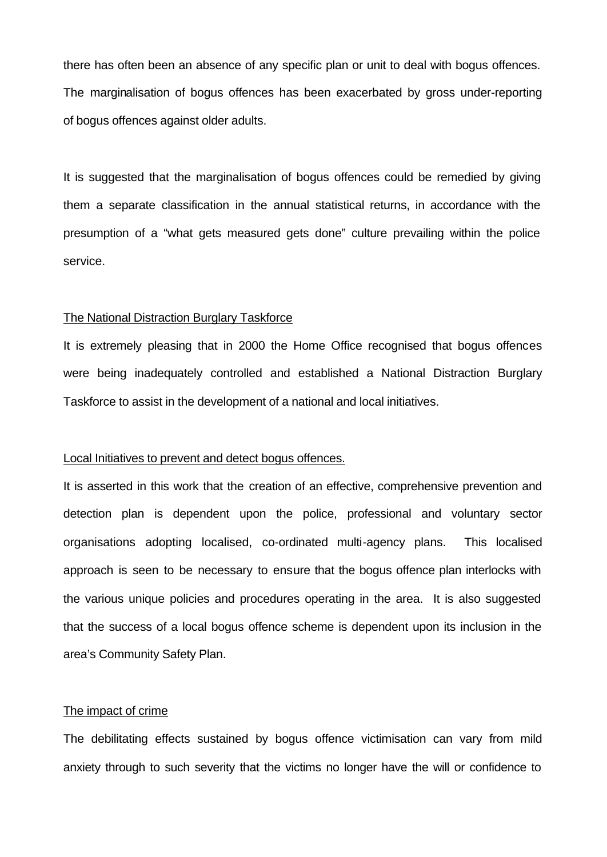there has often been an absence of any specific plan or unit to deal with bogus offences. The marginalisation of bogus offences has been exacerbated by gross under-reporting of bogus offences against older adults.

It is suggested that the marginalisation of bogus offences could be remedied by giving them a separate classification in the annual statistical returns, in accordance with the presumption of a "what gets measured gets done" culture prevailing within the police service.

## The National Distraction Burglary Taskforce

It is extremely pleasing that in 2000 the Home Office recognised that bogus offences were being inadequately controlled and established a National Distraction Burglary Taskforce to assist in the development of a national and local initiatives.

## Local Initiatives to prevent and detect bogus offences.

It is asserted in this work that the creation of an effective, comprehensive prevention and detection plan is dependent upon the police, professional and voluntary sector organisations adopting localised, co-ordinated multi-agency plans. This localised approach is seen to be necessary to ensure that the bogus offence plan interlocks with the various unique policies and procedures operating in the area. It is also suggested that the success of a local bogus offence scheme is dependent upon its inclusion in the area's Community Safety Plan.

## The impact of crime

The debilitating effects sustained by bogus offence victimisation can vary from mild anxiety through to such severity that the victims no longer have the will or confidence to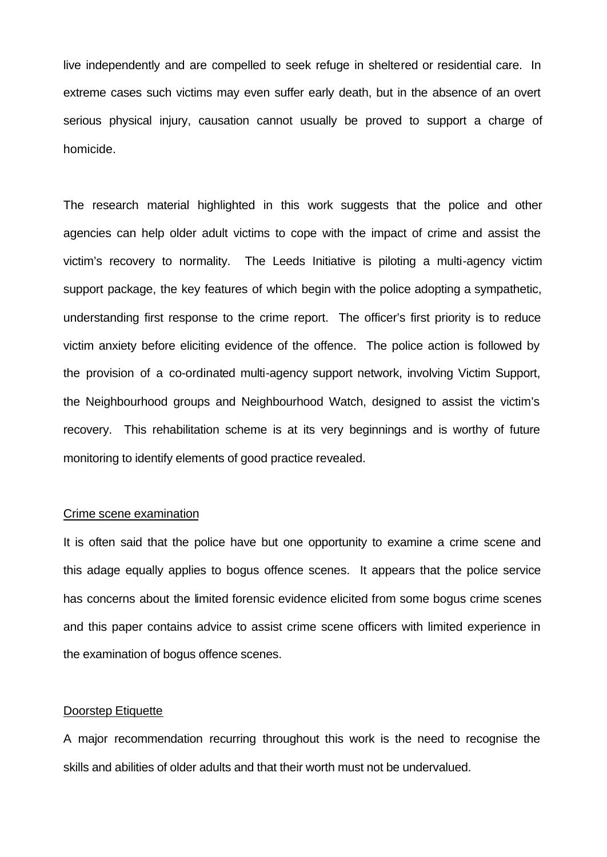live independently and are compelled to seek refuge in sheltered or residential care. In extreme cases such victims may even suffer early death, but in the absence of an overt serious physical injury, causation cannot usually be proved to support a charge of homicide.

The research material highlighted in this work suggests that the police and other agencies can help older adult victims to cope with the impact of crime and assist the victim's recovery to normality. The Leeds Initiative is piloting a multi-agency victim support package, the key features of which begin with the police adopting a sympathetic, understanding first response to the crime report. The officer's first priority is to reduce victim anxiety before eliciting evidence of the offence. The police action is followed by the provision of a co-ordinated multi-agency support network, involving Victim Support, the Neighbourhood groups and Neighbourhood Watch, designed to assist the victim's recovery. This rehabilitation scheme is at its very beginnings and is worthy of future monitoring to identify elements of good practice revealed.

## Crime scene examination

It is often said that the police have but one opportunity to examine a crime scene and this adage equally applies to bogus offence scenes. It appears that the police service has concerns about the limited forensic evidence elicited from some bogus crime scenes and this paper contains advice to assist crime scene officers with limited experience in the examination of bogus offence scenes.

#### Doorstep Etiquette

A major recommendation recurring throughout this work is the need to recognise the skills and abilities of older adults and that their worth must not be undervalued.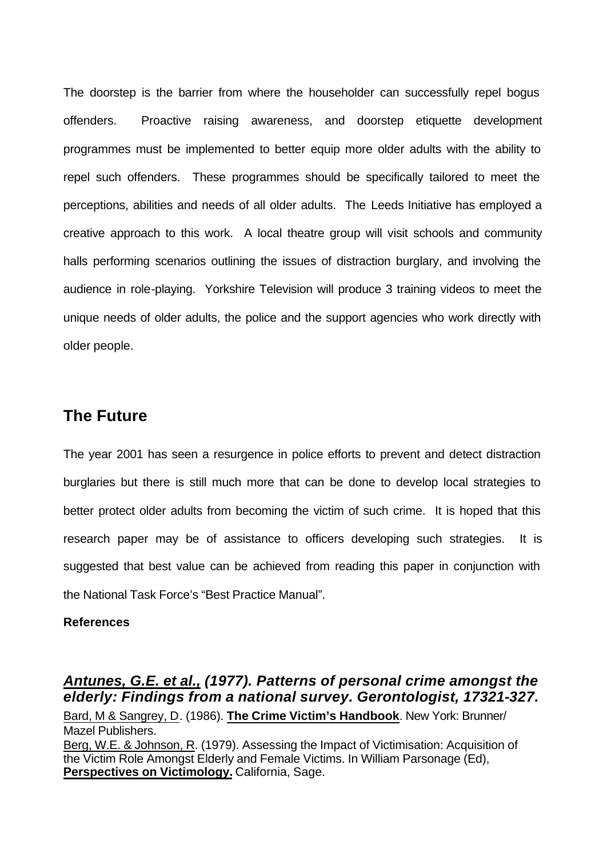The doorstep is the barrier from where the householder can successfully repel bogus offenders. Proactive raising awareness, and doorstep etiquette development programmes must be implemented to better equip more older adults with the ability to repel such offenders. These programmes should be specifically tailored to meet the perceptions, abilities and needs of all older adults. The Leeds Initiative has employed a creative approach to this work. A local theatre group will visit schools and community halls performing scenarios outlining the issues of distraction burglary, and involving the audience in role-playing. Yorkshire Television will produce 3 training videos to meet the unique needs of older adults, the police and the support agencies who work directly with older people.

## **The Future**

The year 2001 has seen a resurgence in police efforts to prevent and detect distraction burglaries but there is still much more that can be done to develop local strategies to better protect older adults from becoming the victim of such crime. It is hoped that this research paper may be of assistance to officers developing such strategies. It is suggested that best value can be achieved from reading this paper in conjunction with the National Task Force's "Best Practice Manual".

## **References**

## *Antunes, G.E. et al., (1977). Patterns of personal crime amongst the elderly: Findings from a national survey. Gerontologist, 17321-327.*

Bard, M & Sangrey, D. (1986). **The Crime Victim's Handbook**. New York: Brunner/ Mazel Publishers. Berg, W.E. & Johnson, R. (1979). Assessing the Impact of Victimisation: Acquisition of the Victim Role Amongst Elderly and Female Victims. In William Parsonage (Ed), **Perspectives on Victimology.** California, Sage.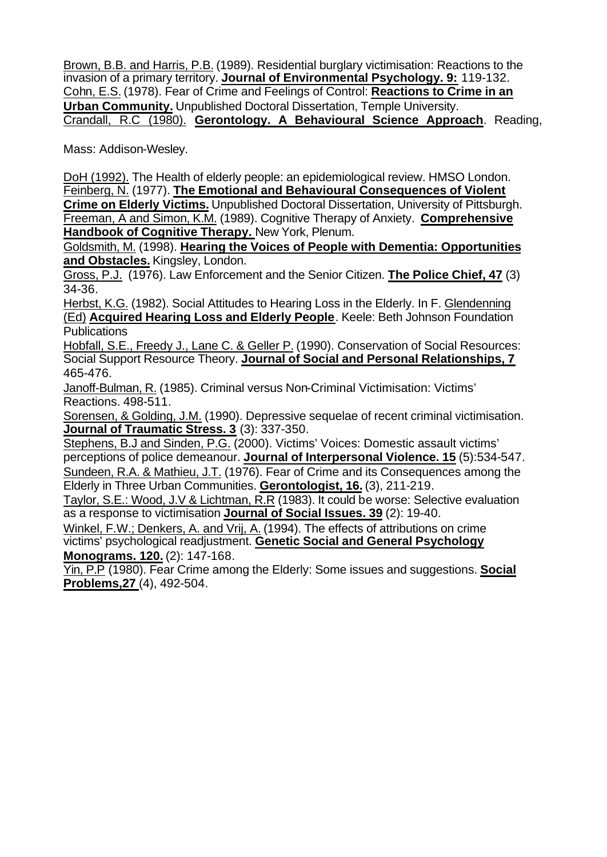Brown, B.B. and Harris, P.B. (1989). Residential burglary victimisation: Reactions to the invasion of a primary territory. **Journal of Environmental Psychology. 9:** 119-132. Cohn, E.S. (1978). Fear of Crime and Feelings of Control: **Reactions to Crime in an Urban Community.** Unpublished Doctoral Dissertation, Temple University. Crandall, R.C (1980). **Gerontology. A Behavioural Science Approach**. Reading,

Mass: Addison-Wesley.

DoH (1992). The Health of elderly people: an epidemiological review. HMSO London. Feinberg, N. (1977). **The Emotional and Behavioural Consequences of Violent Crime on Elderly Victims.** Unpublished Doctoral Dissertation, University of Pittsburgh. Freeman, A and Simon, K.M. (1989). Cognitive Therapy of Anxiety. **Comprehensive Handbook of Cognitive Therapy.** New York, Plenum.

Goldsmith, M. (1998). **Hearing the Voices of People with Dementia: Opportunities and Obstacles.** Kingsley, London.

Gross, P.J. (1976). Law Enforcement and the Senior Citizen. **The Police Chief, 47** (3) 34-36.

Herbst, K.G. (1982). Social Attitudes to Hearing Loss in the Elderly. In F. Glendenning (Ed) **Acquired Hearing Loss and Elderly People**. Keele: Beth Johnson Foundation Publications

Hobfall, S.E., Freedy J., Lane C. & Geller P. (1990). Conservation of Social Resources: Social Support Resource Theory. **Journal of Social and Personal Relationships, 7** 465-476.

Janoff-Bulman, R. (1985). Criminal versus Non-Criminal Victimisation: Victims' Reactions. 498-511.

Sorensen, & Golding, J.M. (1990). Depressive sequelae of recent criminal victimisation. **Journal of Traumatic Stress. 3** (3): 337-350.

Stephens, B.J and Sinden, P.G. (2000). Victims' Voices: Domestic assault victims' perceptions of police demeanour. **Journal of Interpersonal Violence. 15** (5):534-547. Sundeen, R.A. & Mathieu, J.T. (1976). Fear of Crime and its Consequences among the Elderly in Three Urban Communities. **Gerontologist, 16.** (3), 211-219.

Taylor, S.E.: Wood, J.V & Lichtman, R.R (1983). It could be worse: Selective evaluation as a response to victimisation **Journal of Social Issues. 39** (2): 19-40.

Winkel, F.W.; Denkers, A. and Vrij, A. (1994). The effects of attributions on crime victims' psychological readjustment. **Genetic Social and General Psychology Monograms. 120.** (2): 147-168.

Yin, P.P (1980). Fear Crime among the Elderly: Some issues and suggestions. **Social Problems,27** (4), 492-504.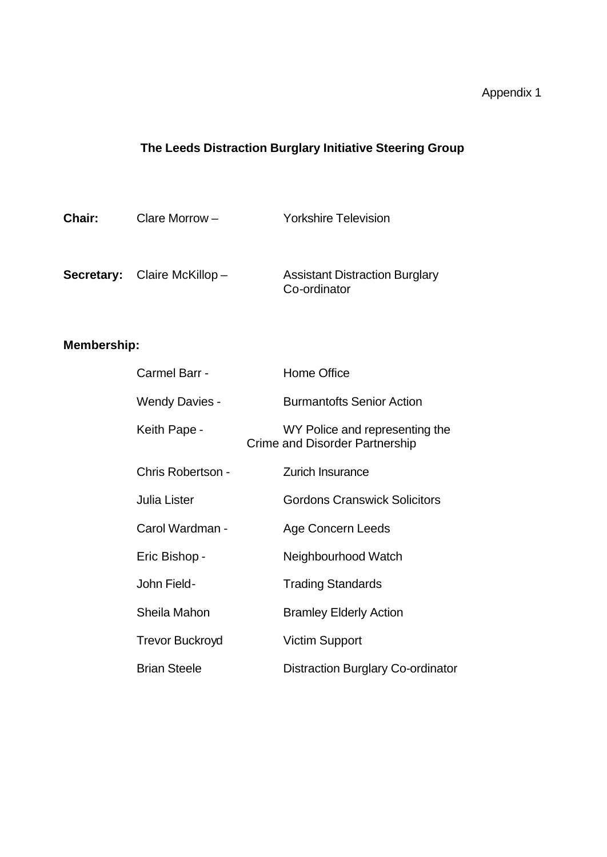# **The Leeds Distraction Burglary Initiative Steering Group**

| Chair: | Clare Morrow $-$                   | <b>Yorkshire Television</b>                           |
|--------|------------------------------------|-------------------------------------------------------|
|        | <b>Secretary:</b> Claire McKillop- | <b>Assistant Distraction Burglary</b><br>Co-ordinator |

# **Membership:**

| Carmel Barr -          | Home Office                                                             |
|------------------------|-------------------------------------------------------------------------|
| Wendy Davies -         | <b>Burmantofts Senior Action</b>                                        |
| Keith Pape -           | WY Police and representing the<br><b>Crime and Disorder Partnership</b> |
| Chris Robertson -      | <b>Zurich Insurance</b>                                                 |
| Julia Lister           | <b>Gordons Cranswick Solicitors</b>                                     |
| Carol Wardman -        | Age Concern Leeds                                                       |
| Eric Bishop -          | Neighbourhood Watch                                                     |
| John Field-            | <b>Trading Standards</b>                                                |
| Sheila Mahon           | <b>Bramley Elderly Action</b>                                           |
| <b>Trevor Buckroyd</b> | <b>Victim Support</b>                                                   |
| <b>Brian Steele</b>    | <b>Distraction Burglary Co-ordinator</b>                                |